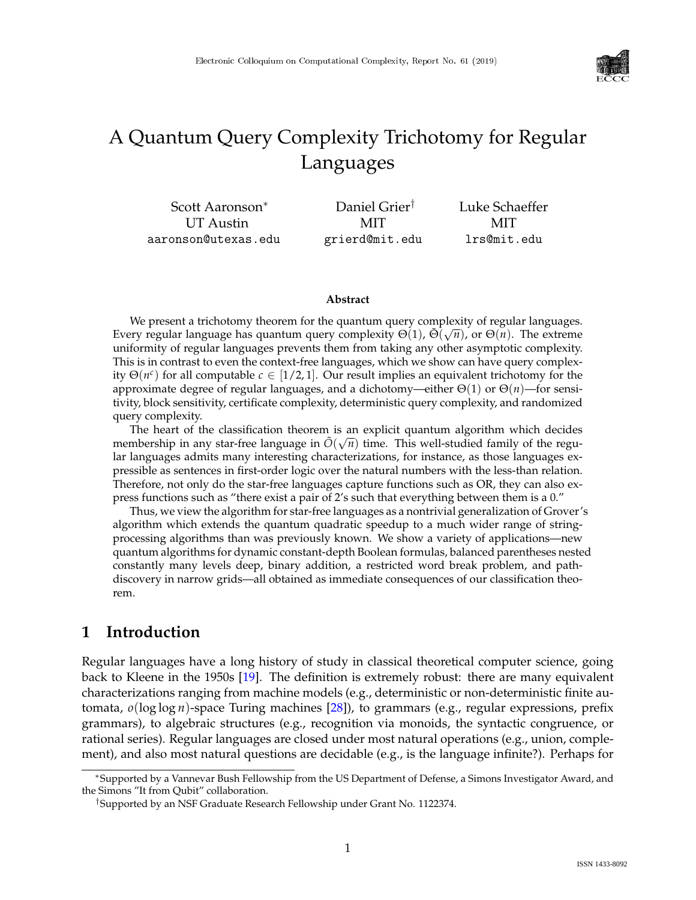

# A Quantum Query Complexity Trichotomy for Regular Languages

Scott Aaronson<sup>∗</sup> UT Austin aaronson@utexas.edu Daniel Grier† MIT grierd@mit.edu Luke Schaeffer MIT lrs@mit.edu

#### **Abstract**

We present a trichotomy theorem for the quantum query complexity of regular languages. Every regular language has quantum query complexity  $Θ(1)$ ,  $Θ(\sqrt{n})$ , or  $Θ(n)$ . The extreme uniformity of regular languages prevents them from taking any other asymptotic complexity. This is in contrast to even the context-free languages, which we show can have query complexity  $\Theta(n^c)$  for all computable  $c \in [1/2, 1]$ . Our result implies an equivalent trichotomy for the approximate degree of regular languages, and a dichotomy—either Θ(1) or Θ(*n*)—for sensitivity, block sensitivity, certificate complexity, deterministic query complexity, and randomized query complexity.

The heart of the classification theorem is an explicit quantum algorithm which decides membership in any star-free language in  $\tilde{O}(\sqrt{n})$  time. This well-studied family of the regular languages admits many interesting characterizations, for instance, as those languages expressible as sentences in first-order logic over the natural numbers with the less-than relation. Therefore, not only do the star-free languages capture functions such as OR, they can also express functions such as "there exist a pair of 2's such that everything between them is a 0."

Thus, we view the algorithm for star-free languages as a nontrivial generalization of Grover's algorithm which extends the quantum quadratic speedup to a much wider range of stringprocessing algorithms than was previously known. We show a variety of applications—new quantum algorithms for dynamic constant-depth Boolean formulas, balanced parentheses nested constantly many levels deep, binary addition, a restricted word break problem, and pathdiscovery in narrow grids—all obtained as immediate consequences of our classification theorem.

## **1 Introduction**

Regular languages have a long history of study in classical theoretical computer science, going back to Kleene in the 1950s [\[19\]](#page--1-0). The definition is extremely robust: there are many equivalent characterizations ranging from machine models (e.g., deterministic or non-deterministic finite automata, *o*(log log *n*)-space Turing machines [\[28\]](#page--1-1)), to grammars (e.g., regular expressions, prefix grammars), to algebraic structures (e.g., recognition via monoids, the syntactic congruence, or rational series). Regular languages are closed under most natural operations (e.g., union, complement), and also most natural questions are decidable (e.g., is the language infinite?). Perhaps for

<sup>∗</sup>Supported by a Vannevar Bush Fellowship from the US Department of Defense, a Simons Investigator Award, and the Simons "It from Qubit" collaboration.

<sup>†</sup>Supported by an NSF Graduate Research Fellowship under Grant No. 1122374.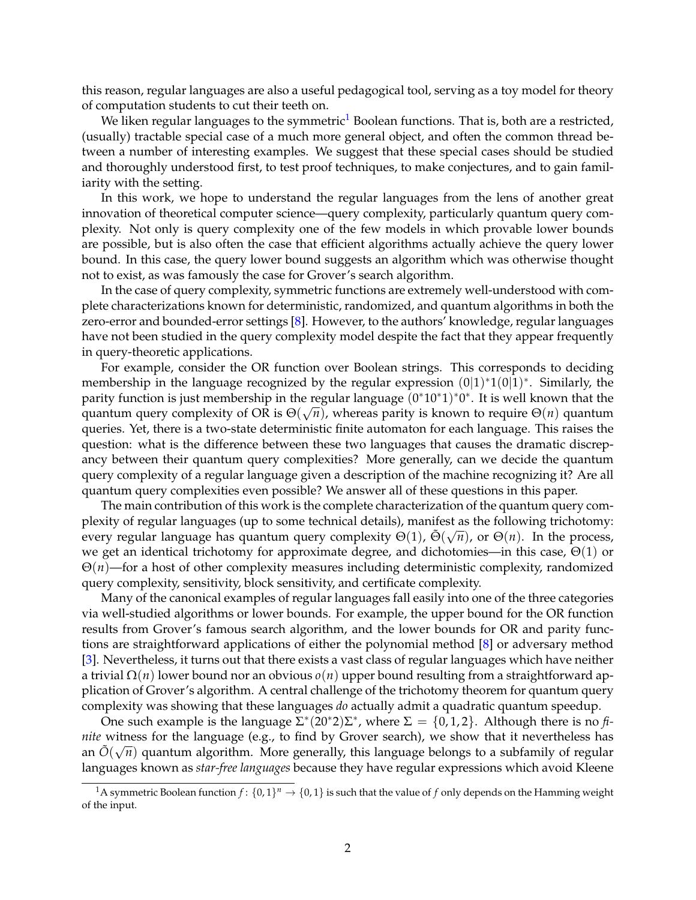this reason, regular languages are also a useful pedagogical tool, serving as a toy model for theory of computation students to cut their teeth on.

We liken regular languages to the symmetric<sup>[1](#page-1-0)</sup> Boolean functions. That is, both are a restricted, (usually) tractable special case of a much more general object, and often the common thread between a number of interesting examples. We suggest that these special cases should be studied and thoroughly understood first, to test proof techniques, to make conjectures, and to gain familiarity with the setting.

In this work, we hope to understand the regular languages from the lens of another great innovation of theoretical computer science—query complexity, particularly quantum query complexity. Not only is query complexity one of the few models in which provable lower bounds are possible, but is also often the case that efficient algorithms actually achieve the query lower bound. In this case, the query lower bound suggests an algorithm which was otherwise thought not to exist, as was famously the case for Grover's search algorithm.

In the case of query complexity, symmetric functions are extremely well-understood with complete characterizations known for deterministic, randomized, and quantum algorithms in both the zero-error and bounded-error settings [\[8\]](#page-26-0). However, to the authors' knowledge, regular languages have not been studied in the query complexity model despite the fact that they appear frequently in query-theoretic applications.

For example, consider the OR function over Boolean strings. This corresponds to deciding membership in the language recognized by the regular expression  $(0|1)^*1(0|1)^*$ . Similarly, the parity function is just membership in the regular language (0 ∗10∗1) ∗0 ∗ . It is well known that the quantum query complexity of OR is  $\Theta(\sqrt{n})$ , whereas parity is known to require  $\Theta(n)$  quantum queries. Yet, there is a two-state deterministic finite automaton for each language. This raises the question: what is the difference between these two languages that causes the dramatic discrepancy between their quantum query complexities? More generally, can we decide the quantum query complexity of a regular language given a description of the machine recognizing it? Are all quantum query complexities even possible? We answer all of these questions in this paper.

The main contribution of this work is the complete characterization of the quantum query complexity of regular languages (up to some technical details), manifest as the following trichotomy: every regular language has quantum query complexity  $\Theta(1)$ ,  $\tilde{\Theta}(\sqrt{n})$ , or  $\Theta(n)$ . In the process, we get an identical trichotomy for approximate degree, and dichotomies—in this case,  $\Theta(1)$  or Θ(*n*)—for a host of other complexity measures including deterministic complexity, randomized query complexity, sensitivity, block sensitivity, and certificate complexity.

Many of the canonical examples of regular languages fall easily into one of the three categories via well-studied algorithms or lower bounds. For example, the upper bound for the OR function results from Grover's famous search algorithm, and the lower bounds for OR and parity functions are straightforward applications of either the polynomial method [\[8\]](#page-26-0) or adversary method [\[3\]](#page-26-1). Nevertheless, it turns out that there exists a vast class of regular languages which have neither a trivial Ω(*n*) lower bound nor an obvious *o*(*n*) upper bound resulting from a straightforward application of Grover's algorithm. A central challenge of the trichotomy theorem for quantum query complexity was showing that these languages *do* actually admit a quadratic quantum speedup.

One such example is the language  $\Sigma^*(20^*2)\Sigma^*$ , where  $\Sigma = \{0, 1, 2\}$ . Although there is no *finite* witness for the language (e.g., to find by Grover search), we show that it nevertheless has an  $\tilde{O}(\sqrt{n})$  quantum algorithm. More generally, this language belongs to a subfamily of regular languages known as *star-free languages* because they have regular expressions which avoid Kleene

<span id="page-1-0"></span><sup>&</sup>lt;sup>1</sup>A symmetric Boolean function  $f: \{0,1\}^n \to \{0,1\}$  is such that the value of  $f$  only depends on the Hamming weight of the input.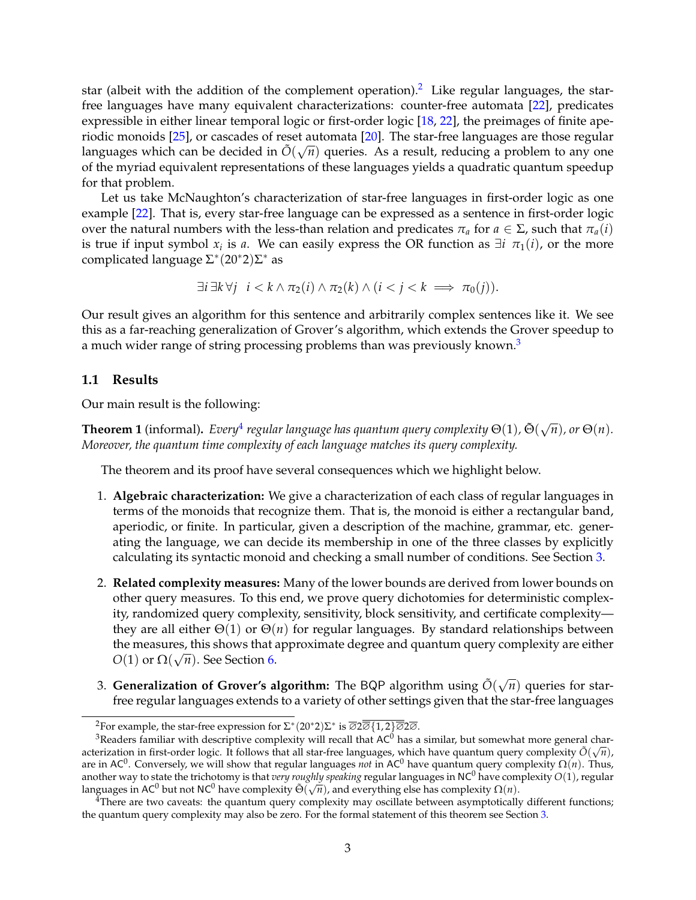star (albeit with the addition of the complement operation).<sup>[2](#page-2-0)</sup> Like regular languages, the starfree languages have many equivalent characterizations: counter-free automata [\[22\]](#page-27-0), predicates expressible in either linear temporal logic or first-order logic [\[18,](#page-27-1) [22\]](#page-27-0), the preimages of finite aperiodic monoids [\[25\]](#page-28-0), or cascades of reset automata [\[20\]](#page-27-2). The star-free languages are those regular languages which can be decided in  $\tilde{O}(\sqrt{n})$  queries. As a result, reducing a problem to any one of the myriad equivalent representations of these languages yields a quadratic quantum speedup for that problem.

Let us take McNaughton's characterization of star-free languages in first-order logic as one example [\[22\]](#page-27-0). That is, every star-free language can be expressed as a sentence in first-order logic over the natural numbers with the less-than relation and predicates  $\pi_a$  for  $a \in \Sigma$ , such that  $\pi_a(i)$ is true if input symbol  $x_i$  is  $a$ . We can easily express the OR function as  $\exists i \pi_1(i)$ , or the more complicated language  $\Sigma^*(20^*2)\Sigma^*$  as

$$
\exists i \, \exists k \, \forall j \quad i < k \land \pi_2(i) \land \pi_2(k) \land (i < j < k \implies \pi_0(j)).
$$

Our result gives an algorithm for this sentence and arbitrarily complex sentences like it. We see this as a far-reaching generalization of Grover's algorithm, which extends the Grover speedup to a much wider range of string processing problems than was previously known.<sup>[3](#page-2-1)</sup>

#### **1.1 Results**

Our main result is the following:

<span id="page-2-3"></span>**Theorem 1** (informal). *Every*<sup>[4](#page-2-2)</sup> regular language has quantum query complexity  $\Theta(1)$ ,  $\tilde{\Theta}(\sqrt{n})$ , or  $\Theta(n)$ . *Moreover, the quantum time complexity of each language matches its query complexity.*

The theorem and its proof have several consequences which we highlight below.

- 1. **Algebraic characterization:** We give a characterization of each class of regular languages in terms of the monoids that recognize them. That is, the monoid is either a rectangular band, aperiodic, or finite. In particular, given a description of the machine, grammar, etc. generating the language, we can decide its membership in one of the three classes by explicitly calculating its syntactic monoid and checking a small number of conditions. See Section [3.](#page-9-0)
- 2. **Related complexity measures:** Many of the lower bounds are derived from lower bounds on other query measures. To this end, we prove query dichotomies for deterministic complexity, randomized query complexity, sensitivity, block sensitivity, and certificate complexity they are all either Θ(1) or Θ(*n*) for regular languages. By standard relationships between the measures, this shows that approximate degree and quantum query complexity are either *O*(1) or  $\Omega(\sqrt{n})$ . See Section [6.](#page-20-0)
- 3. **Generalization of Grover's algorithm:** The BQP algorithm using  $\tilde{O}(\sqrt{n})$  queries for starfree regular languages extends to a variety of other settings given that the star-free languages

<span id="page-2-0"></span> ${}^{2}$ For example, the star-free expression for  $\Sigma^{*}(20^{*}2)\Sigma^{*}$  is  $\overline{\varnothing}2\overline{\varnothing}\overline{\{1,2\}\overline{\varnothing}2\overline{\varnothing}}$ .

<span id="page-2-1"></span> $3$ Readers familiar with descriptive complexity will recall that AC $^{0}$  has a similar, but somewhat more general characterization in first-order logic. It follows that all star-free languages, which have quantum query complexity  $\tilde{O}(\sqrt{n})$ , are in AC<sup>0</sup> . Conversely, we will show that regular languages *not* in AC<sup>0</sup> have quantum query complexity Ω(*n*). Thus, another way to state the trichotomy is that *very roughly speaking* regular languages in NC<sup>0</sup> have complexity *O*(1), regular languages in AC<sup>0</sup> but not NC<sup>0</sup> have complexity  $\tilde{\Theta}(\sqrt{n})$ , and everything else has complexity  $\Omega(n)$ .

<span id="page-2-2"></span> $^{4}$ There are two caveats: the quantum query complexity may oscillate between asymptotically different functions; the quantum query complexity may also be zero. For the formal statement of this theorem see Section [3.](#page-9-0)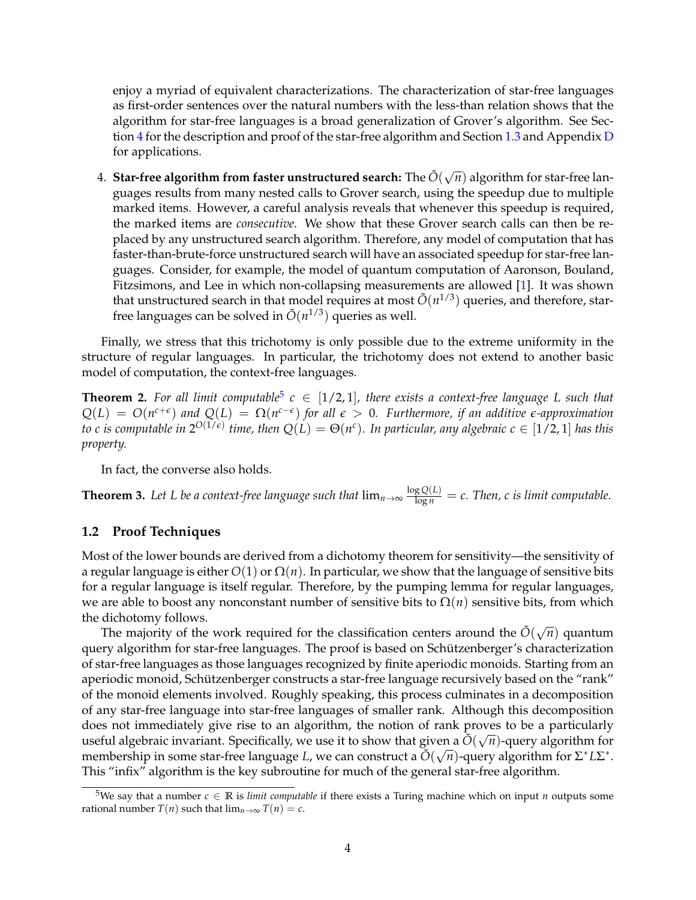enjoy a myriad of equivalent characterizations. The characterization of star-free languages as first-order sentences over the natural numbers with the less-than relation shows that the algorithm for star-free languages is a broad generalization of Grover's algorithm. See Sec-tion [4](#page-11-0) for the description and proof of the star-free algorithm and Section [1.3](#page-4-0) and Appendix [D](#page-34-0) for applications.

4. Star-free algorithm from faster unstructured search: The  $\tilde{O}(\sqrt{n})$  algorithm for star-free languages results from many nested calls to Grover search, using the speedup due to multiple marked items. However, a careful analysis reveals that whenever this speedup is required, the marked items are *consecutive*. We show that these Grover search calls can then be replaced by any unstructured search algorithm. Therefore, any model of computation that has faster-than-brute-force unstructured search will have an associated speedup for star-free languages. Consider, for example, the model of quantum computation of Aaronson, Bouland, Fitzsimons, and Lee in which non-collapsing measurements are allowed [\[1\]](#page-26-2). It was shown that unstructured search in that model requires at most  $\tilde{O}(n^{1/3})$  queries, and therefore, starfree languages can be solved in  $\tilde{O}(n^{1/3})$  queries as well.

Finally, we stress that this trichotomy is only possible due to the extreme uniformity in the structure of regular languages. In particular, the trichotomy does not extend to another basic model of computation, the context-free languages.

<span id="page-3-1"></span>**Theorem 2.** For all limit computable<sup>[5](#page-3-0)</sup>  $c \in [1/2, 1]$ , there exists a context-free language L such that  $Q(L) = O(n^{c+\epsilon})$  and  $Q(L) = \Omega(n^{c-\epsilon})$  for all  $\epsilon > 0$ . Furthermore, if an additive  $\epsilon$ -approximation *to c is computable in*  $2^{O(1/\epsilon)}$  *time, then*  $Q(L) = \Theta(n^c)$ *. In particular, any algebraic*  $c \in [1/2, 1]$  *<i>has this property.*

In fact, the converse also holds.

<span id="page-3-2"></span>**Theorem 3.** Let L be a context-free language such that  $\lim_{n\to\infty} \frac{\log Q(L)}{\log n} = c$ . Then, c is limit computable.

#### **1.2 Proof Techniques**

Most of the lower bounds are derived from a dichotomy theorem for sensitivity—the sensitivity of a regular language is either  $O(1)$  or  $\Omega(n)$ . In particular, we show that the language of sensitive bits for a regular language is itself regular. Therefore, by the pumping lemma for regular languages, we are able to boost any nonconstant number of sensitive bits to  $\Omega(n)$  sensitive bits, from which the dichotomy follows.

The majority of the work required for the classification centers around the  $\tilde{O}(\sqrt{n})$  quantum query algorithm for star-free languages. The proof is based on Schützenberger's characterization of star-free languages as those languages recognized by finite aperiodic monoids. Starting from an aperiodic monoid, Schützenberger constructs a star-free language recursively based on the "rank" of the monoid elements involved. Roughly speaking, this process culminates in a decomposition of any star-free language into star-free languages of smaller rank. Although this decomposition does not immediately give rise to an algorithm, the notion of rank proves to be a particularly useful algebraic invariant. Specifically, we use it to show that given a  $\tilde{O}(\sqrt{n})$ -query algorithm for membership in some star-free language *L*, we can construct a  $\tilde{O}(\sqrt{n})$ -query algorithm for Σ<sup>\*</sup>*L*Σ<sup>\*</sup>. This "infix" algorithm is the key subroutine for much of the general star-free algorithm.

<span id="page-3-0"></span><sup>5</sup>We say that a number *<sup>c</sup>* <sup>∈</sup> **<sup>R</sup>** is *limit computable* if there exists a Turing machine which on input *<sup>n</sup>* outputs some rational number *T*(*n*) such that  $\lim_{n\to\infty} T(n) = c$ .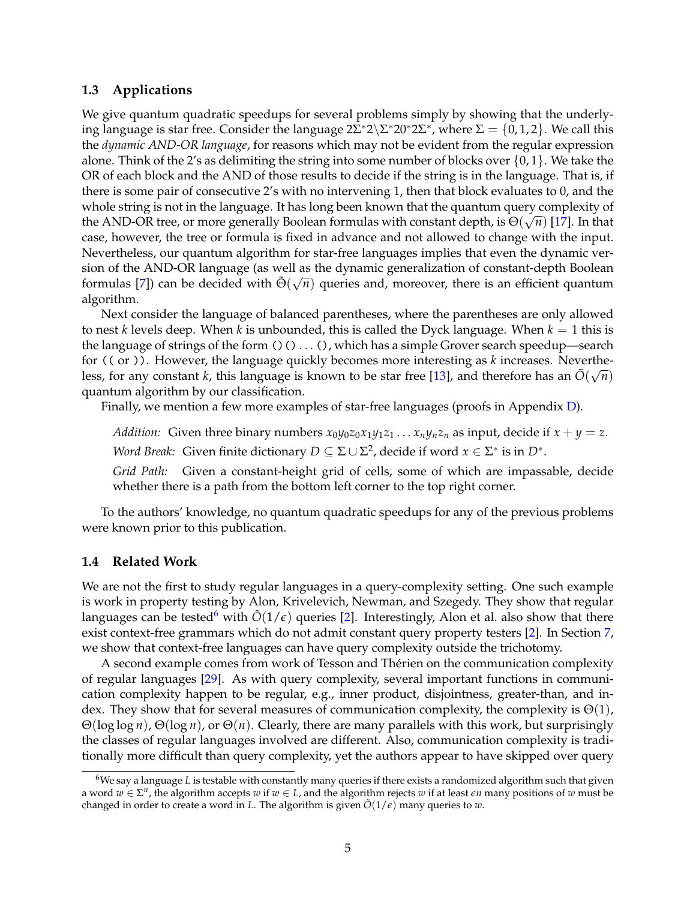#### <span id="page-4-0"></span>**1.3 Applications**

We give quantum quadratic speedups for several problems simply by showing that the underlying language is star free. Consider the language  $2\Sigma^* 2\backslash \Sigma^* 20^* 2\Sigma^*$ , where  $\Sigma = \{0,1,2\}$ . We call this the *dynamic AND-OR language*, for reasons which may not be evident from the regular expression alone. Think of the 2's as delimiting the string into some number of blocks over  $\{0, 1\}$ . We take the OR of each block and the AND of those results to decide if the string is in the language. That is, if there is some pair of consecutive 2's with no intervening 1, then that block evaluates to 0, and the whole string is not in the language. It has long been known that the quantum query complexity of the AND-OR tree, or more generally Boolean formulas with constant depth, is  $\Theta(\sqrt{n})$  [\[17\]](#page-27-3). In that case, however, the tree or formula is fixed in advance and not allowed to change with the input. Nevertheless, our quantum algorithm for star-free languages implies that even the dynamic version of the AND-OR language (as well as the dynamic generalization of constant-depth Boolean formulas [\[7\]](#page-26-3)) can be decided with  $\tilde{\Theta}(\sqrt{n})$  queries and, moreover, there is an efficient quantum algorithm.

Next consider the language of balanced parentheses, where the parentheses are only allowed to nest *k* levels deep. When *k* is unbounded, this is called the Dyck language. When  $k = 1$  this is the language of strings of the form  $()() \dots ()$ , which has a simple Grover search speedup—search for (( or )). However, the language quickly becomes more interesting as *k* increases. Nevertheless, for any constant *k*, this language is known to be star free [\[13\]](#page-27-4), and therefore has an  $\tilde{O}(\sqrt{n})$ quantum algorithm by our classification.

Finally, we mention a few more examples of star-free languages (proofs in Appendix [D\)](#page-34-0).

*Addition:* Given three binary numbers  $x_0y_0z_0x_1y_1z_1...x_ny_nz_n$  as input, decide if  $x + y = z$ .

*Word Break:* Given finite dictionary  $D \subseteq \Sigma \cup \Sigma^2$ , decide if word  $x \in \Sigma^*$  is in  $D^*$ .

*Grid Path:* Given a constant-height grid of cells, some of which are impassable, decide whether there is a path from the bottom left corner to the top right corner.

To the authors' knowledge, no quantum quadratic speedups for any of the previous problems were known prior to this publication.

#### **1.4 Related Work**

We are not the first to study regular languages in a query-complexity setting. One such example is work in property testing by Alon, Krivelevich, Newman, and Szegedy. They show that regular languages can be tested<sup>[6](#page-4-1)</sup> with  $\tilde{O}(1/\epsilon)$  queries [\[2\]](#page-26-4). Interestingly, Alon et al. also show that there exist context-free grammars which do not admit constant query property testers [\[2\]](#page-26-4). In Section [7,](#page-21-0) we show that context-free languages can have query complexity outside the trichotomy.

A second example comes from work of Tesson and Therien on the communication complexity ´ of regular languages [\[29\]](#page-28-1). As with query complexity, several important functions in communication complexity happen to be regular, e.g., inner product, disjointness, greater-than, and index. They show that for several measures of communication complexity, the complexity is  $\Theta(1)$ , Θ(log log *n*), Θ(log *n*), or Θ(*n*). Clearly, there are many parallels with this work, but surprisingly the classes of regular languages involved are different. Also, communication complexity is traditionally more difficult than query complexity, yet the authors appear to have skipped over query

<span id="page-4-1"></span><sup>&</sup>lt;sup>6</sup>We say a language *L* is testable with constantly many queries if there exists a randomized algorithm such that given a word  $w \in \Sigma^n$ , the algorithm accepts  $w$  if  $w \in L$ , and the algorithm rejects  $w$  if at least  $\epsilon n$  many positions of  $w$  must be changed in order to create a word in *L*. The algorithm is given  $\tilde{O}(1/\epsilon)$  many queries to *w*.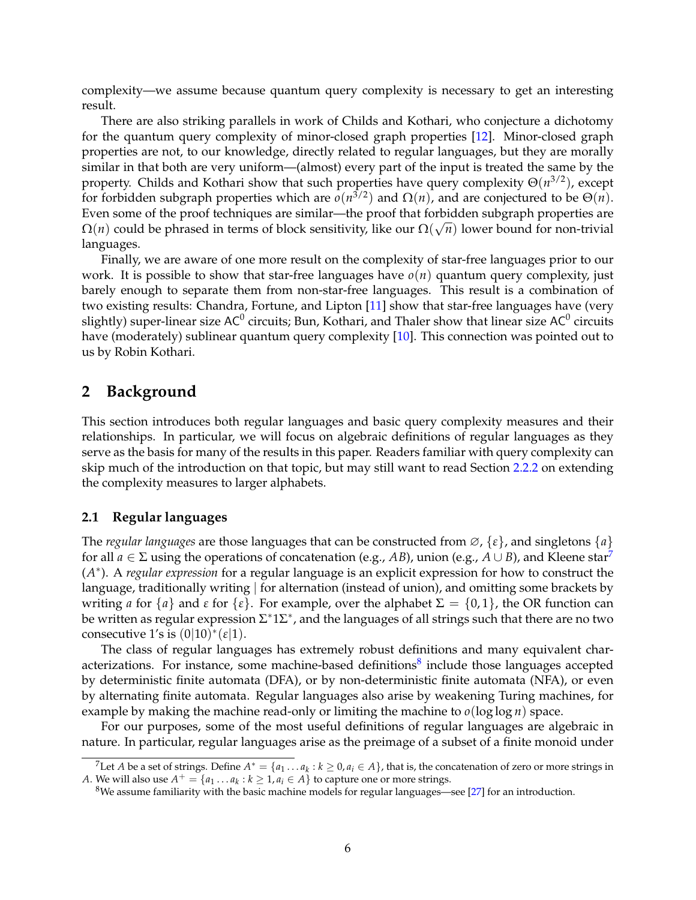complexity—we assume because quantum query complexity is necessary to get an interesting result.

There are also striking parallels in work of Childs and Kothari, who conjecture a dichotomy for the quantum query complexity of minor-closed graph properties [\[12\]](#page-27-5). Minor-closed graph properties are not, to our knowledge, directly related to regular languages, but they are morally similar in that both are very uniform—(almost) every part of the input is treated the same by the property. Childs and Kothari show that such properties have query complexity Θ(*n* 3/2), except for forbidden subgraph properties which are  $o(n^{3/2})$  and  $\Omega(n)$ , and are conjectured to be  $\Theta(n)$ . Even some of the proof techniques are similar—the proof that forbidden subgraph properties are  $\Omega(n)$  could be phrased in terms of block sensitivity, like our  $\Omega(\sqrt{n})$  lower bound for non-trivial languages.

Finally, we are aware of one more result on the complexity of star-free languages prior to our work. It is possible to show that star-free languages have  $o(n)$  quantum query complexity, just barely enough to separate them from non-star-free languages. This result is a combination of two existing results: Chandra, Fortune, and Lipton [\[11\]](#page-27-6) show that star-free languages have (very slightly) super-linear size AC $^0$  circuits; Bun, Kothari, and Thaler show that linear size AC $^0$  circuits have (moderately) sublinear quantum query complexity [\[10\]](#page-27-7). This connection was pointed out to us by Robin Kothari.

## <span id="page-5-2"></span>**2 Background**

This section introduces both regular languages and basic query complexity measures and their relationships. In particular, we will focus on algebraic definitions of regular languages as they serve as the basis for many of the results in this paper. Readers familiar with query complexity can skip much of the introduction on that topic, but may still want to read Section [2.2.2](#page-8-0) on extending the complexity measures to larger alphabets.

#### **2.1 Regular languages**

The *regular languages* are those languages that can be constructed from ∅, {*ε*}, and singletons {*a*} for all  $a \in \Sigma$  using the operations of concatenation (e.g., *AB*), union (e.g.,  $A \cup B$ ), and Kleene star<sup>[7](#page-5-0)</sup> (*A* ∗ ). A *regular expression* for a regular language is an explicit expression for how to construct the language, traditionally writing | for alternation (instead of union), and omitting some brackets by writing *a* for  $\{a\}$  and  $\varepsilon$  for  $\{\varepsilon\}$ . For example, over the alphabet  $\Sigma = \{0,1\}$ , the OR function can be written as regular expression  $\Sigma^*1\Sigma^*$ , and the languages of all strings such that there are no two consecutive 1's is  $(0|10)^*(\varepsilon|1)$ .

The class of regular languages has extremely robust definitions and many equivalent char-acterizations. For instance, some machine-based definitions<sup>[8](#page-5-1)</sup> include those languages accepted by deterministic finite automata (DFA), or by non-deterministic finite automata (NFA), or even by alternating finite automata. Regular languages also arise by weakening Turing machines, for example by making the machine read-only or limiting the machine to  $o(\log \log n)$  space.

For our purposes, some of the most useful definitions of regular languages are algebraic in nature. In particular, regular languages arise as the preimage of a subset of a finite monoid under

<sup>&</sup>lt;sup>7</sup>Let *A* be a set of strings. Define  $A^* = \{a_1 \dots a_k : k \ge 0, a_i \in A\}$ , that is, the concatenation of zero or more strings in *A*. We will also use  $A^+ = \{a_1 \dots a_k : k \ge 1, a_i \in A\}$  to capture one or more strings.

<span id="page-5-1"></span><span id="page-5-0"></span><sup>8</sup>We assume familiarity with the basic machine models for regular languages—see [\[27\]](#page-28-2) for an introduction.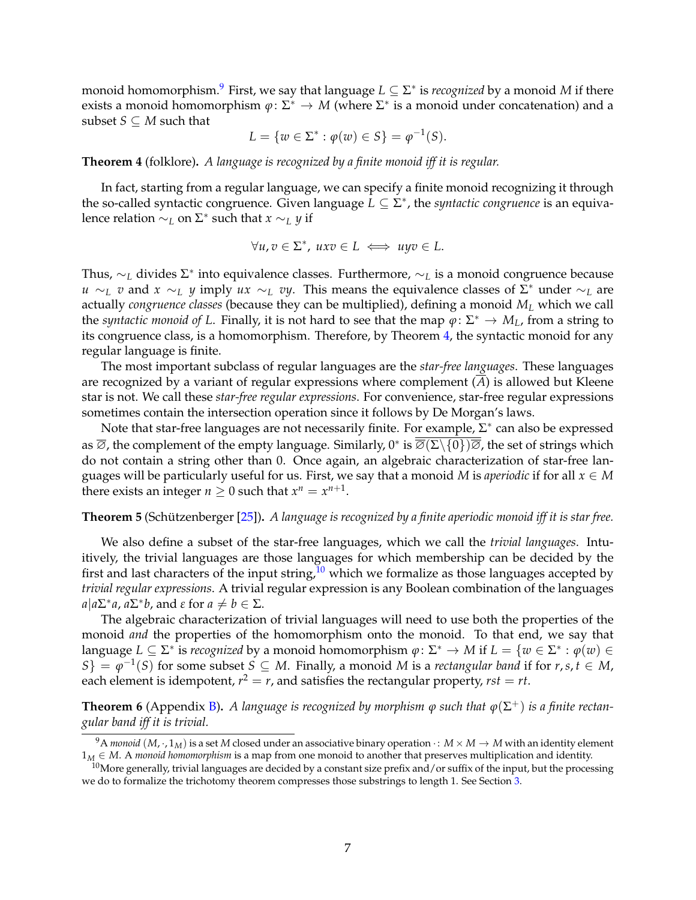monoid homomorphism.<sup>[9](#page-6-0)</sup> First, we say that language *L* ⊆ Σ<sup>\*</sup> is *recognized* by a monoid *M* if there exists a monoid homomorphism  $\varphi: \Sigma^* \to M$  (where  $\Sigma^*$  is a monoid under concatenation) and a subset  $S \subseteq M$  such that

$$
L = \{ w \in \Sigma^* : \varphi(w) \in S \} = \varphi^{-1}(S).
$$

<span id="page-6-1"></span>**Theorem 4** (folklore)**.** *A language is recognized by a finite monoid iff it is regular.*

In fact, starting from a regular language, we can specify a finite monoid recognizing it through the so-called syntactic congruence. Given language  $L \subseteq \Sigma^*$ , the *syntactic congruence* is an equivalence relation  $\sim_L$  on  $\Sigma^*$  such that  $x \sim_L y$  if

$$
\forall u, v \in \Sigma^*, \ uxv \in L \iff uyv \in L.
$$

Thus, ∼*<sup>L</sup>* divides <sup>Σ</sup> ∗ into equivalence classes. Furthermore, ∼*<sup>L</sup>* is a monoid congruence because *u* ∼*L v* and *x* ∼*L y* imply *ux* ∼*L vy*. This means the equivalence classes of  $\Sigma^*$  under ∼*L* are actually *congruence classes* (because they can be multiplied), defining a monoid *M<sup>L</sup>* which we call the *syntactic monoid of L*. Finally, it is not hard to see that the map  $\varphi: \Sigma^* \to M_L$ , from a string to its congruence class, is a homomorphism. Therefore, by Theorem [4,](#page-6-1) the syntactic monoid for any regular language is finite.

The most important subclass of regular languages are the *star-free languages*. These languages are recognized by a variant of regular expressions where complement  $(\overline{A})$  is allowed but Kleene star is not. We call these *star-free regular expressions*. For convenience, star-free regular expressions sometimes contain the intersection operation since it follows by De Morgan's laws.

Note that star-free languages are not necessarily finite. For example,  $\Sigma^*$  can also be expressed as  $\overline{\varnothing}$ , the complement of the empty language. Similarly,  $0^*$  is  $\overline{\varnothing}(\Sigma\setminus\{0\})\overline{\varnothing}$ , the set of strings which do not contain a string other than 0. Once again, an algebraic characterization of star-free languages will be particularly useful for us. First, we say that a monoid *M* is *aperiodic* if for all  $x \in M$ there exists an integer  $n \geq 0$  such that  $x^n = x^{n+1}$ .

#### <span id="page-6-3"></span>**Theorem 5** (Schützenberger [[25\]](#page-28-0)). *A language is recognized by a finite aperiodic monoid iff it is star free.*

We also define a subset of the star-free languages, which we call the *trivial languages*. Intuitively, the trivial languages are those languages for which membership can be decided by the first and last characters of the input string,  $10$  which we formalize as those languages accepted by *trivial regular expressions*. A trivial regular expression is any Boolean combination of the languages *a*| $a\sum$ <sup>\*</sup> $a$ ,  $a\Sigma$ <sup>\*</sup> $b$ , and  $ε$  for  $a ≠ b ∈ Σ$ .

The algebraic characterization of trivial languages will need to use both the properties of the monoid *and* the properties of the homomorphism onto the monoid. To that end, we say that language  $L \subseteq \Sigma^*$  is *recognized* by a monoid homomorphism  $\varphi \colon \Sigma^* \to M$  if  $L = \{w \in \Sigma^* : \varphi(w) \in \Sigma^* : \varphi(w) \in \Sigma^* \}$  $S$ } =  $\varphi^{-1}(S)$  for some subset *S*  $\subseteq$  *M*. Finally, a monoid *M* is a *rectangular band* if for *r*,*s*, *t*  $\in$  *M*, each element is idempotent,  $r^2 = r$ , and satisfies the rectangular property,  $rst = rt$ .

**Theorem 6** (Appendix [B\)](#page-30-0). *A language is recognized by morphism*  $\varphi$  *such that*  $\varphi(\Sigma^+)$  *is a finite rectangular band iff it is trivial.*

<span id="page-6-0"></span><sup>&</sup>lt;sup>9</sup>A *monoid* (*M*,  $\cdot$ , 1<sub>*M*</sub>) is a set *M* closed under an associative binary operation  $\cdot$ : *M* × *M* → *M* with an identity element 1*<sup>M</sup>* ∈ *M*. A *monoid homomorphism* is a map from one monoid to another that preserves multiplication and identity.

<span id="page-6-2"></span> $10$ More generally, trivial languages are decided by a constant size prefix and/or suffix of the input, but the processing we do to formalize the trichotomy theorem compresses those substrings to length 1. See Section [3.](#page-9-0)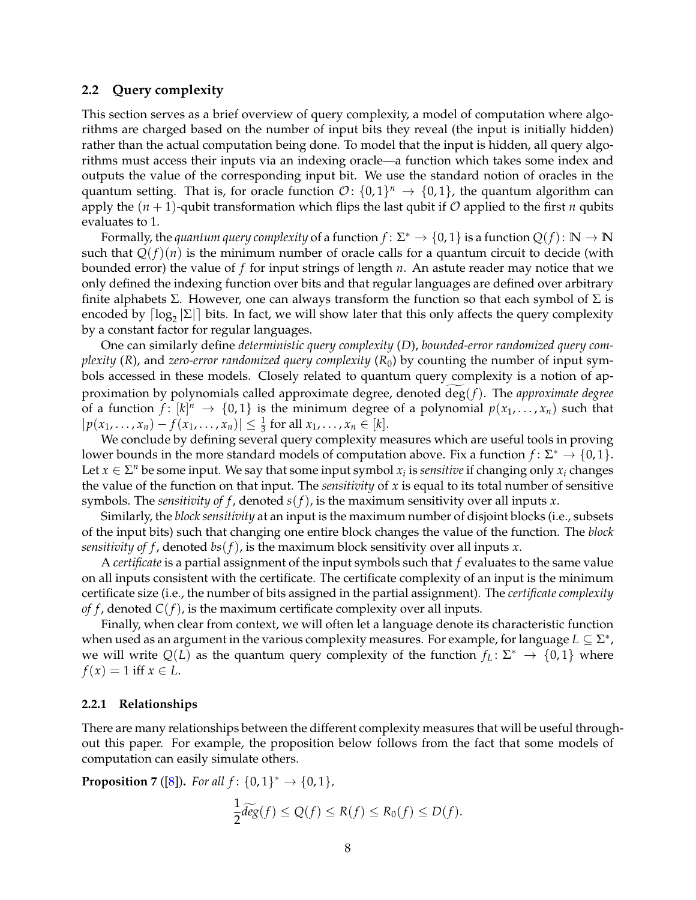#### **2.2 Query complexity**

This section serves as a brief overview of query complexity, a model of computation where algorithms are charged based on the number of input bits they reveal (the input is initially hidden) rather than the actual computation being done. To model that the input is hidden, all query algorithms must access their inputs via an indexing oracle—a function which takes some index and outputs the value of the corresponding input bit. We use the standard notion of oracles in the quantum setting. That is, for oracle function  $\mathcal{O} \colon \{0,1\}^n \to \{0,1\}$ , the quantum algorithm can apply the  $(n + 1)$ -qubit transformation which flips the last qubit if O applied to the first *n* qubits evaluates to 1.

Formally, the *quantum query complexity* of a function  $f: \Sigma^* \to \{0,1\}$  is a function  $Q(f): \mathbb{N} \to \mathbb{N}$ such that  $Q(f)(n)$  is the minimum number of oracle calls for a quantum circuit to decide (with bounded error) the value of *f* for input strings of length *n*. An astute reader may notice that we only defined the indexing function over bits and that regular languages are defined over arbitrary finite alphabets Σ. However, one can always transform the function so that each symbol of  $\Sigma$  is encoded by  $\lceil \log_2 |\Sigma| \rceil$  bits. In fact, we will show later that this only affects the query complexity by a constant factor for regular languages.

One can similarly define *deterministic query complexity* (*D*), *bounded-error randomized query complexity* (*R*), and *zero-error randomized query complexity* (*R*0) by counting the number of input symbols accessed in these models. Closely related to quantum query complexity is a notion of approximation by polynomials called approximate degree, denoted deg(f). The *approximate degree* of a function  $f: [k]^n \to \{0,1\}$  is the minimum degree of a polynomial  $p(x_1, \ldots, x_n)$  such that  $|p(x_1, ..., x_n) - f(x_1, ..., x_n)| \leq \frac{1}{3}$  for all  $x_1, ..., x_n \in [k]$ .

We conclude by defining several query complexity measures which are useful tools in proving lower bounds in the more standard models of computation above. Fix a function  $f: \Sigma^* \to \{0,1\}$ . Let  $x \in \Sigma^n$  be some input. We say that some input symbol  $x_i$  is *sensitive* if changing only  $x_i$  changes the value of the function on that input. The *sensitivity* of *x* is equal to its total number of sensitive symbols. The *sensitivity of f* , denoted *s*(*f*), is the maximum sensitivity over all inputs *x*.

Similarly, the *block sensitivity* at an input is the maximum number of disjoint blocks (i.e., subsets of the input bits) such that changing one entire block changes the value of the function. The *block sensitivity of f* , denoted *bs*(*f*), is the maximum block sensitivity over all inputs *x*.

A *certificate* is a partial assignment of the input symbols such that *f* evaluates to the same value on all inputs consistent with the certificate. The certificate complexity of an input is the minimum certificate size (i.e., the number of bits assigned in the partial assignment). The *certificate complexity of f*, denoted  $C(f)$ , is the maximum certificate complexity over all inputs.

Finally, when clear from context, we will often let a language denote its characteristic function when used as an argument in the various complexity measures. For example, for language  $L \subseteq \Sigma^*$ , we will write  $Q(L)$  as the quantum query complexity of the function  $f_L: \Sigma^* \to \{0,1\}$  where  $f(x) = 1$  iff  $x \in L$ .

#### **2.2.1 Relationships**

There are many relationships between the different complexity measures that will be useful throughout this paper. For example, the proposition below follows from the fact that some models of computation can easily simulate others.

<span id="page-7-0"></span>**Proposition** 7 ([\[8\]](#page-26-0)). *For all*  $f: \{0,1\}^* \to \{0,1\}$ ,

$$
\frac{1}{2}\widetilde{deg}(f) \le Q(f) \le R(f) \le R_0(f) \le D(f).
$$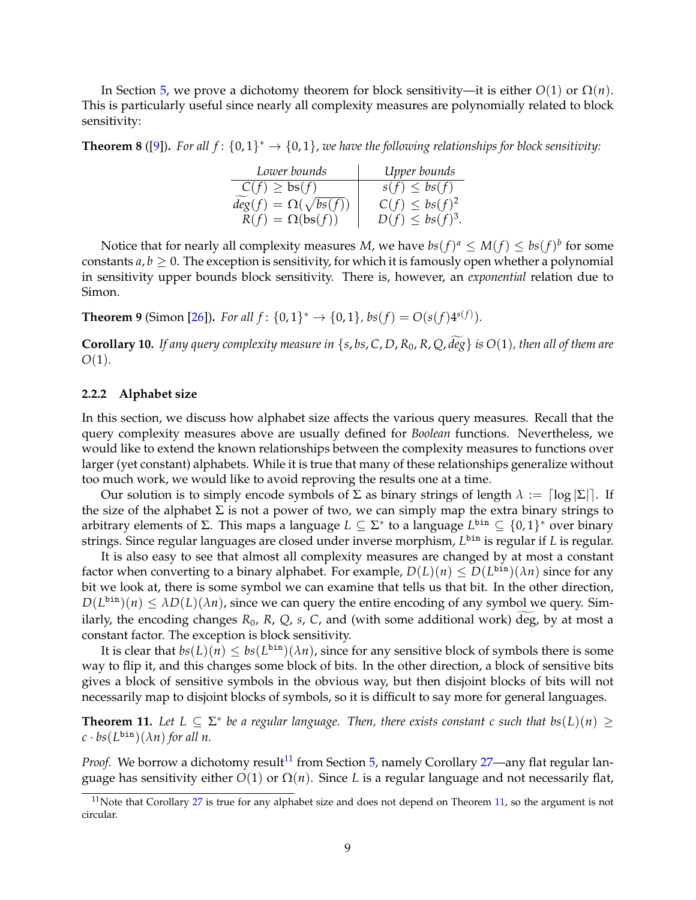In Section [5,](#page-17-0) we prove a dichotomy theorem for block sensitivity—it is either  $O(1)$  or  $\Omega(n)$ . This is particularly useful since nearly all complexity measures are polynomially related to block sensitivity:

<span id="page-8-5"></span>**Theorem 8** ([\[9\]](#page-27-8)). For all  $f: \{0,1\}^* \to \{0,1\}$ , we have the following relationships for block sensitivity:

| Lower bounds                    | Upper bounds          |
|---------------------------------|-----------------------|
| $C(f) \geq bs(f)$               | $s(f) \leq bs(f)$     |
| $deg(f) = \Omega(\sqrt{bs(f)})$ | $C(f) \leq bs(f)^2$   |
| $R(f) = \Omega(bs(f))$          | $D(f) \leq bs(f)^3$ . |

Notice that for nearly all complexity measures *M*, we have  $bs(f)^a \le M(f) \le bs(f)^b$  for some constants  $a, b \geq 0$ . The exception is sensitivity, for which it is famously open whether a polynomial in sensitivity upper bounds block sensitivity. There is, however, an *exponential* relation due to Simon.

<span id="page-8-3"></span>**Theorem 9** (Simon [\[26\]](#page-28-3)). *For all*  $f: \{0, 1\}^* \to \{0, 1\}$ ,  $bs(f) = O(s(f)4^{s(f)})$ .

<span id="page-8-4"></span>**Corollary 10.** If any query complexity measure in { $s$ , bs, C, D, R<sub>0</sub>, R, Q, deg} is  $O(1)$ , then all of them are *O*(1)*.*

#### <span id="page-8-0"></span>**2.2.2 Alphabet size**

In this section, we discuss how alphabet size affects the various query measures. Recall that the query complexity measures above are usually defined for *Boolean* functions. Nevertheless, we would like to extend the known relationships between the complexity measures to functions over larger (yet constant) alphabets. While it is true that many of these relationships generalize without too much work, we would like to avoid reproving the results one at a time.

Our solution is to simply encode symbols of  $\Sigma$  as binary strings of length  $\lambda := \lceil \log |\Sigma| \rceil$ . If the size of the alphabet  $\Sigma$  is not a power of two, we can simply map the extra binary strings to arbitrary elements of <sup>Σ</sup>. This maps a language *<sup>L</sup>* ⊆ <sup>Σ</sup> ∗ to a language *L* bin ⊆ {0, 1} ∗ over binary strings. Since regular languages are closed under inverse morphism, *L* bin is regular if *L* is regular.

It is also easy to see that almost all complexity measures are changed by at most a constant factor when converting to a binary alphabet. For example,  $D(L)(n) \leq D(L^{\text{bin}})(\lambda n)$  since for any bit we look at, there is some symbol we can examine that tells us that bit. In the other direction,  $D(L^{\text{bin}})(n) \leq \lambda D(L)(\lambda n)$ , since we can query the entire encoding of any symbol we query. Similarly, the encoding changes  $R_0$ ,  $R$ ,  $Q$ ,  $s$ ,  $C$ , and (with some additional work) deg, by at most a constant factor. The exception is block sensitivity.

It is clear that  $bs(L)(n) \leq bs(L^{\text{bin}})(\lambda n)$ , since for any sensitive block of symbols there is some way to flip it, and this changes some block of bits. In the other direction, a block of sensitive bits gives a block of sensitive symbols in the obvious way, but then disjoint blocks of bits will not necessarily map to disjoint blocks of symbols, so it is difficult to say more for general languages.

<span id="page-8-2"></span>**Theorem 11.** Let  $L \subseteq \Sigma^*$  be a regular language. Then, there exists constant c such that  $bs(L)(n) \ge$  $c \cdot bs(L^{\text{bin}})(\lambda n)$  *for all n.* 

*Proof.* We borrow a dichotomy result<sup>[11](#page-8-1)</sup> from Section [5,](#page-17-0) namely Corollary [27—](#page-19-0)any flat regular language has sensitivity either  $O(1)$  or  $\Omega(n)$ . Since *L* is a regular language and not necessarily flat,

<span id="page-8-1"></span><sup>&</sup>lt;sup>11</sup>Note that Corollary  $27$  is true for any alphabet size and does not depend on Theorem [11,](#page-8-2) so the argument is not circular.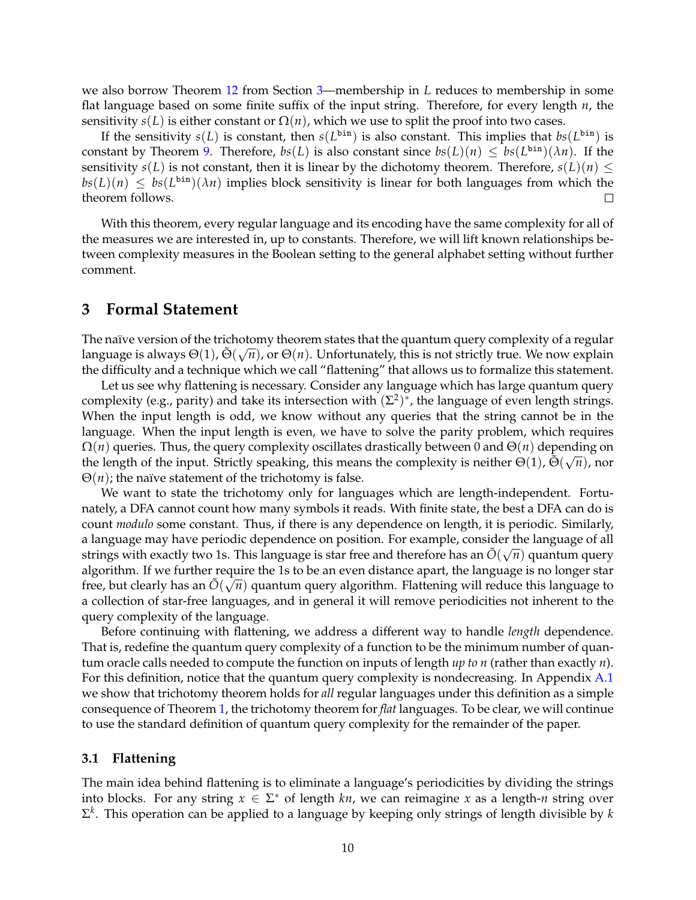we also borrow Theorem [12](#page-10-0) from Section [3—](#page-9-0)membership in *L* reduces to membership in some flat language based on some finite suffix of the input string. Therefore, for every length *n*, the sensitivity  $s(L)$  is either constant or  $\Omega(n)$ , which we use to split the proof into two cases.

If the sensitivity  $s(L)$  is constant, then  $s(L^{\text{bin}})$  is also constant. This implies that  $bs(L^{\text{bin}})$  is constant by Theorem [9.](#page-8-3) Therefore,  $bs(L)$  is also constant since  $bs(L)(n) \leq bs(L^{\text{bin}})(\lambda n)$ . If the sensitivity *s*(*L*) is not constant, then it is linear by the dichotomy theorem. Therefore,  $s(L)(n) \leq$  $bs(L)(n) \leq bs(L^{\text{bin}})(\lambda n)$  implies block sensitivity is linear for both languages from which the theorem follows.  $\Box$ 

With this theorem, every regular language and its encoding have the same complexity for all of the measures we are interested in, up to constants. Therefore, we will lift known relationships between complexity measures in the Boolean setting to the general alphabet setting without further comment.

### <span id="page-9-0"></span>**3 Formal Statement**

The naïve version of the trichotomy theorem states that the quantum query complexity of a regular language is always  $\Theta(1)$ ,  $\tilde{\Theta}(\sqrt{n})$ , or  $\Theta(n)$ . Unfortunately, this is not strictly true. We now explain the difficulty and a technique which we call "flattening" that allows us to formalize this statement.

Let us see why flattening is necessary. Consider any language which has large quantum query complexity (e.g., parity) and take its intersection with  $(\Sigma^2)^*$ , the language of even length strings. When the input length is odd, we know without any queries that the string cannot be in the language. When the input length is even, we have to solve the parity problem, which requires  $\Omega(n)$  queries. Thus, the query complexity oscillates drastically between 0 and  $\Theta(n)$  depending on the length of the input. Strictly speaking, this means the complexity is neither  $\Theta(1)$ ,  $\tilde{\Theta}(\sqrt{n})$ , nor  $\Theta(n)$ ; the naïve statement of the trichotomy is false.

We want to state the trichotomy only for languages which are length-independent. Fortunately, a DFA cannot count how many symbols it reads. With finite state, the best a DFA can do is count *modulo* some constant. Thus, if there is any dependence on length, it is periodic. Similarly, a language may have periodic dependence on position. For example, consider the language of all strings with exactly two 1s. This language is star free and therefore has an  $\tilde{O}(\sqrt{n})$  quantum query algorithm. If we further require the 1s to be an even distance apart, the language is no longer star free, but clearly has an  $\tilde{O}(\sqrt{n})$  quantum query algorithm. Flattening will reduce this language to a collection of star-free languages, and in general it will remove periodicities not inherent to the query complexity of the language.

Before continuing with flattening, we address a different way to handle *length* dependence. That is, redefine the quantum query complexity of a function to be the minimum number of quantum oracle calls needed to compute the function on inputs of length *up to n* (rather than exactly *n*). For this definition, notice that the quantum query complexity is nondecreasing. In Appendix [A.1](#page-29-0) we show that trichotomy theorem holds for *all* regular languages under this definition as a simple consequence of Theorem [1,](#page-2-3) the trichotomy theorem for *flat* languages. To be clear, we will continue to use the standard definition of quantum query complexity for the remainder of the paper.

#### **3.1 Flattening**

The main idea behind flattening is to eliminate a language's periodicities by dividing the strings into blocks. For any string  $x \in \Sigma^*$  of length *kn*, we can reimagine *x* as a length-*n* string over Σ *k* . This operation can be applied to a language by keeping only strings of length divisible by *k*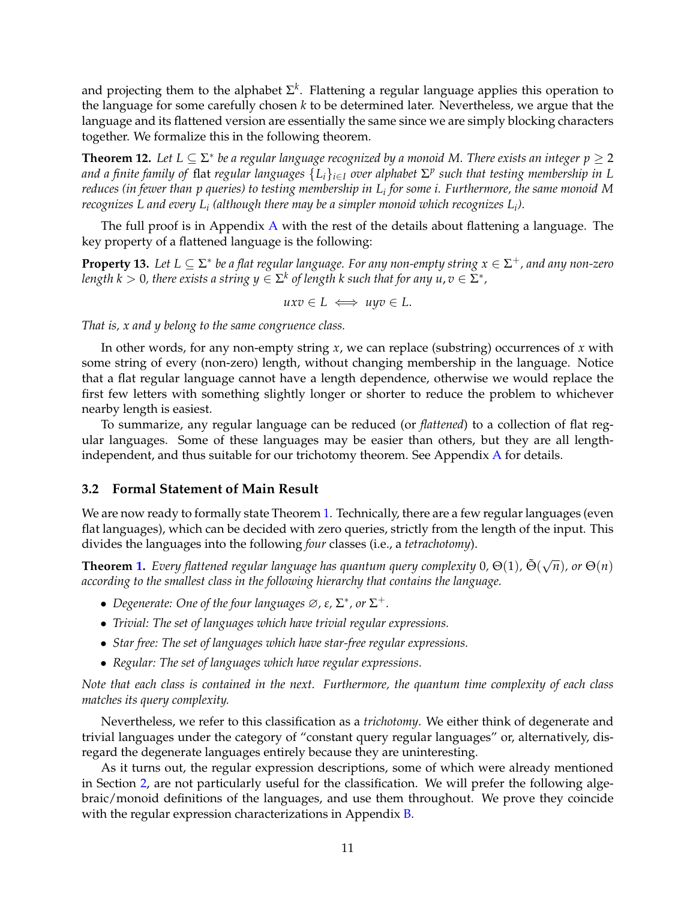and projecting them to the alphabet  $\Sigma^k$ . Flattening a regular language applies this operation to the language for some carefully chosen *k* to be determined later. Nevertheless, we argue that the language and its flattened version are essentially the same since we are simply blocking characters together. We formalize this in the following theorem.

<span id="page-10-0"></span>**Theorem 12.** Let  $L \subseteq \Sigma^*$  be a regular language recognized by a monoid M. There exists an integer  $p \ge 2$ *and a finite family of* flat *regular languages* {*Li*}*i*∈*<sup>I</sup> over alphabet* <sup>Σ</sup> *p such that testing membership in L reduces (in fewer than p queries) to testing membership in L<sup>i</sup> for some i. Furthermore, the same monoid M recognizes L and every L<sup>i</sup> (although there may be a simpler monoid which recognizes L<sup>i</sup> ).*

The full proof is in Appendix [A](#page-28-4) with the rest of the details about flattening a language. The key property of a flattened language is the following:

<span id="page-10-1"></span>**Property 13.** Let  $L \subseteq \Sigma^*$  be a flat regular language. For any non-empty string  $x \in \Sigma^+$ , and any non-zero length  $k > 0$ , there exists a string  $y \in \Sigma^k$  of length  $k$  such that for any  $u, v \in \Sigma^*$ ,

$$
uxv \in L \iff uyv \in L.
$$

*That is, x and y belong to the same congruence class.*

In other words, for any non-empty string *x*, we can replace (substring) occurrences of *x* with some string of every (non-zero) length, without changing membership in the language. Notice that a flat regular language cannot have a length dependence, otherwise we would replace the first few letters with something slightly longer or shorter to reduce the problem to whichever nearby length is easiest.

To summarize, any regular language can be reduced (or *flattened*) to a collection of flat regular languages. Some of these languages may be easier than others, but they are all lengthindependent, and thus suitable for our trichotomy theorem. See Appendix [A](#page-28-4) for details.

#### **3.2 Formal Statement of Main Result**

We are now ready to formally state Theorem [1.](#page-2-3) Technically, there are a few regular languages (even flat languages), which can be decided with zero queries, strictly from the length of the input. This divides the languages into the following *four* classes (i.e., a *tetrachotomy*).

**Theorem [1.](#page-2-3)** *Every flattened regular language has quantum query complexity* 0,  $\Theta(1)$ ,  $\tilde{\Theta}(\sqrt{n})$ , or  $\Theta(n)$ *according to the smallest class in the following hierarchy that contains the language.*

- Degenerate: One of the four languages  $\varnothing$ ,  $\varepsilon$ ,  $\Sigma^*$ , or  $\Sigma^+$ .
- *Trivial: The set of languages which have trivial regular expressions.*
- *Star free: The set of languages which have star-free regular expressions.*
- *Regular: The set of languages which have regular expressions.*

*Note that each class is contained in the next. Furthermore, the quantum time complexity of each class matches its query complexity.*

Nevertheless, we refer to this classification as a *trichotomy*. We either think of degenerate and trivial languages under the category of "constant query regular languages" or, alternatively, disregard the degenerate languages entirely because they are uninteresting.

As it turns out, the regular expression descriptions, some of which were already mentioned in Section [2,](#page-5-2) are not particularly useful for the classification. We will prefer the following algebraic/monoid definitions of the languages, and use them throughout. We prove they coincide with the regular expression characterizations in Appendix [B.](#page-30-0)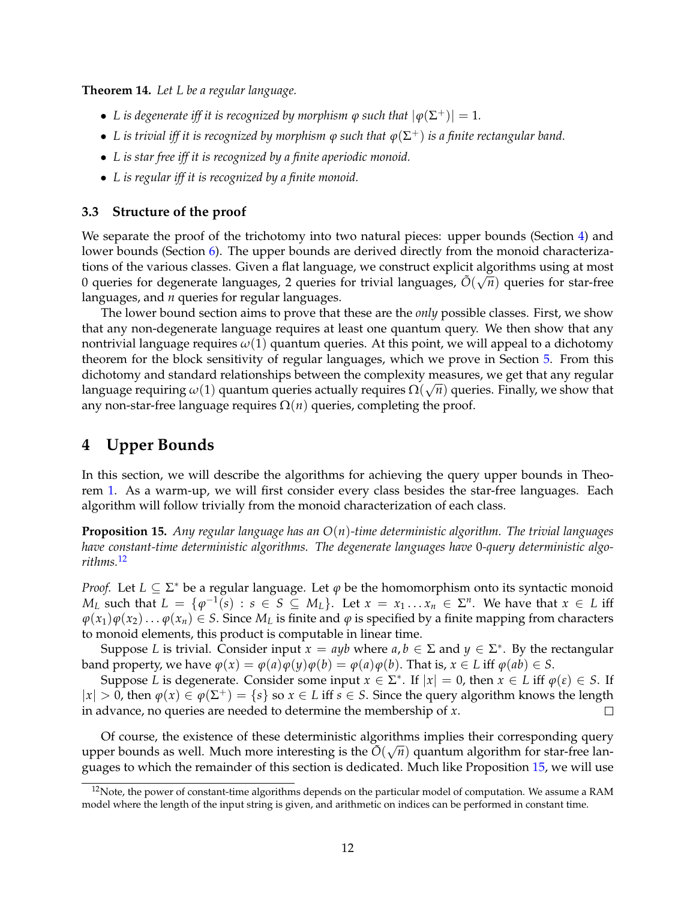<span id="page-11-3"></span>**Theorem 14.** *Let L be a regular language.*

- L is degenerate iff it is recognized by morphism  $\varphi$  such that  $|\varphi(\Sigma^+)| = 1$ .
- $\bullet$  L is trivial iff it is recognized by morphism  $\phi$  such that  $\phi(\Sigma^{+})$  is a finite rectangular band.
- *L is star free iff it is recognized by a finite aperiodic monoid.*
- *L is regular iff it is recognized by a finite monoid.*

#### **3.3 Structure of the proof**

We separate the proof of the trichotomy into two natural pieces: upper bounds (Section [4\)](#page-11-0) and lower bounds (Section [6\)](#page-20-0). The upper bounds are derived directly from the monoid characterizations of the various classes. Given a flat language, we construct explicit algorithms using at most 0 queries for degenerate languages, 2 queries for trivial languages,  $\tilde{O}(\sqrt{n})$  queries for star-free languages, and *n* queries for regular languages.

The lower bound section aims to prove that these are the *only* possible classes. First, we show that any non-degenerate language requires at least one quantum query. We then show that any nontrivial language requires *ω*(1) quantum queries. At this point, we will appeal to a dichotomy theorem for the block sensitivity of regular languages, which we prove in Section [5.](#page-17-0) From this dichotomy and standard relationships between the complexity measures, we get that any regular language requiring  $\omega(1)$  quantum queries actually requires  $\Omega(\sqrt{n})$  queries. Finally, we show that any non-star-free language requires  $\Omega(n)$  queries, completing the proof.

# <span id="page-11-0"></span>**4 Upper Bounds**

In this section, we will describe the algorithms for achieving the query upper bounds in Theorem [1.](#page-2-3) As a warm-up, we will first consider every class besides the star-free languages. Each algorithm will follow trivially from the monoid characterization of each class.

<span id="page-11-2"></span>**Proposition 15.** *Any regular language has an O*(*n*)*-time deterministic algorithm. The trivial languages have constant-time deterministic algorithms. The degenerate languages have* 0*-query deterministic algorithms.*[12](#page-11-1)

*Proof.* Let  $L \subseteq \Sigma^*$  be a regular language. Let  $\varphi$  be the homomorphism onto its syntactic monoid *M*<sub>*L*</sub> such that  $L = \{ \varphi^{-1}(s) : s \in S \subseteq M_L \}$ . Let  $x = x_1 \dots x_n \in \Sigma^n$ . We have that  $x \in L$  iff  $\varphi(x_1)\varphi(x_2)\dots\varphi(x_n) \in S$ . Since  $M_L$  is finite and  $\varphi$  is specified by a finite mapping from characters to monoid elements, this product is computable in linear time.

Suppose *L* is trivial. Consider input  $x = ayb$  where  $a, b \in \Sigma$  and  $y \in \Sigma^*$ . By the rectangular band property, we have  $\varphi(x) = \varphi(a)\varphi(y)\varphi(b) = \varphi(a)\varphi(b)$ . That is,  $x \in L$  iff  $\varphi(ab) \in S$ .

Suppose *L* is degenerate. Consider some input  $x \in \Sigma^*$ . If  $|x| = 0$ , then  $x \in L$  iff  $\varphi(\varepsilon) \in S$ . If <sup>|</sup>*x*<sup>|</sup> <sup>&</sup>gt; 0, then *<sup>ϕ</sup>*(*x*) <sup>∈</sup> *<sup>ϕ</sup>*(<sup>Σ</sup> <sup>+</sup>) = {*s*} so *<sup>x</sup>* <sup>∈</sup> *<sup>L</sup>* iff *<sup>s</sup>* <sup>∈</sup> *<sup>S</sup>*. Since the query algorithm knows the length in advance, no queries are needed to determine the membership of *x*.

Of course, the existence of these deterministic algorithms implies their corresponding query upper bounds as well. Much more interesting is the  $\tilde{O}(\sqrt{n})$  quantum algorithm for star-free languages to which the remainder of this section is dedicated. Much like Proposition [15,](#page-11-2) we will use

<span id="page-11-1"></span> $12$ Note, the power of constant-time algorithms depends on the particular model of computation. We assume a RAM model where the length of the input string is given, and arithmetic on indices can be performed in constant time.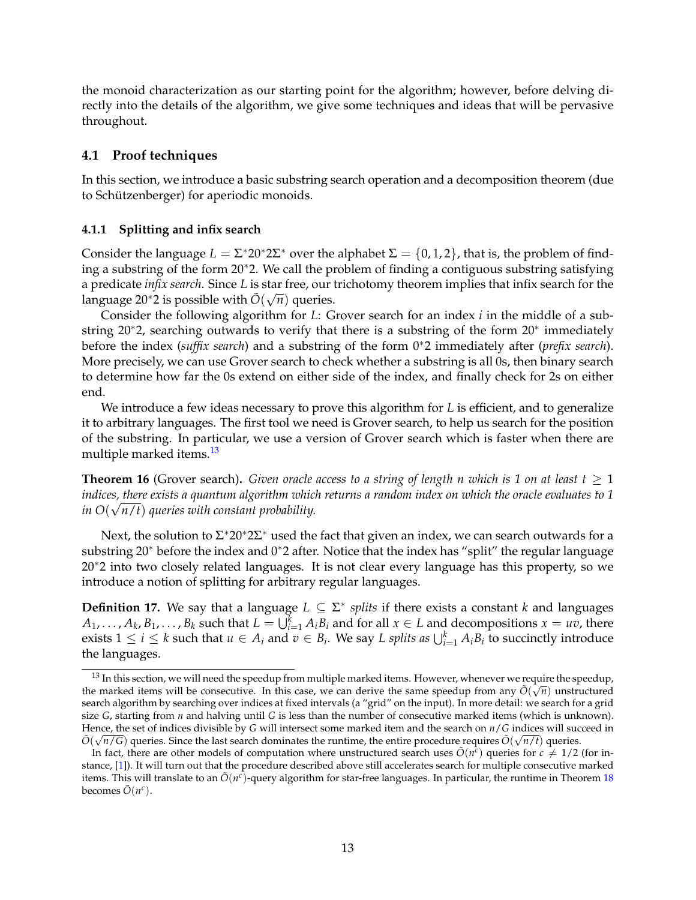the monoid characterization as our starting point for the algorithm; however, before delving directly into the details of the algorithm, we give some techniques and ideas that will be pervasive throughout.

### **4.1 Proof techniques**

In this section, we introduce a basic substring search operation and a decomposition theorem (due to Schützenberger) for aperiodic monoids.

#### **4.1.1 Splitting and infix search**

Consider the language  $L = \Sigma^* 20^* 2\Sigma^*$  over the alphabet  $\Sigma = \{0, 1, 2\}$ , that is, the problem of finding a substring of the form 20∗2. We call the problem of finding a contiguous substring satisfying a predicate *infix search*. Since *L* is star free, our trichotomy theorem implies that infix search for the language 20<sup>\*</sup>2 is possible with  $\tilde{O}(\sqrt{n})$  queries.

Consider the following algorithm for *L*: Grover search for an index *i* in the middle of a substring 20∗2, searching outwards to verify that there is a substring of the form 20∗ immediately before the index (*suffix search*) and a substring of the form 0∗2 immediately after (*prefix search*). More precisely, we can use Grover search to check whether a substring is all 0s, then binary search to determine how far the 0s extend on either side of the index, and finally check for 2s on either end.

We introduce a few ideas necessary to prove this algorithm for *L* is efficient, and to generalize it to arbitrary languages. The first tool we need is Grover search, to help us search for the position of the substring. In particular, we use a version of Grover search which is faster when there are multiple marked items.<sup>[13](#page-12-0)</sup>

<span id="page-12-1"></span>**Theorem 16** (Grover search). *Given oracle access to a string of length n which is 1 on at least*  $t > 1$ *indices, there exists a quantum algorithm which returns a random index on which the oracle evaluates to 1 in O*( √ *n*/*t*) *queries with constant probability.*

Next, the solution to  $\Sigma^* 20^* 2\Sigma^*$  used the fact that given an index, we can search outwards for a substring 20∗ before the index and 0∗2 after. Notice that the index has "split" the regular language 20∗2 into two closely related languages. It is not clear every language has this property, so we introduce a notion of splitting for arbitrary regular languages.

**Definition 17.** We say that a language  $L \subseteq \Sigma^*$  splits if there exists a constant *k* and languages  $A_1, \ldots, A_k, B_1, \ldots, B_k$  such that  $L = \bigcup_{i=1}^k A_i B_i$  and for all  $x \in L$  and decompositions  $x = uv$ , there exists  $1 \le i \le k$  such that  $u \in A_i$  and  $v \in B_i$ . We say *L* splits as  $\bigcup_{i=1}^k A_i B_i$  to succinctly introduce the languages.

<span id="page-12-0"></span> $13$  In this section, we will need the speedup from multiple marked items. However, whenever we require the speedup, the marked items will be consecutive. In this case, we can derive the same speedup from any  $\tilde{O}(\sqrt{n})$  unstructured search algorithm by searching over indices at fixed intervals (a "grid" on the input). In more detail: we search for a grid size *G*, starting from *n* and halving until *G* is less than the number of consecutive marked items (which is unknown). Hence, the set of indices divisible by *G* will intersect some marked item and the search on *n*/*G* indices will succeed in  $\tilde{O}(\sqrt{n/G})$  queries. Since the last search dominates the runtime, the entire procedure requires  $\tilde{O}(\sqrt{n/t})$  queries.

In fact, there are other models of computation where unstructured search uses  $\tilde{O}(n^c)$  queries for  $c \neq 1/2$  (for instance, [\[1\]](#page-26-2)). It will turn out that the procedure described above still accelerates search for multiple consecutive marked items. This will translate to an  $\tilde{O}(n^c)$ -query algorithm for star-free languages. In particular, the runtime in Theorem [18](#page-13-0) becomes  $\tilde{O}(n^c)$ .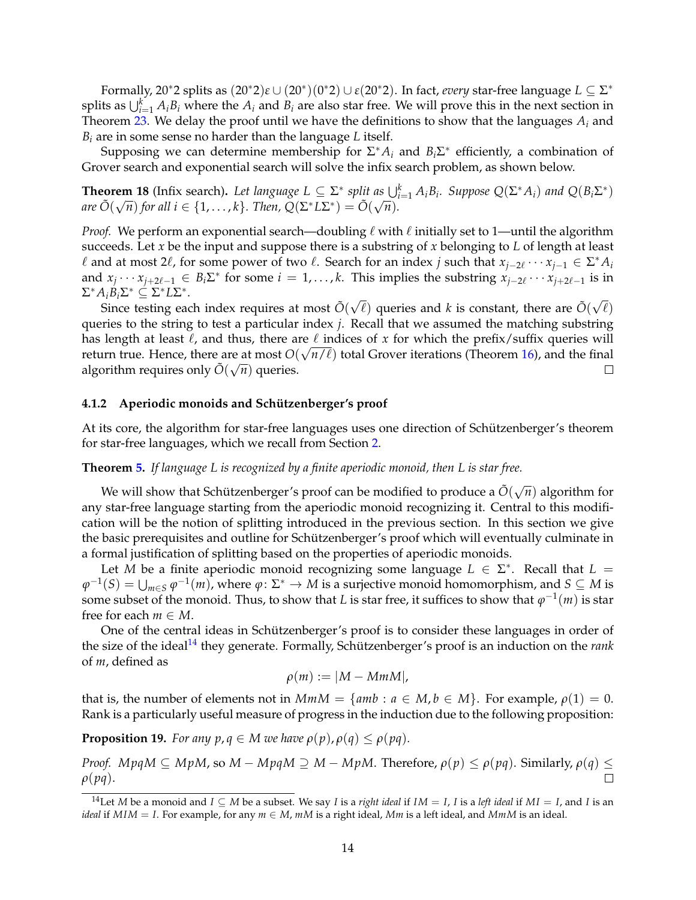Formally, 20∗2 splits as (20∗2)*ε* ∪ (20<sup>∗</sup> )(0 <sup>∗</sup>2) ∪ *<sup>ε</sup>*(20∗2). In fact, *every* star-free language *<sup>L</sup>* ⊆ <sup>Σ</sup> ∗ splits as  $\bigcup_{i=1}^{k} A_i B_i$  where the  $A_i$  and  $B_i$  are also star free. We will prove this in the next section in Theorem [23.](#page-15-0) We delay the proof until we have the definitions to show that the languages  $A_i$  and *B<sup>i</sup>* are in some sense no harder than the language *L* itself.

Supposing we can determine membership for  $\Sigma^* A_i$  and  $B_i \Sigma^*$  efficiently, a combination of Grover search and exponential search will solve the infix search problem, as shown below.

<span id="page-13-0"></span>**Theorem 18** (Infix search). Let language  $L \subseteq \Sigma^*$  split as  $\bigcup_{i=1}^k A_i B_i$ . Suppose  $Q(\Sigma^* A_i)$  and  $Q(B_i \Sigma^*)$  $\alpha$  *re*  $\tilde{O}(\sqrt{n})$  *for all i*  $\in \{1, ..., k\}$ *. Then,*  $Q(\Sigma^* L \Sigma^*) = \tilde{O}(\sqrt{n})$ *.* 

*Proof.* We perform an exponential search—doubling  $\ell$  with  $\ell$  initially set to 1—until the algorithm succeeds. Let *x* be the input and suppose there is a substring of *x* belonging to *L* of length at least  $ℓ$  and at most 2 $ℓ$ , for some power of two  $ℓ$ . Search for an index *j* such that  $x_{j-2ℓ} \cdots x_{j-1} ∈ Σ^* A_i$ and  $x_j \cdots x_{j+2\ell-1} \in B_i \Sigma^*$  for some  $i = 1, \ldots, k$ . This implies the substring  $x_{j-2\ell} \cdots x_{j+2\ell-1}$  is in  $\Sigma^* A_i B_i \Sigma^* \subseteq \Sigma^* L \Sigma^*$ .

Since testing each index requires at most  $\tilde{O}(\sqrt{\ell})$  queries and *k* is constant, there are  $\tilde{O}(\sqrt{\ell})$ queries to the string to test a particular index *j*. Recall that we assumed the matching substring has length at least  $\ell$ , and thus, there are  $\ell$  indices of x for which the prefix/suffix queries will return true. Hence, there are at most  $O(\sqrt{n/\ell})$  total Grover iterations (Theorem [16\)](#page-12-1), and the final algorithm requires only  $\tilde{O}(\sqrt{n})$  queries.  $\Box$ 

#### **4.1.2** Aperiodic monoids and Schützenberger's proof

At its core, the algorithm for star-free languages uses one direction of Schützenberger's theorem for star-free languages, which we recall from Section [2.](#page-5-2)

#### **Theorem [5.](#page-6-3)** *If language L is recognized by a finite aperiodic monoid, then L is star free.*

We will show that Schützenberger's proof can be modified to produce a  $\tilde{O}(\sqrt{n})$  algorithm for any star-free language starting from the aperiodic monoid recognizing it. Central to this modification will be the notion of splitting introduced in the previous section. In this section we give the basic prerequisites and outline for Schützenberger's proof which will eventually culminate in a formal justification of splitting based on the properties of aperiodic monoids.

Let *M* be a finite aperiodic monoid recognizing some language  $L \in \Sigma^*$ . Recall that  $L =$  $\varphi^{-1}(S) = \bigcup_{m \in S} \varphi^{-1}(m)$ , where  $\varphi \colon \Sigma^* \to M$  is a surjective monoid homomorphism, and  $S \subseteq M$  is some subset of the monoid. Thus, to show that  $L$  is star free, it suffices to show that  $\varphi^{-1}(m)$  is star free for each  $m \in M$ .

One of the central ideas in Schützenberger's proof is to consider these languages in order of the size of the ideal<sup>[14](#page-13-1)</sup> they generate. Formally, Schützenberger's proof is an induction on the *rank* of *m*, defined as

$$
\rho(m):=|M-MmM|,
$$

that is, the number of elements not in  $MmM = \{amb : a \in M, b \in M\}$ . For example,  $\rho(1) = 0$ . Rank is a particularly useful measure of progress in the induction due to the following proposition:

<span id="page-13-2"></span>**Proposition 19.** *For any*  $p, q \in M$  *we have*  $\rho(p), \rho(q) \leq \rho(pq)$ *.* 

*Proof.*  $MpqM \subseteq MpM$ , so  $M - MpqM \supseteq M - MpM$ . Therefore,  $\rho(p) \leq \rho(pq)$ . Similarly,  $\rho(q) \leq$ *ρ*(*pq*).

<span id="page-13-1"></span><sup>&</sup>lt;sup>14</sup>Let *M* be a monoid and  $I \subseteq M$  be a subset. We say *I* is a *right ideal* if  $IM = I$ , *I* is a *left ideal* if  $MI = I$ , and *I* is an *ideal* if  $MIM = I$ . For example, for any  $m \in M$ ,  $mM$  is a right ideal,  $Mm$  is a left ideal, and  $MmM$  is an ideal.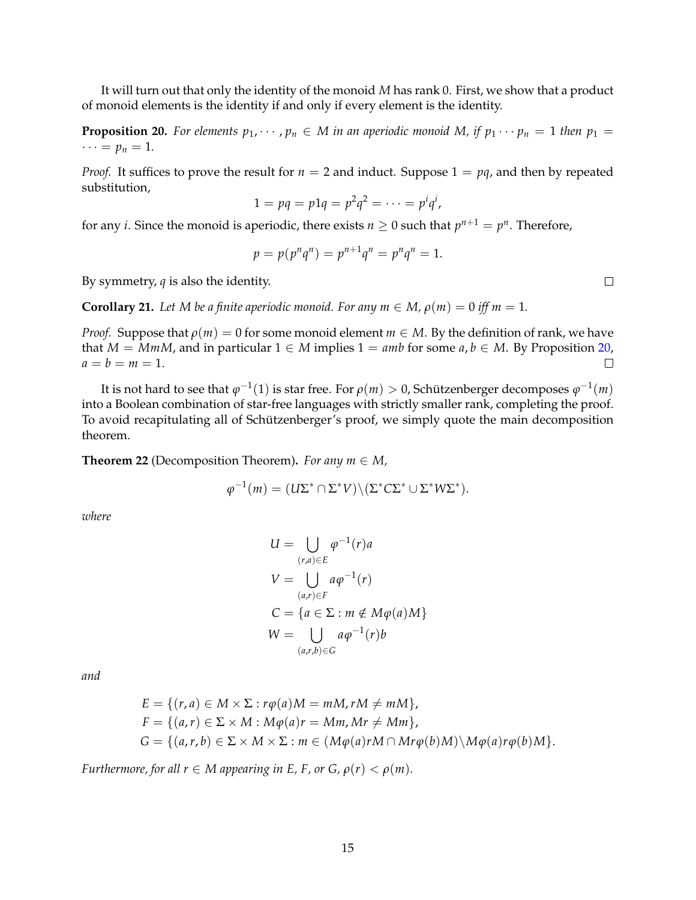It will turn out that only the identity of the monoid *M* has rank 0. First, we show that a product of monoid elements is the identity if and only if every element is the identity.

<span id="page-14-0"></span>**Proposition 20.** For elements  $p_1, \dots, p_n \in M$  in an aperiodic monoid M, if  $p_1 \dots p_n = 1$  then  $p_1 =$  $\cdots = p_n = 1.$ 

*Proof.* It suffices to prove the result for  $n = 2$  and induct. Suppose  $1 = pq$ , and then by repeated substitution,

$$
1 = pq = p1q = p^2q^2 = \cdots = p^iq^i,
$$

for any *i*. Since the monoid is aperiodic, there exists  $n \geq 0$  such that  $p^{n+1} = p^n$ . Therefore,

$$
p = p(p^n q^n) = p^{n+1} q^n = p^n q^n = 1.
$$

By symmetry, *q* is also the identity.

<span id="page-14-2"></span>**Corollary 21.** Let M be a finite aperiodic monoid. For any  $m \in M$ ,  $\rho(m) = 0$  iff  $m = 1$ .

*Proof.* Suppose that  $\rho(m) = 0$  for some monoid element  $m \in M$ . By the definition of rank, we have that *M* = *MmM*, and in particular 1 ∈ *M* implies 1 = *amb* for some *a*, *b* ∈ *M*. By Proposition [20,](#page-14-0) *a* = *b* = *m* = 1.  $a = b = m = 1.$ 

It is not hard to see that  $\varphi^{-1}(1)$  is star free. For  $\rho(m)>0$ , Schützenberger decomposes  $\varphi^{-1}(m)$ into a Boolean combination of star-free languages with strictly smaller rank, completing the proof. To avoid recapitulating all of Schützenberger's proof, we simply quote the main decomposition theorem.

<span id="page-14-1"></span>**Theorem 22** (Decomposition Theorem). *For any m*  $\in$  *M*,

$$
\varphi^{-1}(m) = (U\Sigma^* \cap \Sigma^* V) \setminus (\Sigma^* C \Sigma^* \cup \Sigma^* W \Sigma^*).
$$

*where*

$$
U = \bigcup_{(r,a)\in E} \varphi^{-1}(r)a
$$
  
\n
$$
V = \bigcup_{(a,r)\in F} a\varphi^{-1}(r)
$$
  
\n
$$
C = \{a \in \Sigma : m \notin M\varphi(a)M\}
$$
  
\n
$$
W = \bigcup_{(a,r,b)\in G} a\varphi^{-1}(r)b
$$

*and*

$$
E = \{(r, a) \in M \times \Sigma : r\varphi(a)M = mM, rM \neq mM\},
$$
  
\n
$$
F = \{(a, r) \in \Sigma \times M : M\varphi(a)r = Mm, Mr \neq Mm\},
$$
  
\n
$$
G = \{(a, r, b) \in \Sigma \times M \times \Sigma : m \in (M\varphi(a)rM \cap Mr\varphi(b)M) \setminus M\varphi(a)r\varphi(b)M\}.
$$

*Furthermore, for all*  $r \in M$  *appearing in E, F, or G,*  $\rho(r) < \rho(m)$ *.* 

 $\Box$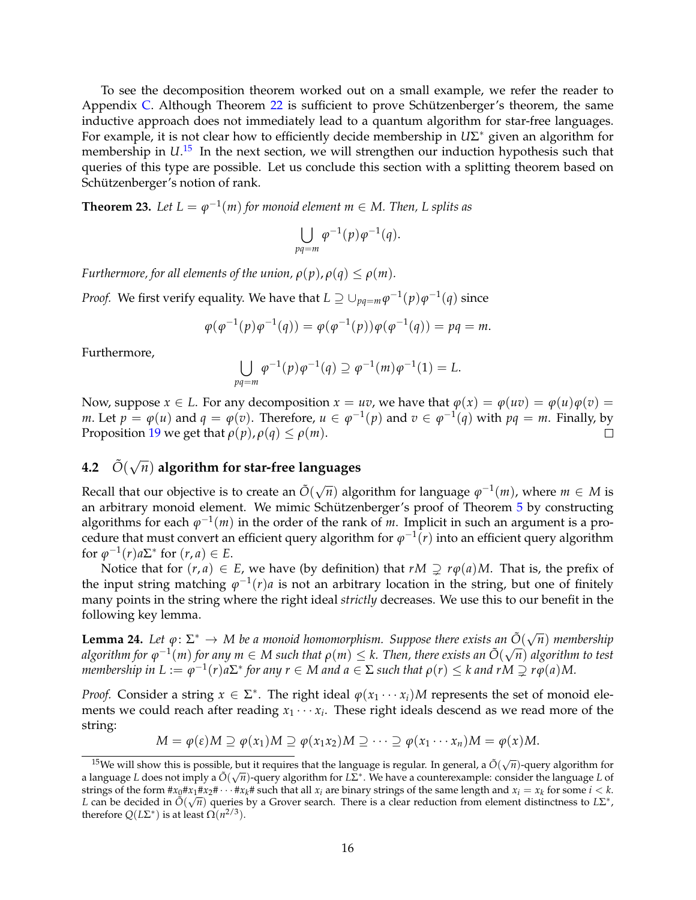To see the decomposition theorem worked out on a small example, we refer the reader to Appendix [C.](#page-31-0) Although Theorem  $22$  is sufficient to prove Schützenberger's theorem, the same inductive approach does not immediately lead to a quantum algorithm for star-free languages. For example, it is not clear how to efficiently decide membership in *U*Σ ∗ given an algorithm for membership in  $U^{15}$  $U^{15}$  $U^{15}$  In the next section, we will strengthen our induction hypothesis such that queries of this type are possible. Let us conclude this section with a splitting theorem based on Schützenberger's notion of rank.

<span id="page-15-0"></span>**Theorem 23.** Let  $L = \varphi^{-1}(m)$  for monoid element  $m \in M$ . Then, L splits as

$$
\bigcup_{pq=m} \varphi^{-1}(p) \varphi^{-1}(q).
$$

*Furthermore, for all elements of the union,*  $\rho(p)$ ,  $\rho(q) \leq \rho(m)$ .

*Proof.* We first verify equality. We have that  $L \supseteq \cup_{pq=m} \varphi^{-1}(p) \varphi^{-1}(q)$  since

$$
\varphi(\varphi^{-1}(p)\varphi^{-1}(q)) = \varphi(\varphi^{-1}(p))\varphi(\varphi^{-1}(q)) = pq = m.
$$

Furthermore,

$$
\bigcup_{pq=m} \varphi^{-1}(p)\varphi^{-1}(q) \supseteq \varphi^{-1}(m)\varphi^{-1}(1) = L.
$$

Now, suppose  $x \in L$ . For any decomposition  $x = uv$ , we have that  $\varphi(x) = \varphi(uv) = \varphi(u)\varphi(v) =$ *m*. Let  $p = \varphi(u)$  and  $q = \varphi(v)$ . Therefore,  $u \in \varphi^{-1}(p)$  and  $v \in \varphi^{-1}(q)$  with  $pq = m$ . Finally, by Proposition [19](#page-13-2) we get that  $\rho(p)$ ,  $\rho(q) \leq \rho(m)$ .  $\Box$ 

# **4.2**  $\tilde{O}(\sqrt{n})$  algorithm for star-free languages

Recall that our objective is to create an  $\tilde{O}(\sqrt{n})$  algorithm for language  $\varphi^{-1}(m)$ , where  $m \in M$  is an arbitrary monoid element. We mimic Schützenberger's proof of Theorem  $5$  by constructing algorithms for each  $\varphi^{-1}(m)$  in the order of the rank of *m*. Implicit in such an argument is a pro- $\alpha$  cedure that must convert an efficient query algorithm for  $\varphi^{-1}(r)$  into an efficient query algorithm for  $\varphi^{-1}(r)a\Sigma^*$  for  $(r, a) \in E$ .

Notice that for  $(r, a) \in E$ , we have (by definition) that  $rM \supseteq r\varphi(a)M$ . That is, the prefix of the input string matching  $\varphi^{-1}(r)a$  is not an arbitrary location in the string, but one of finitely many points in the string where the right ideal *strictly* decreases. We use this to our benefit in the following key lemma.

<span id="page-15-2"></span>**Lemma 24.** Let  $\varphi: \Sigma^* \to M$  be a monoid homomorphism. Suppose there exists an  $\tilde{O}(\sqrt{n})$  membership  $a$ lgorithm for  $\varphi^{-1}(m)$  for any  $m \in M$  such that  $\rho(m) \leq k$ . Then, there exists an  $\tilde{O}(\sqrt{n})$  algorithm to test  $m$ *embership in*  $L := \varphi^{-1}(r) a \Sigma^*$  for any  $r \in M$  and  $a \in \Sigma$  such that  $\rho(r) \leq k$  and  $rM \supsetneq r\varphi(a)M$ .

*Proof.* Consider a string  $x \in \Sigma^*$ . The right ideal  $\varphi(x_1 \cdots x_i)M$  represents the set of monoid elements we could reach after reading  $x_1 \cdots x_i$ . These right ideals descend as we read more of the string:

 $M = \varphi(\varepsilon)M \supseteq \varphi(x_1)M \supseteq \varphi(x_1x_2)M \supseteq \cdots \supseteq \varphi(x_1 \cdots x_n)M = \varphi(x)M$ .

<span id="page-15-1"></span><sup>&</sup>lt;sup>15</sup>We will show this is possible, but it requires that the language is regular. In general, a  $\tilde{O}(\sqrt{n})$ -query algorithm for a language *L* does not imply a Õ(√*π*)-query algorithm for *L*Σ<sup>\*</sup>. We have a counterexample: consider the language *L* of strings of the form  $\#x_0 \#x_1 \#x_2 \# \cdots \#x_k \#$  such that all  $x_i$  are binary strings of the same length and  $x_i = x_k$  for some  $i < k$ . *L* can be decided in  $\tilde{O}(\sqrt{n})$  queries by a Grover search. There is a clear reduction from element distinctness to *L*Σ<sup>\*</sup>, therefore  $Q(L\Sigma^*)$  is at least  $\Omega(n^{2/3})$ .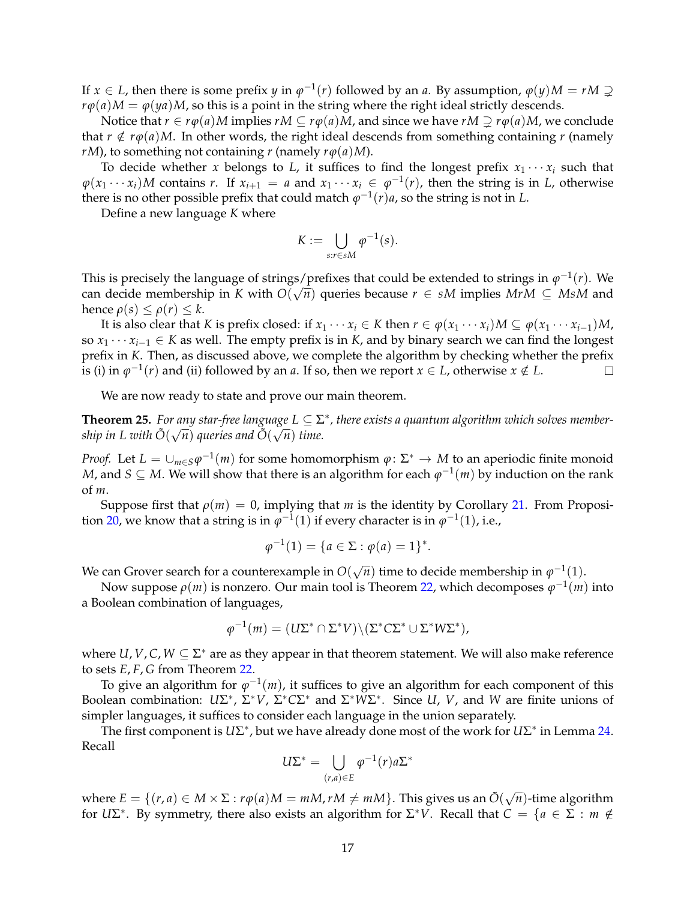If  $x \in L$ , then there is some prefix *y* in  $\varphi^{-1}(r)$  followed by an *a*. By assumption,  $\varphi(y)M = rM \supsetneq$  $r\phi(a)M = \phi(ya)M$ , so this is a point in the string where the right ideal strictly descends.

Notice that *r* ∈ *r* $\phi$ (*a*)*M* implies *rM* ⊆ *r* $\phi$ (*a*)*M*, and since we have *rM* ⊇ *r* $\phi$ (*a*)*M*, we conclude that  $r \notin r\phi(a)M$ . In other words, the right ideal descends from something containing *r* (namely *rM*), to something not containing *r* (namely  $r\phi(a)M$ ).

To decide whether *x* belongs to *L*, it suffices to find the longest prefix  $x_1 \cdots x_i$  such that  $\varphi(x_1 \cdots x_i)M$  contains *r*. If  $x_{i+1} = a$  and  $x_1 \cdots x_i \in \varphi^{-1}(r)$ , then the string is in *L*, otherwise there is no other possible prefix that could match  $\varphi^{-1}(r)a$ , so the string is not in *L*.

Define a new language *K* where

$$
K:=\bigcup_{s:r\in sM}\varphi^{-1}(s).
$$

This is precisely the language of strings/prefixes that could be extended to strings in  $\varphi^{-1}(r)$ . We can decide membership in *K* with  $O(\sqrt{n})$  queries because  $r \in sM$  implies  $MrM \subseteq MsM$  and hence  $\rho(s) \leq \rho(r) \leq k$ .

It is also clear that *K* is prefix closed: if  $x_1 \cdots x_i \in K$  then  $r \in \varphi(x_1 \cdots x_i)M \subseteq \varphi(x_1 \cdots x_{i-1})M$ , so  $x_1 \cdots x_{i-1} \in K$  as well. The empty prefix is in *K*, and by binary search we can find the longest prefix in *K*. Then, as discussed above, we complete the algorithm by checking whether the prefix is (i) in  $\varphi^{-1}(r)$  and (ii) followed by an *a*. If so, then we report  $x \in L$ , otherwise  $x \notin L$ .  $\Box$ 

We are now ready to state and prove our main theorem.

<span id="page-16-0"></span>**Theorem 25.** For any star-free language  $L \subseteq \Sigma^*$ , there exists a quantum algorithm which solves membership in L with  $\tilde{O}(\sqrt{n})$  queries and  $\tilde{O}(\sqrt{n})$  time.

*Proof.* Let  $L = \cup_{m \in S} \varphi^{-1}(m)$  for some homomorphism  $\varphi \colon \Sigma^* \to M$  to an aperiodic finite monoid *M*, and *S* ⊆ *M*. We will show that there is an algorithm for each  $\varphi^{-1}(m)$  by induction on the rank of *m*.

Suppose first that  $\rho(m) = 0$ , implying that *m* is the identity by Corollary [21.](#page-14-2) From Proposi-tion [20,](#page-14-0) we know that a string is in  $\varphi^{-1}(1)$  if every character is in  $\varphi^{-1}(1)$ , i.e.,

$$
\varphi^{-1}(1) = \{a \in \Sigma : \varphi(a) = 1\}^*.
$$

We can Grover search for a counterexample in  $O(\sqrt{n})$  time to decide membership in  $\varphi^{-1}(1)$ .

Now suppose *ρ*(*m*) is nonzero. Our main tool is Theorem [22,](#page-14-1) which decomposes *ϕ* −1 (*m*) into a Boolean combination of languages,

$$
\varphi^{-1}(m) = (U\Sigma^* \cap \Sigma^* V) \setminus (\Sigma^* C \Sigma^* \cup \Sigma^* W \Sigma^*),
$$

where *U*, *V*, *C*, *W*  $\subseteq$   $\Sigma^*$  are as they appear in that theorem statement. We will also make reference to sets *E*, *F*, *G* from Theorem [22.](#page-14-1)

To give an algorithm for  $\varphi^{-1}(m)$ , it suffices to give an algorithm for each component of this Boolean combination: *U*Σ ∗ , Σ <sup>∗</sup>*V*, Σ <sup>∗</sup>*C*Σ <sup>∗</sup> and Σ <sup>∗</sup>*W*Σ ∗ . Since *U*, *V*, and *W* are finite unions of simpler languages, it suffices to consider each language in the union separately.

The first component is *U*Σ<sup>\*</sup>, but we have already done most of the work for *U*Σ<sup>\*</sup> in Lemma [24.](#page-15-2) Recall

$$
U\Sigma^* = \bigcup_{(r,a)\in E} \varphi^{-1}(r)a\Sigma^*
$$

where  $E = \{(r, a) \in M \times \Sigma : r\varphi(a)M = mM, rM \neq mM\}$ . This gives us an  $\tilde{O}(\sqrt{n})$ -time algorithm for *U* $\Sigma^*$ . By symmetry, there also exists an algorithm for  $\Sigma^*V$ . Recall that  $C = \{a \in \Sigma : m \notin \Sigma\}$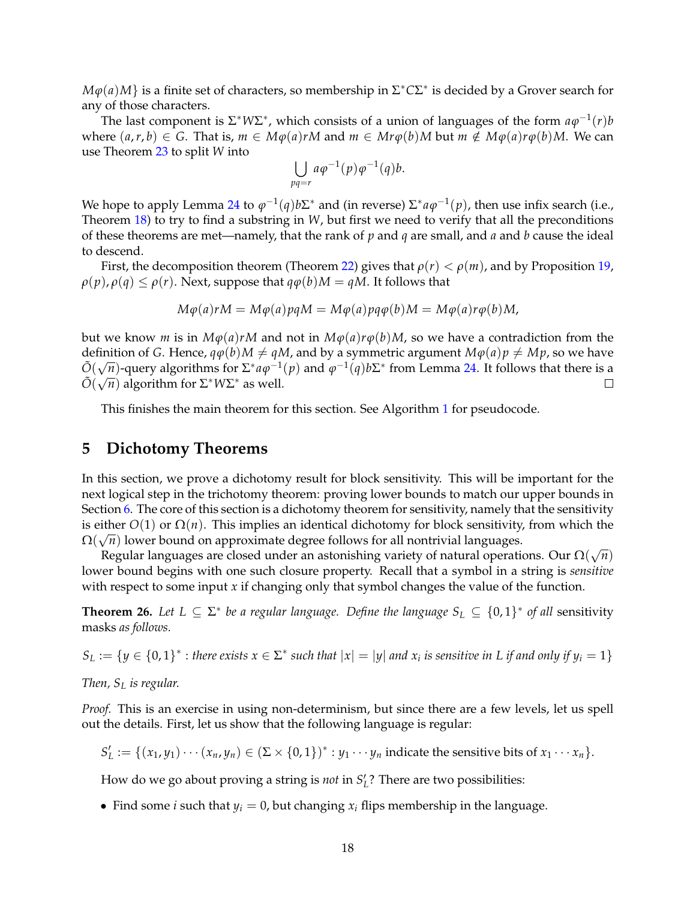$M\varphi(a)M$ } is a finite set of characters, so membership in  $\Sigma^*C\Sigma^*$  is decided by a Grover search for any of those characters.

The last component is  $\Sigma^* W \Sigma^*$ , which consists of a union of languages of the form  $a\varphi^{-1}(r)b$ where  $(a,r,b) \in G$ . That is,  $m \in M\varphi(a)rM$  and  $m \in Mr\varphi(b)M$  but  $m \notin M\varphi(a)r\varphi(b)M$ . We can use Theorem [23](#page-15-0) to split *W* into

$$
\bigcup_{pq=r} a\varphi^{-1}(p)\varphi^{-1}(q)b.
$$

We hope to apply Lemma [24](#page-15-2) to  $\varphi^{-1}(q) b \Sigma^*$  and (in reverse)  $\Sigma^* a \varphi^{-1}(p)$ , then use infix search (i.e., Theorem [18\)](#page-13-0) to try to find a substring in *W*, but first we need to verify that all the preconditions of these theorems are met—namely, that the rank of *p* and *q* are small, and *a* and *b* cause the ideal to descend.

First, the decomposition theorem (Theorem [22\)](#page-14-1) gives that  $\rho(r) < \rho(m)$ , and by Proposition [19,](#page-13-2)  $\rho(p), \rho(q) \leq \rho(r)$ . Next, suppose that  $q\varphi(b)M = qM$ . It follows that

$$
M\varphi(a)rM = M\varphi(a)pqM = M\varphi(a)pq\varphi(b)M = M\varphi(a)r\varphi(b)M,
$$

but we know *m* is in  $M\varphi(a)rM$  and not in  $M\varphi(a)r\varphi(b)M$ , so we have a contradiction from the definition of *G*. Hence,  $q\phi(b)M \neq qM$ , and by a symmetric argument  $M\phi(a)p \neq Mp$ , so we have  $\tilde{O}(\sqrt{n})$ -query algorithms for  $\Sigma^* a \varphi^{-1}(p)$  and  $\varphi^{-1}(q) b \Sigma^*$  from Lemma [24.](#page-15-2) It follows that there is a  $\tilde{O}(\sqrt{n})$  algorithm for  $\Sigma^* W \Sigma^*$  as well.  $\Box$ 

This finishes the main theorem for this section. See Algorithm [1](#page-18-0) for pseudocode.

### <span id="page-17-0"></span>**5 Dichotomy Theorems**

In this section, we prove a dichotomy result for block sensitivity. This will be important for the next logical step in the trichotomy theorem: proving lower bounds to match our upper bounds in Section [6.](#page-20-0) The core of this section is a dichotomy theorem for sensitivity, namely that the sensitivity is either  $O(1)$  or  $\Omega(n)$ . This implies an identical dichotomy for block sensitivity, from which the Ω( √ *n*) lower bound on approximate degree follows for all nontrivial languages.

Regular languages are closed under an astonishing variety of natural operations. Our Ω( √ *n*) lower bound begins with one such closure property. Recall that a symbol in a string is *sensitive* with respect to some input *x* if changing only that symbol changes the value of the function.

<span id="page-17-1"></span>**Theorem 26.** Let  $L \subseteq \Sigma^*$  be a regular language. Define the language  $S_L \subseteq \{0,1\}^*$  of all sensitivity masks *as follows.*

 $S_L := \{y \in \{0,1\}^* : \text{there exists } x \in \Sigma^* \text{ such that } |x| = |y| \text{ and } x_i \text{ is sensitive in } L \text{ if and only if } y_i = 1\}$ 

*Then, S<sup>L</sup> is regular.*

*Proof.* This is an exercise in using non-determinism, but since there are a few levels, let us spell out the details. First, let us show that the following language is regular:

 $S'_L := \{(x_1, y_1) \cdots (x_n, y_n) \in (\Sigma \times \{0, 1\})^* : y_1 \cdots y_n \text{ indicate the sensitive bits of } x_1 \cdots x_n\}.$ 

How do we go about proving a string is *not* in  $S_L'$ ? There are two possibilities:

• Find some *i* such that  $y_i = 0$ , but changing  $x_i$  flips membership in the language.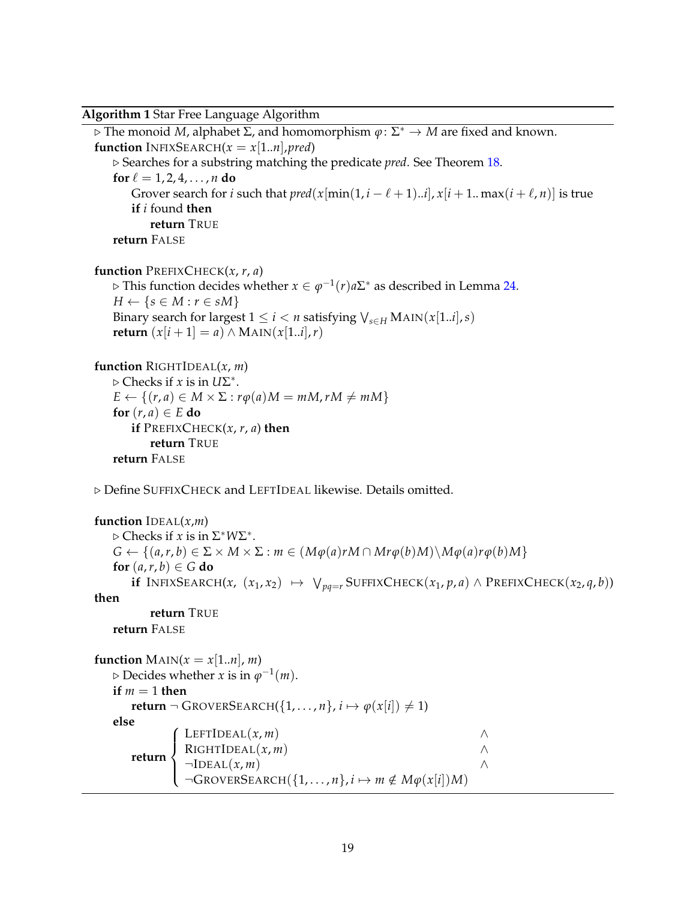<span id="page-18-0"></span>**Algorithm 1** Star Free Language Algorithm

⊲ The monoid *M*, alphabet Σ, and homomorphism *ϕ*: Σ <sup>∗</sup> → *M* are fixed and known. **function** INFIXSEARCH $(x = x[1..n], pred)$ ⊲ Searches for a substring matching the predicate *pred*. See Theorem [18.](#page-13-0) **for**  $\ell = 1, 2, 4, \ldots, n$  **do** Grover search for *i* such that  $pred(x[\min(1, i - \ell + 1)..i], x[i + 1..\max(i + \ell, n)]$  is true **if** *i* found **then return** TRUE **return** FALSE **function** PREFIXCHECK(*x*, *r*, *a*)  $\triangleright$  This function decides whether *x* ∈  $\varphi^{-1}(r)a\Sigma^*$  as described in Lemma [24.](#page-15-2)  $H \leftarrow \{s \in M : r \in sM\}$ Binary search for largest  $1 \le i < n$  satisfying  $\bigvee_{s \in H}$  MAIN( $x[1..i], s$ ) **return**  $(x[i + 1] = a) ∧ \text{MAN}(x[1..i], r)$ **function** RIGHTIDEAL(*x*, *m*) ⊲ Checks if *x* is in *U*Σ ∗ .  $E \leftarrow \{(r, a) \in M \times \Sigma : r\varphi(a)M = mM, rM \neq mM\}$ **for**  $(r, a) \in E$  **do if** PREFIXCHECK $(x, r, a)$  **then return** TRUE **return** FALSE ⊲ Define SUFFIXCHECK and LEFTIDEAL likewise. Details omitted. **function**  $$ ⊲ Checks if *x* is in Σ <sup>∗</sup>*W*Σ ∗ .  $G \leftarrow \{(a, r, b) \in \Sigma \times M \times \Sigma : m \in (M\varphi(a)rM \cap Mr\varphi(b)M) \setminus M\varphi(a)r\varphi(b)M\}$ **for**  $(a, r, b) \in G$  **do if** INFIXSEARCH(*x*, (*x*<sub>1</sub>, *x*<sub>2</sub>) →  $\forall$   $_{pq=r}$  SUFFIXCHECK(*x*<sub>1</sub>, *p*, *a*) ∧ PREFIXCHECK(*x*<sub>2</sub>, *q*, *b*)) **then return** TRUE **return** FALSE **function**  $\text{MAIN}(x = x[1..n], m)$  $\triangleright$  Decides whether *x* is in  $\varphi^{-1}(m)$ . **if**  $m = 1$  **then return** ¬ GROVERSEARCH({1, . . . , *n*}, *i*  $\mapsto$   $\varphi(x[i]) \neq 1$ ) **else return**  $\left($  LEFTIDEAL(*x*, *m*) ∧  $\overline{\mathcal{L}}$  $R$ IGHTIDEAL $(x, m)$  ∧  $\neg$ IDEAL(*x*, *m*)  $\wedge$  $\neg$ GROVERSEARCH({1, ..., *n*}, *i*  $\mapsto$  *m*  $\notin M\varphi(x[i])M$ )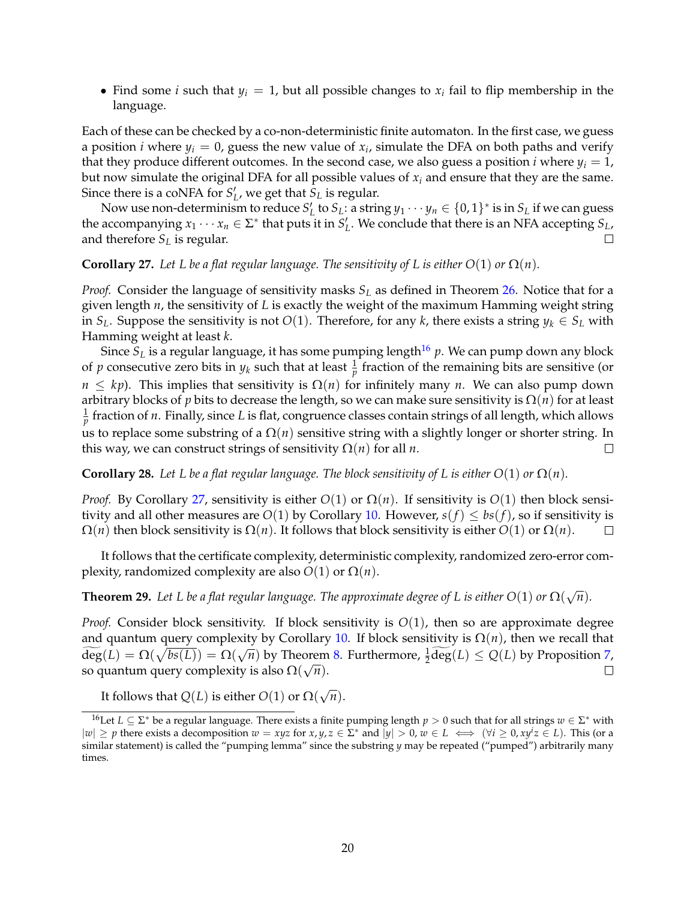• Find some *i* such that  $y_i = 1$ , but all possible changes to  $x_i$  fail to flip membership in the language.

Each of these can be checked by a co-non-deterministic finite automaton. In the first case, we guess a position *i* where  $y_i = 0$ , guess the new value of  $x_i$ , simulate the DFA on both paths and verify that they produce different outcomes. In the second case, we also guess a position *i* where  $y_i = 1$ , but now simulate the original DFA for all possible values of *x<sup>i</sup>* and ensure that they are the same. Since there is a coNFA for  $S_L'$ , we get that  $S_L$  is regular.

Now use non-determinism to reduce  $S'_{L}$  to  $S_{L}$ : a string  $y_{1} \cdots y_{n} \in \{0,1\}^{*}$  is in  $S_{L}$  if we can guess the accompanying  $x_1 \cdots x_n \in \Sigma^*$  that puts it in  $S'_L$ . We conclude that there is an NFA accepting  $S_L$ , and therefore *S<sup>L</sup>* is regular.  $\Box$ 

#### <span id="page-19-0"></span>**Corollary 27.** Let L be a flat regular language. The sensitivity of L is either  $O(1)$  or  $\Omega(n)$ .

*Proof.* Consider the language of sensitivity masks *S<sup>L</sup>* as defined in Theorem [26.](#page-17-1) Notice that for a given length *n*, the sensitivity of *L* is exactly the weight of the maximum Hamming weight string in  $S_L$ . Suppose the sensitivity is not  $O(1)$ . Therefore, for any *k*, there exists a string  $y_k \in S_L$  with Hamming weight at least *k*.

Since  $S_L$  is a regular language, it has some pumping length<sup>[16](#page-19-1)</sup> p. We can pump down any block of *p* consecutive zero bits in  $y_k$  such that at least  $\frac{1}{p}$  fraction of the remaining bits are sensitive (or  $n \leq kp$ ). This implies that sensitivity is  $\Omega(n)$  for infinitely many *n*. We can also pump down arbitrary blocks of *p* bits to decrease the length, so we can make sure sensitivity is Ω(*n*) for at least 1 *p* fraction of *n*. Finally, since *L* is flat, congruence classes contain strings of all length, which allows us to replace some substring of a  $\Omega(n)$  sensitive string with a slightly longer or shorter string. In this way, we can construct strings of sensitivity  $\Omega(n)$  for all *n*.  $\Box$ 

**Corollary 28.** Let L be a flat regular language. The block sensitivity of L is either  $O(1)$  or  $\Omega(n)$ .

*Proof.* By Corollary [27,](#page-19-0) sensitivity is either  $O(1)$  or  $\Omega(n)$ . If sensitivity is  $O(1)$  then block sensitivity and all other measures are *O*(1) by Corollary [10.](#page-8-4) However, *s*(*f*)  $\leq$  *bs*(*f*), so if sensitivity is  $\Omega(n)$  then block sensitivity is  $\Omega(n)$ . It follows that block sensitivity is either *O*(1) or  $\Omega(n)$ .  $\Omega(n)$  then block sensitivity is  $\Omega(n)$ . It follows that block sensitivity is either  $O(1)$  or  $\Omega(n)$ .

It follows that the certificate complexity, deterministic complexity, randomized zero-error complexity, randomized complexity are also  $O(1)$  or  $\Omega(n)$ .

<span id="page-19-2"></span>**Theorem 29.** Let L be a flat regular language. The approximate degree of L is either  $O(1)$  or  $\Omega(\sqrt{n})$ .

*Proof.* Consider block sensitivity. If block sensitivity is  $O(1)$ , then so are approximate degree and quantum query complexity by Corollary [10.](#page-8-4) If block sensitivity is  $\Omega(n)$ , then we recall that  $\widetilde{\deg}(L) = \Omega(\sqrt{bs(L)}) = \Omega(\sqrt{n})$  by Theorem [8.](#page-8-5) Furthermore,  $\frac{1}{2} \widetilde{\deg}(L) \le Q(L)$  by Proposition [7,](#page-7-0) so quantum query complexity is also  $\Omega(\sqrt{n})$ .

It follows that  $Q(L)$  is either  $O(1)$  or  $\Omega(\sqrt{n})$ .

<span id="page-19-1"></span><sup>&</sup>lt;sup>16</sup>Let *L* ⊆ Σ<sup>\*</sup> be a regular language. There exists a finite pumping length *p* > 0 such that for all strings *w* ∈ Σ<sup>\*</sup> with  $|w|$  ≥ *p* there exists a decomposition  $w = xyz$  for  $x, y, z \in \Sigma^*$  and  $|y| > 0$ ,  $w \in L \iff (\forall i \ge 0, xy^i z \in L)$ . This (or a similar statement) is called the "pumping lemma" since the substring *y* may be repeated ("pumped") arbitrarily many times.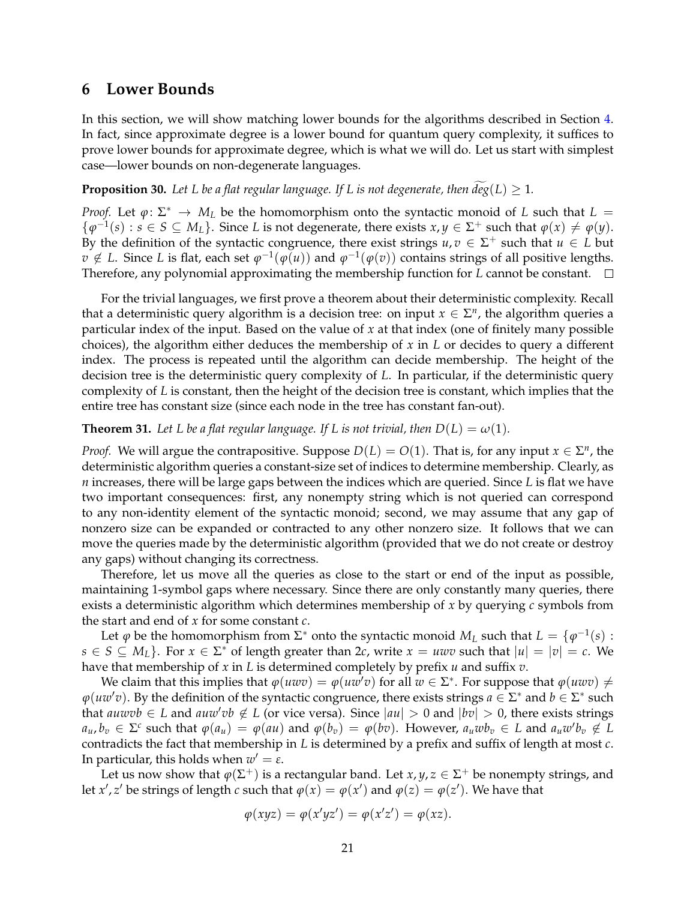### <span id="page-20-0"></span>**6 Lower Bounds**

In this section, we will show matching lower bounds for the algorithms described in Section [4.](#page-11-0) In fact, since approximate degree is a lower bound for quantum query complexity, it suffices to prove lower bounds for approximate degree, which is what we will do. Let us start with simplest case—lower bounds on non-degenerate languages.

**Proposition 30.** Let L be a flat regular language. If L is not degenerate, then  $deg(L) \geq 1$ .

*Proof.* Let  $\varphi: \Sigma^* \to M_L$  be the homomorphism onto the syntactic monoid of *L* such that  $L =$  $\{\varphi^{-1}(s): s \in S \subseteq M_L\}$ . Since *L* is not degenerate, there exists  $x, y \in \Sigma^+$  such that  $\varphi(x) \neq \varphi(y)$ . By the definition of the syntactic congruence, there exist strings  $u, v \in \Sigma^+$  such that  $u \in L$  but *v* ∉ *L*. Since *L* is flat, each set  $\varphi^{-1}(\varphi(u))$  and  $\varphi^{-1}(\varphi(v))$  contains strings of all positive lengths. Therefore, any polynomial approximating the membership function for *L* cannot be constant.

For the trivial languages, we first prove a theorem about their deterministic complexity. Recall that a deterministic query algorithm is a decision tree: on input  $x \in \Sigma^n$ , the algorithm queries a particular index of the input. Based on the value of *x* at that index (one of finitely many possible choices), the algorithm either deduces the membership of *x* in *L* or decides to query a different index. The process is repeated until the algorithm can decide membership. The height of the decision tree is the deterministic query complexity of *L*. In particular, if the deterministic query complexity of *L* is constant, then the height of the decision tree is constant, which implies that the entire tree has constant size (since each node in the tree has constant fan-out).

<span id="page-20-1"></span>**Theorem 31.** Let L be a flat regular language. If L is not trivial, then  $D(L) = \omega(1)$ .

*Proof.* We will argue the contrapositive. Suppose  $D(L) = O(1)$ . That is, for any input  $x \in \Sigma^n$ , the deterministic algorithm queries a constant-size set of indices to determine membership. Clearly, as *n* increases, there will be large gaps between the indices which are queried. Since *L* is flat we have two important consequences: first, any nonempty string which is not queried can correspond to any non-identity element of the syntactic monoid; second, we may assume that any gap of nonzero size can be expanded or contracted to any other nonzero size. It follows that we can move the queries made by the deterministic algorithm (provided that we do not create or destroy any gaps) without changing its correctness.

Therefore, let us move all the queries as close to the start or end of the input as possible, maintaining 1-symbol gaps where necessary. Since there are only constantly many queries, there exists a deterministic algorithm which determines membership of *x* by querying *c* symbols from the start and end of *x* for some constant *c*.

Let  $\varphi$  be the homomorphism from  $\Sigma^*$  onto the syntactic monoid  $M_L$  such that  $L = {\varphi^{-1}(s)}$ : *s* ∈ *S* ⊆ *M*<sup>*L*</sup>. For *x* ∈  $\Sigma^*$  of length greater than 2*c*, write *x* = *uwv* such that  $|u| = |v| = c$ . We have that membership of *x* in *L* is determined completely by prefix *u* and suffix *v*.

We claim that this implies that  $\varphi(uwv) = \varphi(uw'v)$  for all  $w \in \Sigma^*$ . For suppose that  $\varphi(uwv) \neq$  $\varphi(uw'v)$ . By the definition of the syntactic congruence, there exists strings  $a \in \Sigma^*$  and  $b \in \Sigma^*$  such that *auwvb* ∈ *L* and *auw'vb* ∉ *L* (or vice versa). Since  $|au| > 0$  and  $|bv| > 0$ , there exists strings  $a_u, b_v \in \Sigma^c$  such that  $\varphi(a_u) = \varphi(au)$  and  $\varphi(b_v) = \varphi(bv)$ . However,  $a_u w b_v \in L$  and  $a_u w' b_v \notin L$ contradicts the fact that membership in *L* is determined by a prefix and suffix of length at most *c*. In particular, this holds when  $w'=\varepsilon.$ 

Let us now show that  $\varphi(\Sigma^+)$  is a rectangular band. Let  $x, y, z \in \Sigma^+$  be nonempty strings, and let *x',*  $z'$  be strings of length  $c$  such that  $\varphi(x) = \varphi(x')$  and  $\varphi(z) = \varphi(z')$ . We have that

$$
\varphi(xyz) = \varphi(x'yz') = \varphi(x'z') = \varphi(xz).
$$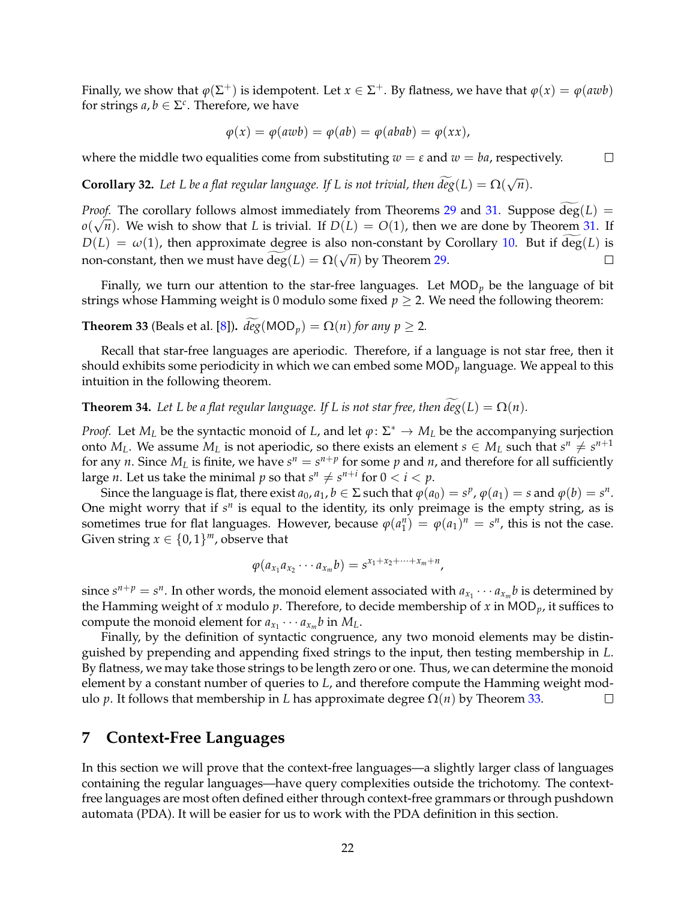Finally, we show that  $\varphi(\Sigma^+)$  is idempotent. Let  $x \in \Sigma^+$ . By flatness, we have that  $\varphi(x) = \varphi(awb)$ for strings  $a, b \in \Sigma^c$ . Therefore, we have

$$
\varphi(x) = \varphi(awb) = \varphi(ab) = \varphi(abab) = \varphi(xx),
$$

where the middle two equalities come from substituting  $w = \varepsilon$  and  $w = ba$ , respectively.  $\Box$ 

**Corollary 32.** Let L be a flat regular language. If L is not trivial, then  $\widetilde{deg}(L) = \Omega(\sqrt{n}).$ 

*Proof.* The corollary follows almost immediately from Theorems [29](#page-19-2) and [31.](#page-20-1) Suppose  $deg(L)$  =  $o(\sqrt{n})$ . We wish to show that *L* is trivial. If  $D(L) = O(1)$ , then we are done by Theorem [31.](#page-20-1) If  $D(L) = \omega(1)$ , then approximate degree is also non-constant by Corollary [10.](#page-8-4) But if deg(*L*) is non-constant, then we must have  $\widetilde{\deg}(L) = \Omega(\sqrt{n})$  by Theorem [29.](#page-19-2)  $\Box$ 

Finally, we turn our attention to the star-free languages. Let MOD*<sup>p</sup>* be the language of bit strings whose Hamming weight is 0 modulo some fixed  $p \ge 2$ . We need the following theorem:

<span id="page-21-1"></span>**Theorem 33** (Beals et al. [\[8\]](#page-26-0)).  $\widetilde{deg}(MOD_p) = \Omega(n)$  for any  $p \ge 2$ .

Recall that star-free languages are aperiodic. Therefore, if a language is not star free, then it should exhibits some periodicity in which we can embed some MOD*<sup>p</sup>* language. We appeal to this intuition in the following theorem.

**Theorem 34.** Let L be a flat regular language. If L is not star free, then  $\widetilde{deg}(L) = \Omega(n)$ .

*Proof.* Let  $M_L$  be the syntactic monoid of *L*, and let  $\varphi \colon \Sigma^* \to M_L$  be the accompanying surjection onto  $M_L$ . We assume  $M_L$  is not aperiodic, so there exists an element  $s \in M_L$  such that  $s^n \neq s^{n+1}$ for any *n*. Since  $M_L$  is finite, we have  $s^n = s^{n+p}$  for some  $p$  and  $n$ , and therefore for all sufficiently large *n*. Let us take the minimal *p* so that  $s^n \neq s^{n+i}$  for  $0 < i < p$ .

Since the language is flat, there exist  $a_0$ ,  $a_1$ ,  $b \in \Sigma$  such that  $\varphi(a_0) = s^p$ ,  $\varphi(a_1) = s$  and  $\varphi(b) = s^n$ . One might worry that if  $s^n$  is equal to the identity, its only preimage is the empty string, as is sometimes true for flat languages. However, because  $\varphi(a_1^n) = \varphi(a_1)^n = s^n$ , this is not the case. Given string  $x \in \{0,1\}^m$ , observe that

$$
\varphi(a_{x_1}a_{x_2}\cdots a_{x_m}b)=s^{x_1+x_2+\cdots+x_m+n},
$$

since  $s^{n+p} = s^n$ . In other words, the monoid element associated with  $a_{x_1} \cdots a_{x_m} b$  is determined by the Hamming weight of *x* modulo *p*. Therefore, to decide membership of *x* in MOD*p*, it suffices to compute the monoid element for  $a_{x_1} \cdots a_{x_m} b$  in  $M_L$ .

Finally, by the definition of syntactic congruence, any two monoid elements may be distinguished by prepending and appending fixed strings to the input, then testing membership in *L*. By flatness, we may take those strings to be length zero or one. Thus, we can determine the monoid element by a constant number of queries to *L*, and therefore compute the Hamming weight modulo *p*. It follows that membership in *L* has approximate degree  $Ω(n)$  by Theorem [33.](#page-21-1)  $\Box$ 

### <span id="page-21-0"></span>**7 Context-Free Languages**

In this section we will prove that the context-free languages—a slightly larger class of languages containing the regular languages—have query complexities outside the trichotomy. The contextfree languages are most often defined either through context-free grammars or through pushdown automata (PDA). It will be easier for us to work with the PDA definition in this section.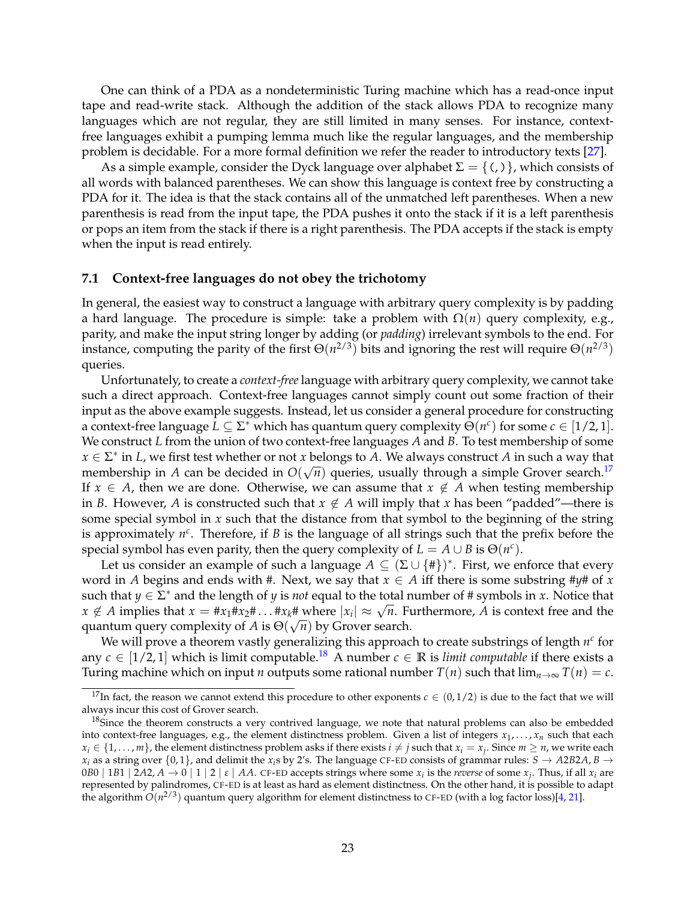One can think of a PDA as a nondeterministic Turing machine which has a read-once input tape and read-write stack. Although the addition of the stack allows PDA to recognize many languages which are not regular, they are still limited in many senses. For instance, contextfree languages exhibit a pumping lemma much like the regular languages, and the membership problem is decidable. For a more formal definition we refer the reader to introductory texts [\[27\]](#page-28-2).

As a simple example, consider the Dyck language over alphabet  $\Sigma = \{ \langle , \rangle \}$ , which consists of all words with balanced parentheses. We can show this language is context free by constructing a PDA for it. The idea is that the stack contains all of the unmatched left parentheses. When a new parenthesis is read from the input tape, the PDA pushes it onto the stack if it is a left parenthesis or pops an item from the stack if there is a right parenthesis. The PDA accepts if the stack is empty when the input is read entirely.

#### **7.1 Context-free languages do not obey the trichotomy**

In general, the easiest way to construct a language with arbitrary query complexity is by padding a hard language. The procedure is simple: take a problem with  $\Omega(n)$  query complexity, e.g., parity, and make the input string longer by adding (or *padding*) irrelevant symbols to the end. For instance, computing the parity of the first  $\Theta(n^{2/3})$  bits and ignoring the rest will require  $\Theta(n^{2/3})$ queries.

Unfortunately, to create a *context-free* language with arbitrary query complexity, we cannot take such a direct approach. Context-free languages cannot simply count out some fraction of their input as the above example suggests. Instead, let us consider a general procedure for constructing a context-free language  $L \subseteq \Sigma^*$  which has quantum query complexity  $\Theta(n^c)$  for some  $c \in [1/2, 1]$ . We construct *L* from the union of two context-free languages *A* and *B*. To test membership of some  $x \in \Sigma^*$  in *L*, we first test whether or not *x* belongs to *A*. We always construct *A* in such a way that membership in *A* can be decided in  $O(\sqrt{n})$  queries, usually through a simple Grover search.<sup>[17](#page-22-0)</sup> If  $x \in A$ , then we are done. Otherwise, we can assume that  $x \notin A$  when testing membership in *B*. However, *A* is constructed such that  $x \notin A$  will imply that *x* has been "padded"—there is some special symbol in *x* such that the distance from that symbol to the beginning of the string is approximately  $n^c$ . Therefore, if *B* is the language of all strings such that the prefix before the special symbol has even parity, then the query complexity of  $L = A \cup B$  is  $\Theta(n^c)$ .

Let us consider an example of such a language  $A \subseteq (\Sigma \cup \{ \# \})^*$ . First, we enforce that every word in *A* begins and ends with #. Next, we say that  $x \in A$  iff there is some substring # $y$ # of *x* such that *y*  $\in \Sigma^*$  and the length of *y* is *not* equal to the total number of # symbols in *x*. Notice that  $x \notin A$  implies that  $x = \#x_1 \#x_2 \# \dots \#x_k \#$  where  $|x_i| \approx \sqrt{n}$ . Furthermore, *A* is context free and the quantum query complexity of *A* is  $\Theta(\sqrt{n})$  by Grover search.

We will prove a theorem vastly generalizing this approach to create substrings of length  $n<sup>c</sup>$  for any  $c \in [1/2, 1]$  which is limit computable.<sup>[18](#page-22-1)</sup> A number  $c \in \mathbb{R}$  is *limit computable* if there exists a Turing machine which on input *n* outputs some rational number  $T(n)$  such that  $\lim_{n\to\infty} T(n) = c$ .

<span id="page-22-0"></span><sup>&</sup>lt;sup>17</sup>In fact, the reason we cannot extend this procedure to other exponents  $c \in (0, 1/2)$  is due to the fact that we will always incur this cost of Grover search.

<span id="page-22-1"></span><sup>&</sup>lt;sup>18</sup>Since the theorem constructs a very contrived language, we note that natural problems can also be embedded into context-free languages, e.g., the element distinctness problem. Given a list of integers  $x_1,\ldots,x_n$  such that each  $x_i \in \{1, \ldots, m\}$ , the element distinctness problem asks if there exists  $i \neq j$  such that  $x_i = x_j$ . Since  $m \geq n$ , we write each *x*<sub>*i*</sub> as a string over  $\{0, 1\}$ , and delimit the *x*<sub>*i*</sub>s by 2's. The language CF-ED consists of grammar rules: *S*  $\rightarrow$  *A*2*B*2*A*, *B*  $\rightarrow$  $0B0 \mid 1B1 \mid 2A2$ ,  $A \to 0 \mid 1 \mid 2 \mid \varepsilon \mid AA$ . CF-ED accepts strings where some  $x_i$  is the *reverse* of some  $x_j$ . Thus, if all  $x_i$  are represented by palindromes, CF-ED is at least as hard as element distinctness. On the other hand, it is possible to adapt the algorithm  $O(n^{2/3})$  quantum query algorithm for element distinctness to CF-ED (with a log factor loss)[\[4,](#page-26-5) [21\]](#page-27-9).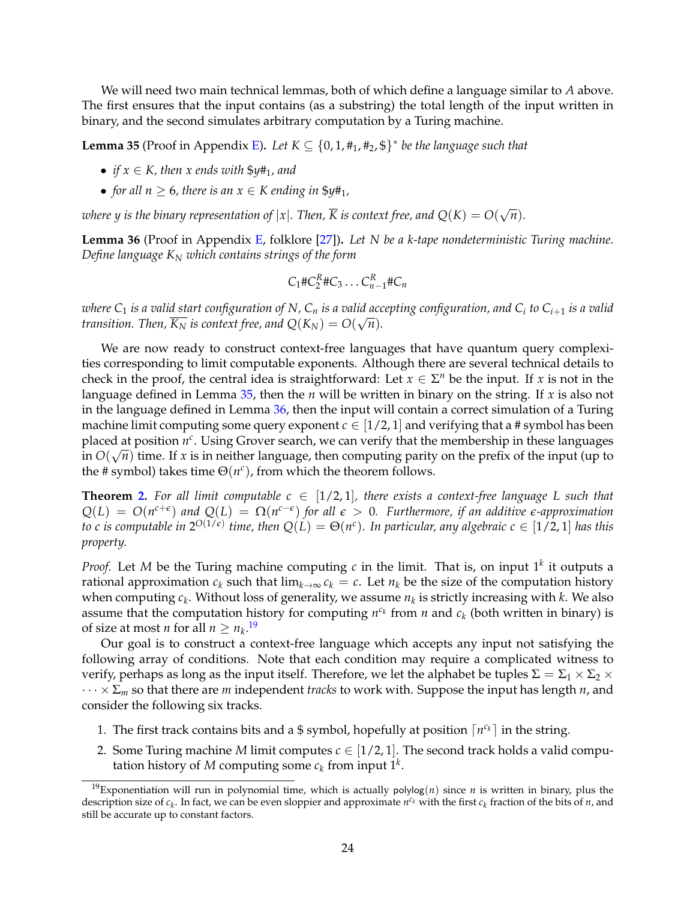We will need two main technical lemmas, both of which define a language similar to *A* above. The first ensures that the input contains (as a substring) the total length of the input written in binary, and the second simulates arbitrary computation by a Turing machine.

<span id="page-23-0"></span>**Lemma 35** (Proof in Appendix **E**). Let  $K \subseteq \{0, 1, \text{\#}_1, \text{\#}_2, \text{\$}\}^*$  be the language such that

- *if*  $x \in K$ *, then*  $x$  *ends with*  $\frac{6}{7}$ *y*#<sub>1</sub>*, and*
- *for all n*  $\geq 6$ *, there is an*  $x \in K$  *ending in*  $\frac{6}{7}$ *y*#<sub>1</sub>*,*

*where y is the binary representation of*  $|x|$ *. Then,*  $\overline{K}$  *is context free, and*  $Q(K) = O(\sqrt{n})$ *.* 

<span id="page-23-1"></span>**Lemma 36** (Proof in Appendix [E,](#page-36-0) folklore [\[27\]](#page-28-2))**.** *Let N be a k-tape nondeterministic Turing machine. Define language K<sup>N</sup> which contains strings of the form*

$$
C_1 \# C_2^R \# C_3 \ldots C_{n-1}^R \# C_n
$$

*where C*<sup>1</sup> *is a valid start configuration of N, C<sup>n</sup> is a valid accepting configuration, and C<sup>i</sup> to Ci*+<sup>1</sup> *is a valid transition.* Then,  $\overline{K_N}$  *is context free, and*  $Q(K_N) = O(\sqrt{n})$ *.* 

We are now ready to construct context-free languages that have quantum query complexities corresponding to limit computable exponents. Although there are several technical details to check in the proof, the central idea is straightforward: Let  $x \in \Sigma^n$  be the input. If *x* is not in the language defined in Lemma [35,](#page-23-0) then the *n* will be written in binary on the string. If *x* is also not in the language defined in Lemma [36,](#page-23-1) then the input will contain a correct simulation of a Turing machine limit computing some query exponent  $c \in [1/2, 1]$  and verifying that a # symbol has been placed at position  $n^c$ . Using Grover search, we can verify that the membership in these languages  $\lim_{\Delta} O(\sqrt{n})$  time. If *x* is in neither language, then computing parity on the prefix of the input (up to the # symbol) takes time  $\Theta(n^c)$ , from which the theorem follows.

**Theorem [2.](#page-3-1)** For all limit computable  $c \in [1/2, 1]$ , there exists a context-free language L such that  $Q(L) = O(n^{c+\epsilon})$  and  $Q(L) = \Omega(n^{c-\epsilon})$  for all  $\epsilon > 0$ . Furthermore, if an additive  $\epsilon$ *-approximation to c is computable in*  $2^{O(1/\epsilon)}$  *time, then*  $Q(L) = \Theta(n^c)$ *. In particular, any algebraic*  $c \in [1/2, 1]$  *<i>has this property.*

*Proof.* Let *M* be the Turing machine computing *c* in the limit. That is, on input 1*<sup>k</sup>* it outputs a rational approximation  $c_k$  such that  $\lim_{k\to\infty} c_k = c$ . Let  $n_k$  be the size of the computation history when computing *c<sup>k</sup>* . Without loss of generality, we assume *n<sup>k</sup>* is strictly increasing with *k*. We also assume that the computation history for computing  $n^{c_k}$  from  $n$  and  $c_k$  (both written in binary) is of size at most *n* for all  $n \geq n_k$ .<sup>[19](#page-23-2)</sup>

Our goal is to construct a context-free language which accepts any input not satisfying the following array of conditions. Note that each condition may require a complicated witness to verify, perhaps as long as the input itself. Therefore, we let the alphabet be tuples  $\Sigma = \Sigma_1 \times \Sigma_2 \times$ · · · × <sup>Σ</sup>*<sup>m</sup>* so that there are *<sup>m</sup>* independent *tracks* to work with. Suppose the input has length *<sup>n</sup>*, and consider the following six tracks.

- 1. The first track contains bits and a \$ symbol, hopefully at position  $\lceil n^{c_k} \rceil$  in the string.
- 2. Some Turing machine *M* limit computes  $c \in [1/2, 1]$ . The second track holds a valid computation history of *M* computing some  $c_k$  from input  $1^k$ .

<span id="page-23-2"></span><sup>&</sup>lt;sup>19</sup>Exponentiation will run in polynomial time, which is actually polylog(*n*) since *n* is written in binary, plus the description size of  $c_k$ . In fact, we can be even sloppier and approximate  $n^{c_k}$  with the first  $c_k$  fraction of the bits of *n*, and still be accurate up to constant factors.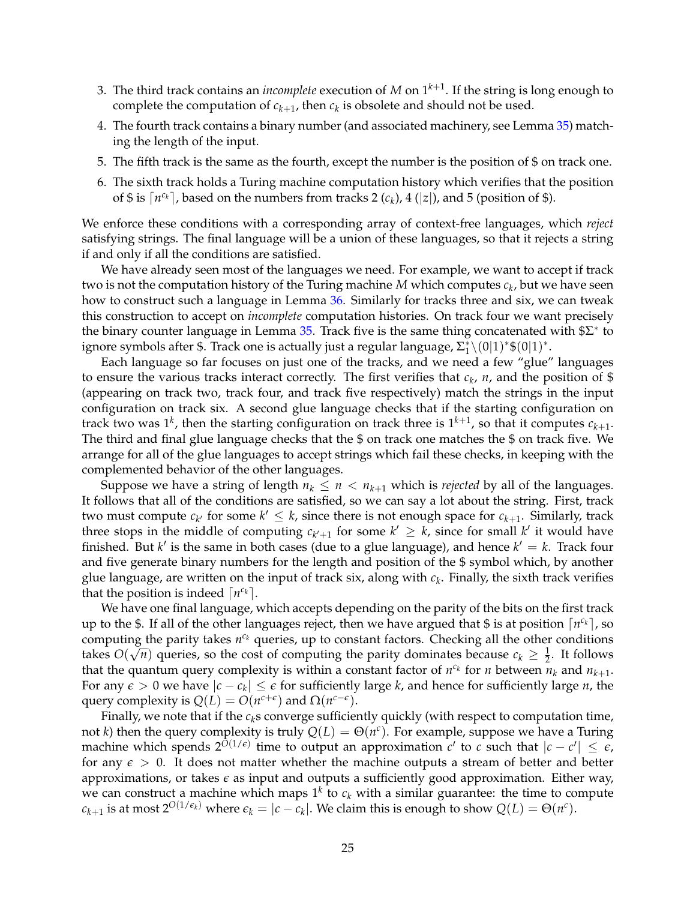- 3. The third track contains an *incomplete* execution of *M* on 1*k*+<sup>1</sup> . If the string is long enough to complete the computation of  $c_{k+1}$ , then  $c_k$  is obsolete and should not be used.
- 4. The fourth track contains a binary number (and associated machinery, see Lemma [35\)](#page-23-0) matching the length of the input.
- 5. The fifth track is the same as the fourth, except the number is the position of \$ on track one.
- 6. The sixth track holds a Turing machine computation history which verifies that the position of \$ is  $\lceil n^{c_k} \rceil$ , based on the numbers from tracks 2  $(c_k)$ , 4  $(|z|)$ , and 5 (position of \$).

We enforce these conditions with a corresponding array of context-free languages, which *reject* satisfying strings. The final language will be a union of these languages, so that it rejects a string if and only if all the conditions are satisfied.

We have already seen most of the languages we need. For example, we want to accept if track two is not the computation history of the Turing machine  $M$  which computes  $c_k$ , but we have seen how to construct such a language in Lemma [36.](#page-23-1) Similarly for tracks three and six, we can tweak this construction to accept on *incomplete* computation histories. On track four we want precisely the binary counter language in Lemma [35.](#page-23-0) Track five is the same thing concatenated with  $E^*$  to ignore symbols after \$. Track one is actually just a regular language,  $\Sigma_1^* \backslash (0|1)^* \$ 

Each language so far focuses on just one of the tracks, and we need a few "glue" languages to ensure the various tracks interact correctly. The first verifies that  $c_k$ ,  $n$ , and the position of \$ (appearing on track two, track four, and track five respectively) match the strings in the input configuration on track six. A second glue language checks that if the starting configuration on track two was  $1^k$ , then the starting configuration on track three is  $1^{k+1}$ , so that it computes  $c_{k+1}$ . The third and final glue language checks that the \$ on track one matches the \$ on track five. We arrange for all of the glue languages to accept strings which fail these checks, in keeping with the complemented behavior of the other languages.

Suppose we have a string of length  $n_k \leq n \leq n_{k+1}$  which is *rejected* by all of the languages. It follows that all of the conditions are satisfied, so we can say a lot about the string. First, track two must compute  $c_{k'}$  for some  $k' \leq k$ , since there is not enough space for  $c_{k+1}$ . Similarly, track three stops in the middle of computing  $c_{k'+1}$  for some  $k' \geq k$ , since for small  $k'$  it would have finished. But  $k'$  is the same in both cases (due to a glue language), and hence  $k' = k$ . Track four and five generate binary numbers for the length and position of the \$ symbol which, by another glue language, are written on the input of track six, along with *c<sup>k</sup>* . Finally, the sixth track verifies that the position is indeed  $\lceil n^{c_k} \rceil$ .

We have one final language, which accepts depending on the parity of the bits on the first track up to the \$. If all of the other languages reject, then we have argued that \$ is at position  $\lceil n^{c_k} \rceil$ , so computing the parity takes  $n^{c_k}$  queries, up to constant factors. Checking all the other conditions takes  $O(\sqrt{n})$  queries, so the cost of computing the parity dominates because  $c_k \geq \frac{1}{2}$ . It follows that the quantum query complexity is within a constant factor of  $n^{c_k}$  for *n* between  $n_k$  and  $n_{k+1}$ . For any  $\epsilon > 0$  we have  $|c - c_k| \leq \epsilon$  for sufficiently large *k*, and hence for sufficiently large *n*, the query complexity is  $Q(L) = O(n^{c+\epsilon})$  and  $\Omega(n^{c-\epsilon})$ .

Finally, we note that if the  $c_k$ s converge sufficiently quickly (with respect to computation time, not *k*) then the query complexity is truly  $Q(L) = \Theta(n^c)$ . For example, suppose we have a Turing machine which spends  $2^{O(1/\epsilon)}$  time to output an approximation *c*' to *c* such that  $|c - c'| \leq \epsilon$ , for any  $\epsilon > 0$ . It does not matter whether the machine outputs a stream of better and better approximations, or takes  $\epsilon$  as input and outputs a sufficiently good approximation. Either way, we can construct a machine which maps  $1^k$  to  $c_k$  with a similar guarantee: the time to compute  $c_{k+1}$  is at most  $2^{O(1/\epsilon_k)}$  where  $\epsilon_k = |c - c_k|$ . We claim this is enough to show  $Q(L) = \Theta(n^c)$ .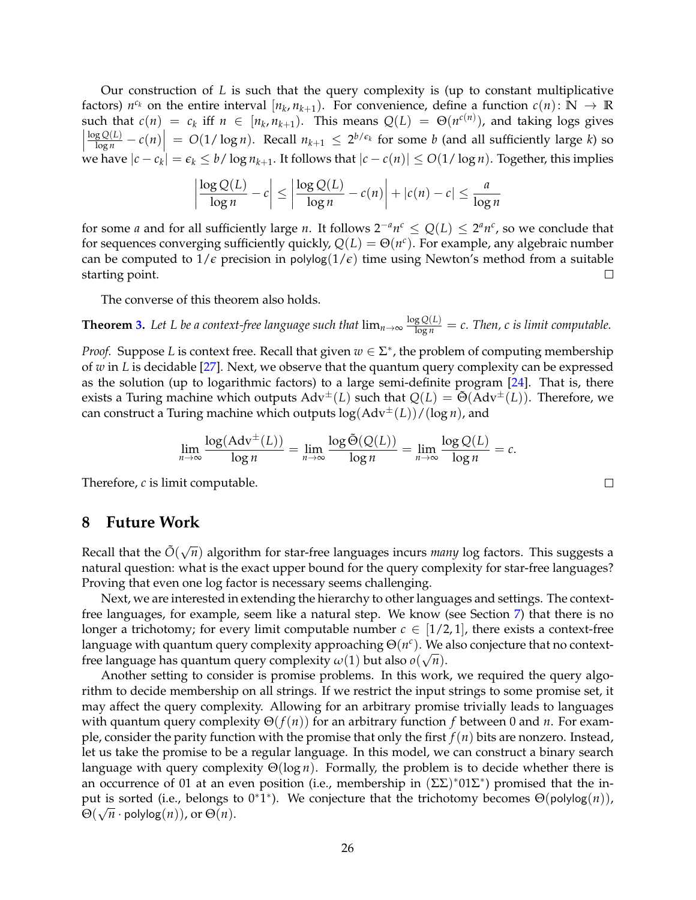Our construction of *L* is such that the query complexity is (up to constant multiplicative factors)  $n^{c_k}$  on the entire interval  $[n_k, n_{k+1})$ . For convenience, define a function  $c(n) \colon \mathbb{N} \to \mathbb{R}$ such that  $c(n) = c_k$  iff  $n \in [n_k, n_{k+1})$ . This means  $Q(L) = \Theta(n^{c(n)})$ , and taking logs gives  $\left| \frac{\log Q(L)}{\log n} - c(n) \right| = O(1/\log n)$ . Recall  $n_{k+1} \leq 2^{b/\epsilon_k}$  for some *b* (and all sufficiently large *k*) so we have  $|c - c_k| = \epsilon_k \le b / \log n_{k+1}$ . It follows that  $|c - c(n)| \le O(1 / \log n)$ . Together, this implies

$$
\left|\frac{\log Q(L)}{\log n} - c\right| \le \left|\frac{\log Q(L)}{\log n} - c(n)\right| + |c(n) - c| \le \frac{a}{\log n}
$$

for some *a* and for all sufficiently large *n*. It follows  $2^{-a}n^c \leq Q(L) \leq 2^a n^c$ , so we conclude that for sequences converging sufficiently quickly,  $Q(L) = \Theta(n^c)$ . For example, any algebraic number can be computed to  $1/\epsilon$  precision in polylog( $1/\epsilon$ ) time using Newton's method from a suitable starting point.  $\Box$ 

The converse of this theorem also holds.

**Theorem [3.](#page-3-2)** Let L be a context-free language such that  $\lim_{n\to\infty} \frac{\log Q(L)}{\log n} = c$ . Then, c is limit computable.

*Proof.* Suppose *L* is context free. Recall that given  $w \in \Sigma^*$ , the problem of computing membership of *w* in *L* is decidable [\[27\]](#page-28-2). Next, we observe that the quantum query complexity can be expressed as the solution (up to logarithmic factors) to a large semi-definite program [\[24\]](#page-27-10). That is, there exists a Turing machine which outputs  $Adv^{\pm}(L)$  such that  $Q(L) = \tilde{\Theta}(Adv^{\pm}(L))$ . Therefore, we can construct a Turing machine which outputs log(Adv±(*L*))/(log *n*), and

$$
\lim_{n \to \infty} \frac{\log(\mathrm{Adv}^{\pm}(L))}{\log n} = \lim_{n \to \infty} \frac{\log \tilde{\Theta}(Q(L))}{\log n} = \lim_{n \to \infty} \frac{\log Q(L)}{\log n} = c.
$$

Therefore, *c* is limit computable.

### **8 Future Work**

Recall that the  $\tilde{O}(\sqrt{n})$  algorithm for star-free languages incurs *many* log factors. This suggests a natural question: what is the exact upper bound for the query complexity for star-free languages? Proving that even one log factor is necessary seems challenging.

Next, we are interested in extending the hierarchy to other languages and settings. The contextfree languages, for example, seem like a natural step. We know (see Section [7\)](#page-21-0) that there is no longer a trichotomy; for every limit computable number  $c \in [1/2, 1]$ , there exists a context-free language with quantum query complexity approaching  $\Theta(n^c)$ . We also conjecture that no contextfree language has quantum query complexity  $\omega(1)$  but also  $o(\sqrt{n})$ .

Another setting to consider is promise problems. In this work, we required the query algorithm to decide membership on all strings. If we restrict the input strings to some promise set, it may affect the query complexity. Allowing for an arbitrary promise trivially leads to languages with quantum query complexity Θ(*f*(*n*)) for an arbitrary function *f* between 0 and *n*. For example, consider the parity function with the promise that only the first *f*(*n*) bits are nonzero. Instead, let us take the promise to be a regular language. In this model, we can construct a binary search language with query complexity Θ(log *n*). Formally, the problem is to decide whether there is an occurrence of 01 at an even position (i.e., membership in  $(\Sigma \Sigma)^* 01 \Sigma^*$ ) promised that the input is sorted (i.e., belongs to 0∗1 ∗ ). We conjecture that the trichotomy becomes Θ(polylog(*n*)),  $\Theta(\sqrt{n} \cdot \text{polylog}(n))$ , or  $\Theta(n)$ .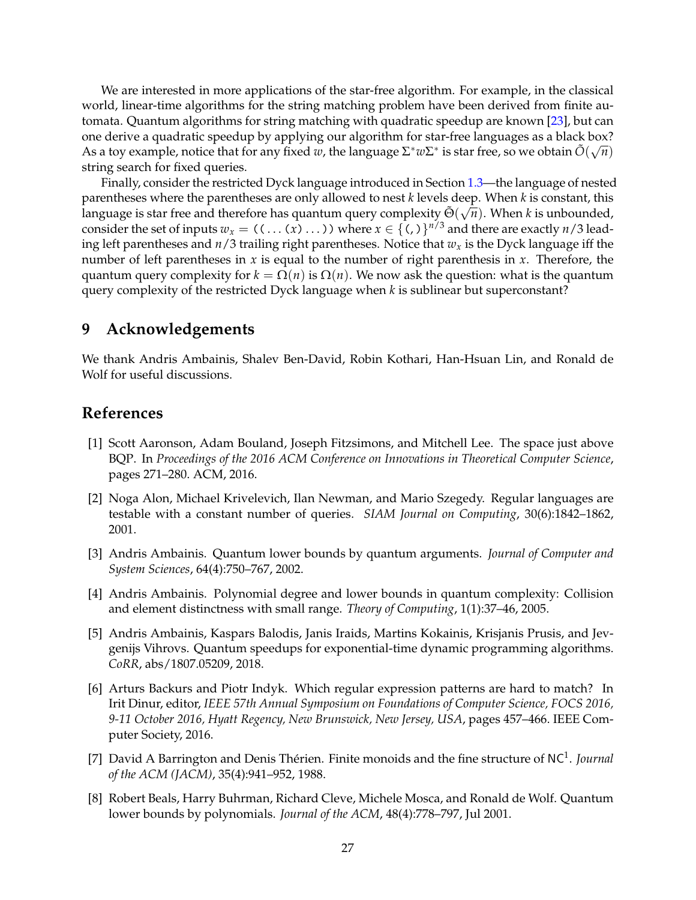We are interested in more applications of the star-free algorithm. For example, in the classical world, linear-time algorithms for the string matching problem have been derived from finite automata. Quantum algorithms for string matching with quadratic speedup are known [\[23\]](#page-27-11), but can one derive a quadratic speedup by applying our algorithm for star-free languages as a black box? As a toy example, notice that for any fixed *w*, the language  $\Sigma^* w \Sigma^*$  is star free, so we obtain  $\tilde{O}(\sqrt{n})$ string search for fixed queries.

Finally, consider the restricted Dyck language introduced in Section [1.3—](#page-4-0)the language of nested parentheses where the parentheses are only allowed to nest *k* levels deep. When *k* is constant, this language is star free and therefore has quantum query complexity  $\tilde{\Theta}(\sqrt{n})$ . When *k* is unbounded, consider the set of inputs  $w_x = ((\dots(x) \dots))$  where  $x \in \{(),\}^{n/3}$  and there are exactly  $n/3$  leading left parentheses and  $n/3$  trailing right parentheses. Notice that  $w_x$  is the Dyck language iff the number of left parentheses in *x* is equal to the number of right parenthesis in *x*. Therefore, the quantum query complexity for  $k = \Omega(n)$  is  $\Omega(n)$ . We now ask the question: what is the quantum query complexity of the restricted Dyck language when *k* is sublinear but superconstant?

# **9 Acknowledgements**

We thank Andris Ambainis, Shalev Ben-David, Robin Kothari, Han-Hsuan Lin, and Ronald de Wolf for useful discussions.

# <span id="page-26-2"></span>**References**

- [1] Scott Aaronson, Adam Bouland, Joseph Fitzsimons, and Mitchell Lee. The space just above BQP. In *Proceedings of the 2016 ACM Conference on Innovations in Theoretical Computer Science*, pages 271–280. ACM, 2016.
- <span id="page-26-4"></span>[2] Noga Alon, Michael Krivelevich, Ilan Newman, and Mario Szegedy. Regular languages are testable with a constant number of queries. *SIAM Journal on Computing*, 30(6):1842–1862, 2001.
- <span id="page-26-1"></span>[3] Andris Ambainis. Quantum lower bounds by quantum arguments. *Journal of Computer and System Sciences*, 64(4):750–767, 2002.
- <span id="page-26-5"></span>[4] Andris Ambainis. Polynomial degree and lower bounds in quantum complexity: Collision and element distinctness with small range. *Theory of Computing*, 1(1):37–46, 2005.
- <span id="page-26-7"></span>[5] Andris Ambainis, Kaspars Balodis, Janis Iraids, Martins Kokainis, Krisjanis Prusis, and Jevgenijs Vihrovs. Quantum speedups for exponential-time dynamic programming algorithms. *CoRR*, abs/1807.05209, 2018.
- <span id="page-26-6"></span>[6] Arturs Backurs and Piotr Indyk. Which regular expression patterns are hard to match? In Irit Dinur, editor, *IEEE 57th Annual Symposium on Foundations of Computer Science, FOCS 2016, 9-11 October 2016, Hyatt Regency, New Brunswick, New Jersey, USA*, pages 457–466. IEEE Computer Society, 2016.
- <span id="page-26-3"></span>[7] David A Barrington and Denis Thérien. Finite monoids and the fine structure of NC<sup>1</sup>. *Journal of the ACM (JACM)*, 35(4):941–952, 1988.
- <span id="page-26-0"></span>[8] Robert Beals, Harry Buhrman, Richard Cleve, Michele Mosca, and Ronald de Wolf. Quantum lower bounds by polynomials. *Journal of the ACM*, 48(4):778–797, Jul 2001.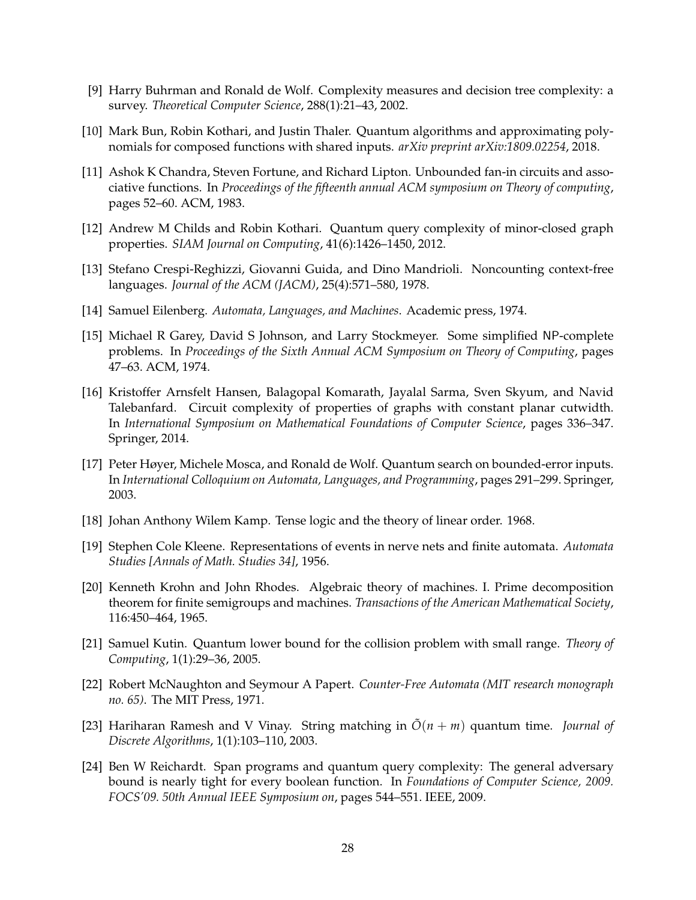- <span id="page-27-8"></span>[9] Harry Buhrman and Ronald de Wolf. Complexity measures and decision tree complexity: a survey. *Theoretical Computer Science*, 288(1):21–43, 2002.
- <span id="page-27-7"></span><span id="page-27-6"></span>[10] Mark Bun, Robin Kothari, and Justin Thaler. Quantum algorithms and approximating polynomials for composed functions with shared inputs. *arXiv preprint arXiv:1809.02254*, 2018.
- [11] Ashok K Chandra, Steven Fortune, and Richard Lipton. Unbounded fan-in circuits and associative functions. In *Proceedings of the fifteenth annual ACM symposium on Theory of computing*, pages 52–60. ACM, 1983.
- <span id="page-27-5"></span>[12] Andrew M Childs and Robin Kothari. Quantum query complexity of minor-closed graph properties. *SIAM Journal on Computing*, 41(6):1426–1450, 2012.
- <span id="page-27-4"></span>[13] Stefano Crespi-Reghizzi, Giovanni Guida, and Dino Mandrioli. Noncounting context-free languages. *Journal of the ACM (JACM)*, 25(4):571–580, 1978.
- <span id="page-27-13"></span><span id="page-27-12"></span>[14] Samuel Eilenberg. *Automata, Languages, and Machines*. Academic press, 1974.
- [15] Michael R Garey, David S Johnson, and Larry Stockmeyer. Some simplified NP-complete problems. In *Proceedings of the Sixth Annual ACM Symposium on Theory of Computing*, pages 47–63. ACM, 1974.
- <span id="page-27-14"></span>[16] Kristoffer Arnsfelt Hansen, Balagopal Komarath, Jayalal Sarma, Sven Skyum, and Navid Talebanfard. Circuit complexity of properties of graphs with constant planar cutwidth. In *International Symposium on Mathematical Foundations of Computer Science*, pages 336–347. Springer, 2014.
- <span id="page-27-3"></span>[17] Peter Høyer, Michele Mosca, and Ronald de Wolf. Quantum search on bounded-error inputs. In *International Colloquium on Automata, Languages, and Programming*, pages 291–299. Springer, 2003.
- <span id="page-27-1"></span>[18] Johan Anthony Wilem Kamp. Tense logic and the theory of linear order. 1968.
- [19] Stephen Cole Kleene. Representations of events in nerve nets and finite automata. *Automata Studies [Annals of Math. Studies 34]*, 1956.
- <span id="page-27-2"></span>[20] Kenneth Krohn and John Rhodes. Algebraic theory of machines. I. Prime decomposition theorem for finite semigroups and machines. *Transactions of the American Mathematical Society*, 116:450–464, 1965.
- <span id="page-27-9"></span>[21] Samuel Kutin. Quantum lower bound for the collision problem with small range. *Theory of Computing*, 1(1):29–36, 2005.
- <span id="page-27-11"></span><span id="page-27-0"></span>[22] Robert McNaughton and Seymour A Papert. *Counter-Free Automata (MIT research monograph no. 65)*. The MIT Press, 1971.
- [23] Hariharan Ramesh and V Vinay. String matching in  $\tilde{O}(n + m)$  quantum time. *Journal of Discrete Algorithms*, 1(1):103–110, 2003.
- <span id="page-27-10"></span>[24] Ben W Reichardt. Span programs and quantum query complexity: The general adversary bound is nearly tight for every boolean function. In *Foundations of Computer Science, 2009. FOCS'09. 50th Annual IEEE Symposium on*, pages 544–551. IEEE, 2009.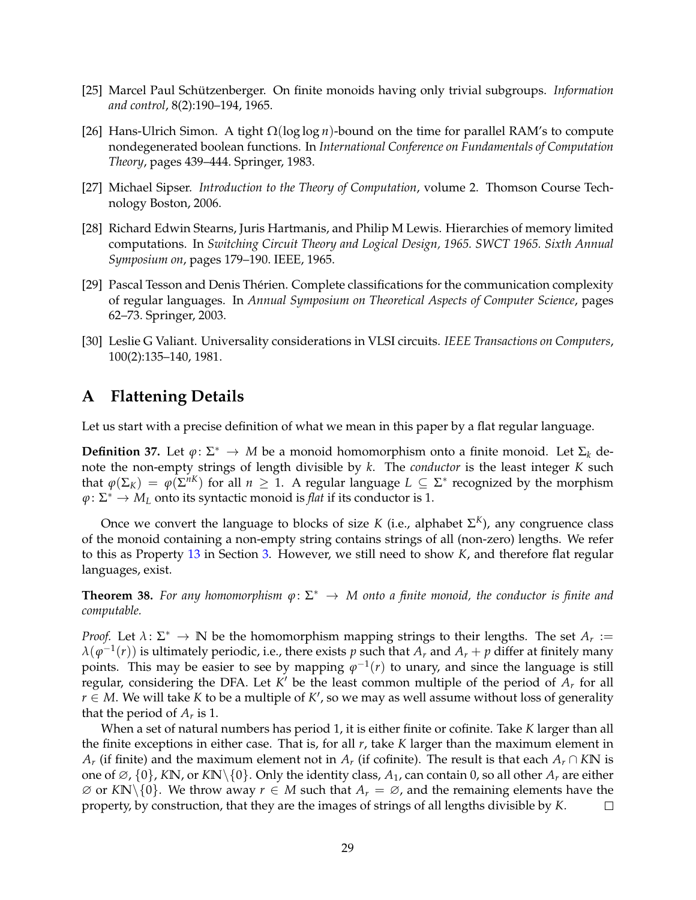- <span id="page-28-3"></span><span id="page-28-0"></span>[25] Marcel Paul Schützenberger. On finite monoids having only trivial subgroups. *Information and control*, 8(2):190–194, 1965.
- [26] Hans-Ulrich Simon. A tight Ω(log log *n*)-bound on the time for parallel RAM's to compute nondegenerated boolean functions. In *International Conference on Fundamentals of Computation Theory*, pages 439–444. Springer, 1983.
- <span id="page-28-2"></span>[27] Michael Sipser. *Introduction to the Theory of Computation*, volume 2. Thomson Course Technology Boston, 2006.
- [28] Richard Edwin Stearns, Juris Hartmanis, and Philip M Lewis. Hierarchies of memory limited computations. In *Switching Circuit Theory and Logical Design, 1965. SWCT 1965. Sixth Annual Symposium on*, pages 179–190. IEEE, 1965.
- <span id="page-28-1"></span>[29] Pascal Tesson and Denis Thérien. Complete classifications for the communication complexity of regular languages. In *Annual Symposium on Theoretical Aspects of Computer Science*, pages 62–73. Springer, 2003.
- <span id="page-28-5"></span>[30] Leslie G Valiant. Universality considerations in VLSI circuits. *IEEE Transactions on Computers*, 100(2):135–140, 1981.

# <span id="page-28-4"></span>**A Flattening Details**

Let us start with a precise definition of what we mean in this paper by a flat regular language.

**Definition 37.** Let  $\varphi: \Sigma^* \to M$  be a monoid homomorphism onto a finite monoid. Let  $\Sigma_k$  denote the non-empty strings of length divisible by *k*. The *conductor* is the least integer *K* such that  $\varphi(\Sigma_K) = \varphi(\Sigma^{nK})$  for all  $n \geq 1$ . A regular language  $L \subseteq \Sigma^*$  recognized by the morphism  $\varphi \colon \Sigma^* \to M_L$  onto its syntactic monoid is *flat* if its conductor is 1.

Once we convert the language to blocks of size *K* (i.e., alphabet Σ *<sup>K</sup>*), any congruence class of the monoid containing a non-empty string contains strings of all (non-zero) lengths. We refer to this as Property [13](#page-10-1) in Section [3.](#page-9-0) However, we still need to show *K*, and therefore flat regular languages, exist.

**Theorem 38.** *For any homomorphism ϕ*: Σ <sup>∗</sup> → *M onto a finite monoid, the conductor is finite and computable.*

*Proof.* Let  $\lambda$ :  $\Sigma^* \to \mathbb{N}$  be the homomorphism mapping strings to their lengths. The set  $A_r :=$  $\lambda(\varphi^{-1}(r))$  is ultimately periodic, i.e., there exists  $p$  such that  $A_r$  and  $A_r+p$  differ at finitely many points. This may be easier to see by mapping  $\varphi^{-1}(r)$  to unary, and since the language is still regular, considering the DFA. Let *K* ′ be the least common multiple of the period of *A<sup>r</sup>* for all *r* ∈ *M*. We will take *K* to be a multiple of *K'*, so we may as well assume without loss of generality that the period of  $A_r$  is 1.

When a set of natural numbers has period 1, it is either finite or cofinite. Take *K* larger than all the finite exceptions in either case. That is, for all *r*, take *K* larger than the maximum element in *A*<sup>*r*</sup> (if finite) and the maximum element not in *A<sub>r</sub>* (if cofinite). The result is that each *A<sub>r</sub>* ∩ *K***N** is one of  $\emptyset$ ,  $\{0\}$ , *K***N**, or *K***N**\ $\{0\}$ . Only the identity class,  $A_1$ , can contain 0, so all other  $A_r$  are either  $\emptyset$  or *K***N**\{0}. We throw away *r* ∈ *M* such that *A<sub>r</sub>* =  $\emptyset$ *,* and the remaining elements have the property, by construction, that they are the images of strings of all lengths divisible by *K*. □ property, by construction, that they are the images of strings of all lengths divisible by *K*.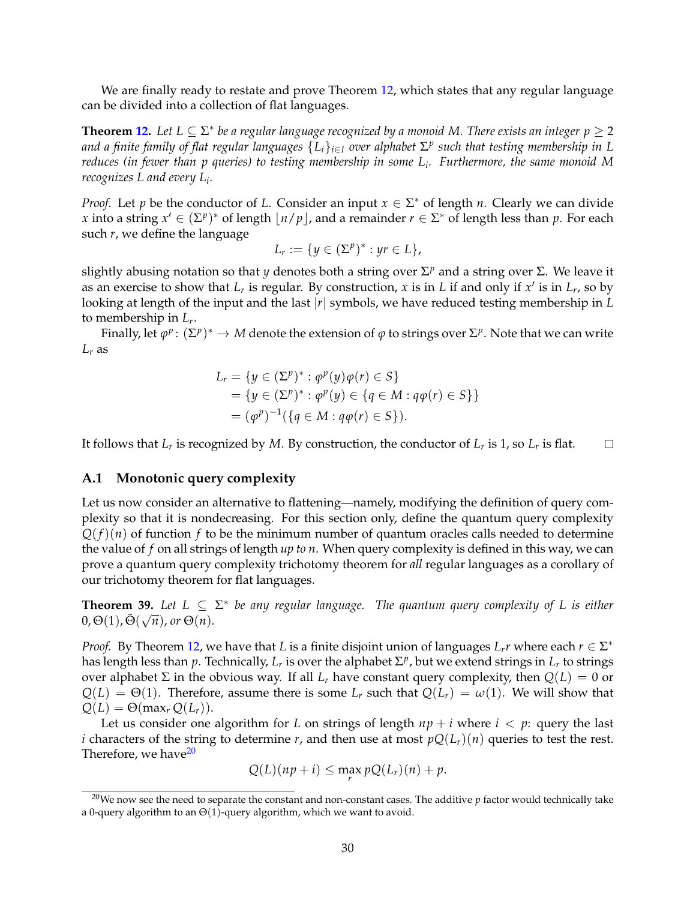We are finally ready to restate and prove Theorem [12,](#page-10-0) which states that any regular language can be divided into a collection of flat languages.

**Theorem [12.](#page-10-0)** Let  $L \subseteq \Sigma^*$  be a regular language recognized by a monoid M. There exists an integer  $p \geq 2$ *and a finite family of flat regular languages* {*Li*}*i*∈*<sup>I</sup> over alphabet* <sup>Σ</sup> *p such that testing membership in L reduces (in fewer than p queries) to testing membership in some L<sup>i</sup> . Furthermore, the same monoid M recognizes L and every L<sup>i</sup> .*

*Proof.* Let *p* be the conductor of *L*. Consider an input  $x \in \Sigma^*$  of length *n*. Clearly we can divide *x* into a string  $x' \in (\Sigma^p)^*$  of length  $\lfloor n/p \rfloor$ , and a remainder  $r \in \Sigma^*$  of length less than *p*. For each such *r*, we define the language

$$
L_r:=\{y\in(\Sigma^p)^*: yr\in L\},\
$$

slightly abusing notation so that *y* denotes both a string over Σ *<sup>p</sup>* and a string over Σ. We leave it as an exercise to show that  $L_r$  is regular. By construction,  $x$  is in  $L$  if and only if  $x'$  is in  $L_r$ , so by looking at length of the input and the last |*r*| symbols, we have reduced testing membership in *L* to membership in *L<sup>r</sup>* .

Finally, let  $\varphi^p\colon (\Sigma^p)^* \to M$  denote the extension of  $\varphi$  to strings over  $\Sigma^p$ . Note that we can write  $L_r$  as

$$
L_r = \{ y \in (\Sigma^p)^* : \varphi^p(y)\varphi(r) \in S \} = \{ y \in (\Sigma^p)^* : \varphi^p(y) \in \{ q \in M : q\varphi(r) \in S \} \} = (\varphi^p)^{-1} (\{ q \in M : q\varphi(r) \in S \}).
$$

 $\Box$ It follows that  $L_r$  is recognized by  $M$ . By construction, the conductor of  $L_r$  is 1, so  $L_r$  is flat.

#### <span id="page-29-0"></span>**A.1 Monotonic query complexity**

Let us now consider an alternative to flattening—namely, modifying the definition of query complexity so that it is nondecreasing. For this section only, define the quantum query complexity  $Q(f)(n)$  of function *f* to be the minimum number of quantum oracles calls needed to determine the value of *f* on all strings of length *up to n*. When query complexity is defined in this way, we can prove a quantum query complexity trichotomy theorem for *all* regular languages as a corollary of our trichotomy theorem for flat languages.

**Theorem 39.** Let  $L \subseteq \Sigma^*$  be any regular language. The quantum query complexity of L is either  $0, \Theta(1), \tilde{\Theta}(\sqrt{n}),$  or  $\Theta(n)$ .

*Proof.* By Theorem [12,](#page-10-0) we have that *L* is a finite disjoint union of languages  $L_r r$  where each  $r \in \Sigma^*$ has length less than  $p$ . Technically,  $L_r$  is over the alphabet  $\Sigma^p$ , but we extend strings in  $L_r$  to strings over alphabet Σ in the obvious way. If all  $L_r$  have constant query complexity, then  $Q(L) = 0$  or  $Q(L) = \Theta(1)$ . Therefore, assume there is some  $L_r$  such that  $Q(L_r) = \omega(1)$ . We will show that  $Q(L) = \Theta(\max_r Q(L_r)).$ 

Let us consider one algorithm for *L* on strings of length  $np + i$  where  $i < p$ : query the last *i* characters of the string to determine *r*, and then use at most  $pQ(L_r)(n)$  queries to test the rest. Therefore, we have<sup>[20](#page-29-1)</sup>

$$
Q(L)(np+i) \leq \max_{r} pQ(L_r)(n) + p.
$$

<span id="page-29-1"></span><sup>&</sup>lt;sup>20</sup>We now see the need to separate the constant and non-constant cases. The additive  $p$  factor would technically take a 0-query algorithm to an  $\Theta(1)$ -query algorithm, which we want to avoid.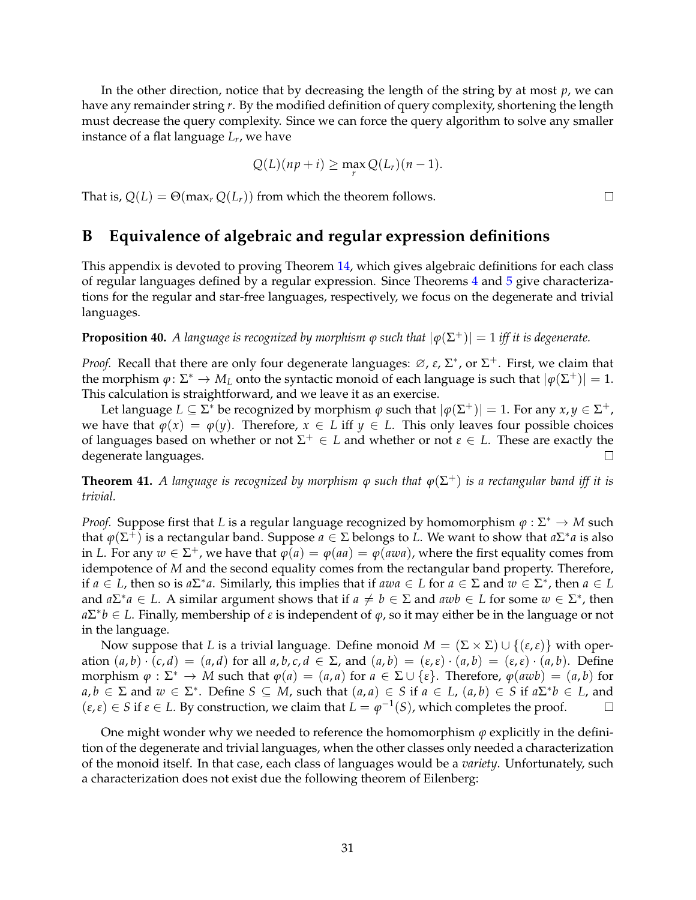In the other direction, notice that by decreasing the length of the string by at most *p*, we can have any remainder string *r*. By the modified definition of query complexity, shortening the length must decrease the query complexity. Since we can force the query algorithm to solve any smaller instance of a flat language *L<sup>r</sup>* , we have

$$
Q(L)(np+i) \ge \max_{r} Q(L_r)(n-1).
$$

That is,  $Q(L) = \Theta(\max_r Q(L_r))$  from which the theorem follows.

## <span id="page-30-0"></span>**B Equivalence of algebraic and regular expression definitions**

This appendix is devoted to proving Theorem [14,](#page-11-3) which gives algebraic definitions for each class of regular languages defined by a regular expression. Since Theorems [4](#page-6-1) and [5](#page-6-3) give characterizations for the regular and star-free languages, respectively, we focus on the degenerate and trivial languages.

**Proposition 40.** *A language is recognized by morphism*  $\varphi$  *such that*  $|\varphi(\Sigma^{+})| = 1$  *iff it is degenerate.* 

*Proof.* Recall that there are only four degenerate languages:  $\varnothing$ ,  $\varepsilon$ ,  $\Sigma^*$ , or  $\Sigma^+$ . First, we claim that the morphism  $\varphi \colon \Sigma^* \to M_L$  onto the syntactic monoid of each language is such that  $|\varphi(\Sigma^+)| = 1$ . This calculation is straightforward, and we leave it as an exercise.

Let language  $L \subseteq \Sigma^*$  be recognized by morphism  $\varphi$  such that  $|\varphi(\Sigma^+)| = 1$ . For any  $x, y \in \Sigma^+$ , we have that  $\varphi(x) = \varphi(y)$ . Therefore,  $x \in L$  iff  $y \in L$ . This only leaves four possible choices of languages based on whether or not  $\Sigma^+ \in L$  and whether or not  $\varepsilon \in L$ . These are exactly the degenerate languages.

**Theorem 41.** *A language is recognized by morphism ϕ such that ϕ*(Σ <sup>+</sup>) *is a rectangular band iff it is trivial.*

*Proof.* Suppose first that *L* is a regular language recognized by homomorphism  $\varphi : \Sigma^* \to M$  such that  $\varphi(\Sigma^+)$  is a rectangular band. Suppose  $a \in \Sigma$  belongs to *L*. We want to show that  $a\Sigma^*a$  is also in *L*. For any  $w \in \Sigma^+$ , we have that  $\varphi(a) = \varphi(aa) = \varphi(awa)$ , where the first equality comes from idempotence of *M* and the second equality comes from the rectangular band property. Therefore, if  $a \in L$ , then so is  $a\Sigma^* a$ . Similarly, this implies that if  $awa \in L$  for  $a \in \Sigma$  and  $w \in \Sigma^*$ , then  $a \in L$ and  $a\Sigma^* a \in L$ . A similar argument shows that if  $a \neq b \in \Sigma$  and  $awb \in L$  for some  $w \in \Sigma^*$ , then  $a\Sigma^*b \in L$ . Finally, membership of *ε* is independent of  $\varphi$ , so it may either be in the language or not in the language.

Now suppose that *L* is a trivial language. Define monoid  $M = (\Sigma \times \Sigma) \cup \{(\varepsilon, \varepsilon)\}\$  with operation  $(a,b) \cdot (c,d) = (a,d)$  for all  $a,b,c,d \in \Sigma$ , and  $(a,b) = (\varepsilon,\varepsilon) \cdot (a,b) = (\varepsilon,\varepsilon) \cdot (a,b)$ . Define morphism  $\varphi : \Sigma^* \to M$  such that  $\varphi(a) = (a, a)$  for  $a \in \Sigma \cup \{\varepsilon\}$ . Therefore,  $\varphi(awb) = (a, b)$  for  $a, b \in \Sigma$  and  $w \in \Sigma^*$ . Define  $S \subseteq M$ , such that  $(a, a) \in S$  if  $a \in L$ ,  $(a, b) \in S$  if  $a\Sigma^*b \in L$ , and  $(\varepsilon, \varepsilon) \in S$  if  $\varepsilon \in L$ . By construction, we claim that  $L = \varphi^{-1}(S)$ , which completes the proof.

One might wonder why we needed to reference the homomorphism  $\varphi$  explicitly in the definition of the degenerate and trivial languages, when the other classes only needed a characterization of the monoid itself. In that case, each class of languages would be a *variety*. Unfortunately, such a characterization does not exist due the following theorem of Eilenberg:

 $\Box$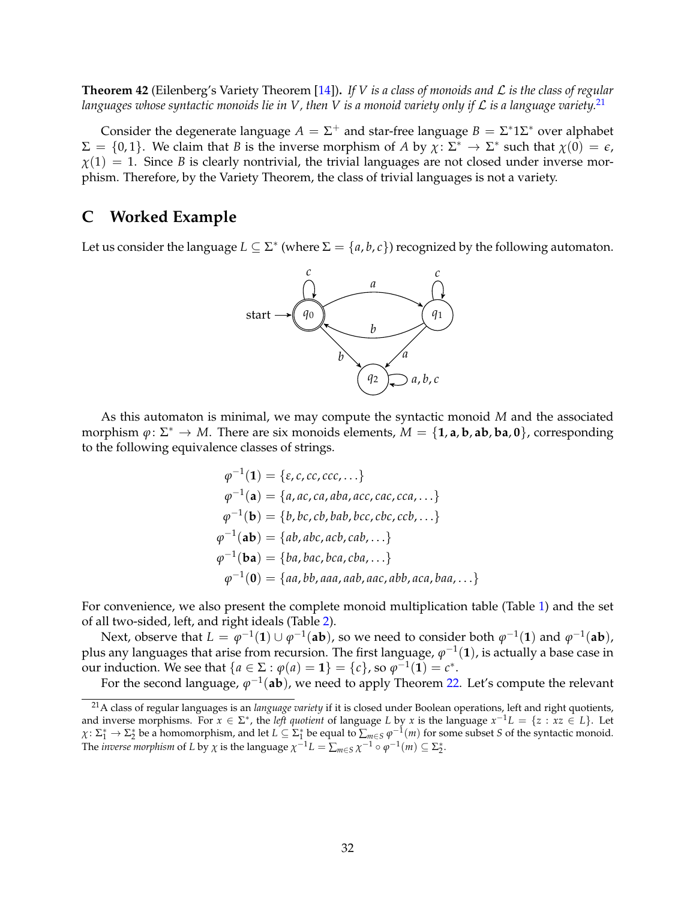**Theorem 42** (Eilenberg's Variety Theorem [\[14\]](#page-27-12))**.** *If V is a class of monoids and* L *is the class of regular languages whose syntactic monoids lie in V, then V is a monoid variety only if* L *is a language variety.*[21](#page-31-1)

Consider the degenerate language  $A = \Sigma^+$  and star-free language  $B = \Sigma^* 1 \Sigma^*$  over alphabet  $\Sigma = \{0, 1\}$ . We claim that *B* is the inverse morphism of *A* by  $\chi: \Sigma^* \to \Sigma^*$  such that  $\chi(0) = \epsilon$ ,  $\chi(1) = 1$ . Since *B* is clearly nontrivial, the trivial languages are not closed under inverse morphism. Therefore, by the Variety Theorem, the class of trivial languages is not a variety.

### <span id="page-31-0"></span>**C Worked Example**

Let us consider the language  $L \subseteq \Sigma^*$  (where  $\Sigma = \{a, b, c\}$ ) recognized by the following automaton.



As this automaton is minimal, we may compute the syntactic monoid *M* and the associated morphism  $\varphi: \Sigma^* \to M$ . There are six monoids elements,  $M = \{\mathbf{1}, \mathbf{a}, \mathbf{b}, \mathbf{a}\mathbf{b}, \mathbf{b}\mathbf{a}, \mathbf{0}\}$ , corresponding to the following equivalence classes of strings.

$$
\varphi^{-1}(\mathbf{1}) = \{\varepsilon, c, cc, ccc, ...\}
$$
  
\n
$$
\varphi^{-1}(\mathbf{a}) = \{a, ac, ca, aba, acc, cca, ...\}
$$
  
\n
$$
\varphi^{-1}(\mathbf{b}) = \{b, bc, cb, bab, bcc, cbc, ccb, ...\}
$$
  
\n
$$
\varphi^{-1}(\mathbf{ab}) = \{ab, abc, acb, cab, ...\}
$$
  
\n
$$
\varphi^{-1}(\mathbf{ba}) = \{ba, bac, bca, cba, ...\}
$$
  
\n
$$
\varphi^{-1}(0) = \{aa, bb, aaa, aab, aac, abb, aca, baa, ... \}
$$

For convenience, we also present the complete monoid multiplication table (Table [1\)](#page-32-0) and the set of all two-sided, left, and right ideals (Table [2\)](#page-32-1).

Next, observe that  $L = \varphi^{-1}(1) \cup \varphi^{-1}(ab)$ , so we need to consider both  $\varphi^{-1}(1)$  and  $\varphi^{-1}(ab)$ , plus any languages that arise from recursion. The first language,  $\varphi^{-1}(1)$ , is actually a base case in our induction. We see that  $\{a \in \Sigma : \varphi(a) = 1\} = \{c\}$ , so  $\varphi^{-1}(1) = c^*$ .

For the second language*,*  $\varphi^{-1}(\textbf{ab})$ *,* we need to apply Theorem [22.](#page-14-1) Let's compute the relevant

<span id="page-31-1"></span><sup>21</sup>A class of regular languages is an *language variety* if it is closed under Boolean operations, left and right quotients, and inverse morphisms. For  $x \in \Sigma^*$ , the *left quotient* of language *L* by *x* is the language  $x^{-1}L = \{z : xz \in L\}$ . Let  $\chi: \Sigma_1^* \to \Sigma_2^*$  be a homomorphism, and let  $L \subseteq \Sigma_1^*$  be equal to  $\sum_{m \in S} \varphi^{-1}(m)$  for some subset *S* of the syntactic monoid. The *inverse morphism* of *L* by  $\chi$  is the language  $\chi^{-1}L = \sum_{m \in S} \chi^{-1} \circ \varphi^{-1}(m) \subseteq \Sigma_2^*$ .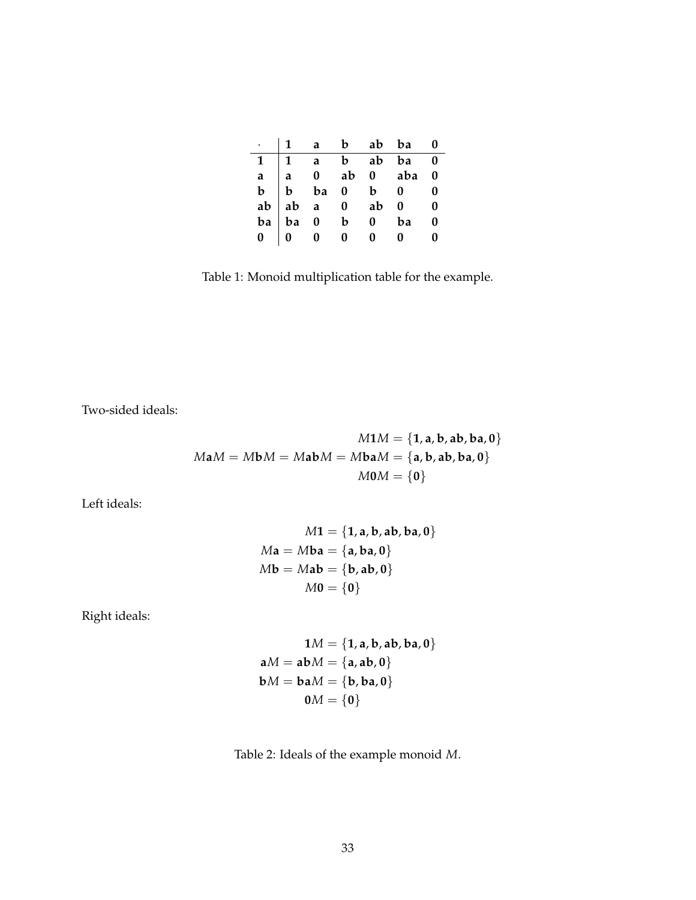|  |  | $\cdot$   1 a b ab ba 0                                                                                                                                                                                                                                                                                                                                                                                                |  |
|--|--|------------------------------------------------------------------------------------------------------------------------------------------------------------------------------------------------------------------------------------------------------------------------------------------------------------------------------------------------------------------------------------------------------------------------|--|
|  |  |                                                                                                                                                                                                                                                                                                                                                                                                                        |  |
|  |  |                                                                                                                                                                                                                                                                                                                                                                                                                        |  |
|  |  |                                                                                                                                                                                                                                                                                                                                                                                                                        |  |
|  |  |                                                                                                                                                                                                                                                                                                                                                                                                                        |  |
|  |  |                                                                                                                                                                                                                                                                                                                                                                                                                        |  |
|  |  | $\begin{tabular}{ c c c c c c c c } \hline & & & & & & & & & & \hline & \multicolumn{4}{ c }{b} & \multicolumn{4}{ c }{b} & \multicolumn{4}{ c }{b} & \multicolumn{4}{ c }{b} & \multicolumn{4}{ c }{b} & \multicolumn{4}{ c }{b} & \multicolumn{4}{ c }{b} & \multicolumn{4}{ c }{a} & \multicolumn{4}{ c }{b} & \multicolumn{4}{ c }{a} & \multicolumn{4}{ c }{b} & \multicolumn{4}{ c }{b} & \multicolumn{4}{ c }{$ |  |

<span id="page-32-0"></span>Table 1: Monoid multiplication table for the example.

Two-sided ideals:

$$
M1M = \{1, a, b, ab, ba, 0\}
$$

$$
MaM = MbM = MabM = MbaM = \{a, b, ab, ba, 0\}
$$

$$
M0M = \{0\}
$$

Left ideals:

$$
M1 = \{1, a, b, ab, ba, 0\}
$$
  

$$
Ma = Mba = \{a, ba, 0\}
$$
  

$$
Mb = Mab = \{b, ab, 0\}
$$
  

$$
M0 = \{0\}
$$

Right ideals:

$$
1M = \{1, a, b, ab, ba, 0\}
$$
  

$$
aM = abM = \{a, ab, 0\}
$$
  

$$
bM = baM = \{b, ba, 0\}
$$
  

$$
0M = \{0\}
$$

<span id="page-32-1"></span>Table 2: Ideals of the example monoid *M*.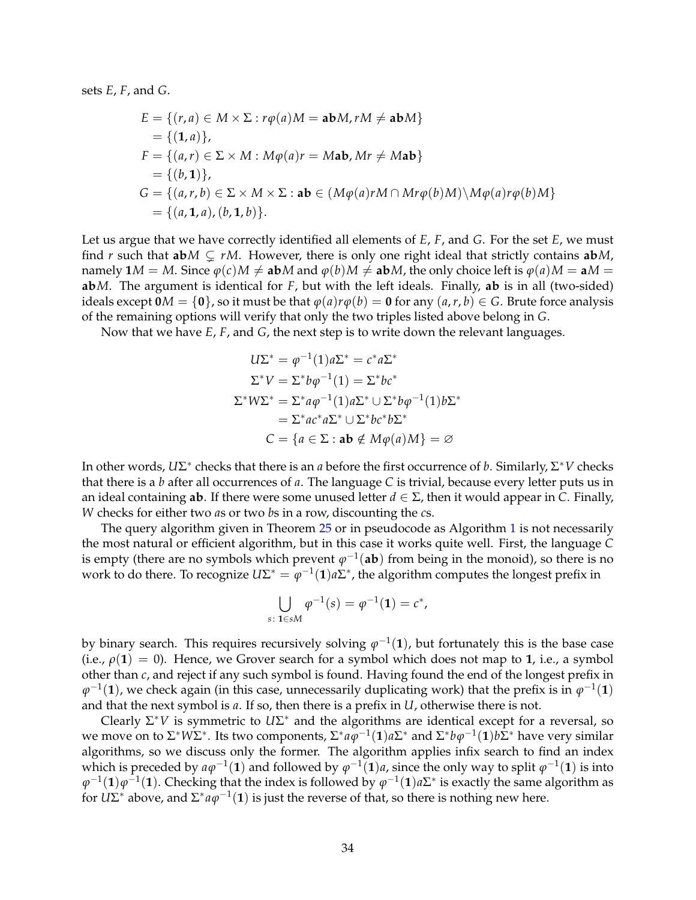sets *E*, *F*, and *G*.

$$
E = \{(r, a) \in M \times \Sigma : r\varphi(a)M = \mathbf{ab}M, rM \neq \mathbf{ab}M\}
$$
  
= \{(1, a)\},  

$$
F = \{(a, r) \in \Sigma \times M : M\varphi(a)r = M\mathbf{ab}, Mr \neq M\mathbf{ab}\}
$$
  
= \{(b, 1)\},  

$$
G = \{(a, r, b) \in \Sigma \times M \times \Sigma : \mathbf{ab} \in (M\varphi(a)rM \cap Mr\varphi(b)M) \setminus M\varphi(a)r\varphi(b)M\}
$$
  
= \{(a, 1, a), (b, 1, b)\}.

Let us argue that we have correctly identified all elements of *E*, *F*, and *G*. For the set *E*, we must find *r* such that  $abM \subsetneq rM$ . However, there is only one right ideal that strictly contains  $abM$ , namely  $1M = M$ . Since  $\varphi(c)M \neq abM$  and  $\varphi(b)M \neq abM$ , the only choice left is  $\varphi(a)M = aM =$ **ab***M*. The argument is identical for *F*, but with the left ideals. Finally, **ab** is in all (two-sided) ideals except  $\mathbf{0}M = \{\mathbf{0}\}\text{, so it must be that } \varphi(a)r\varphi(b) = \mathbf{0}$  for any  $(a, r, b) \in G$ . Brute force analysis of the remaining options will verify that only the two triples listed above belong in *G*.

Now that we have *E*, *F*, and *G*, the next step is to write down the relevant languages.

$$
U\Sigma^* = \varphi^{-1}(1)a\Sigma^* = c^*a\Sigma^*
$$
  
\n
$$
\Sigma^* V = \Sigma^* b\varphi^{-1}(1) = \Sigma^* b c^*
$$
  
\n
$$
\Sigma^* W \Sigma^* = \Sigma^* a\varphi^{-1}(1)a\Sigma^* \cup \Sigma^* b\varphi^{-1}(1)b\Sigma^*
$$
  
\n
$$
= \Sigma^* a c^* a\Sigma^* \cup \Sigma^* b c^* b\Sigma^*
$$
  
\n
$$
C = \{a \in \Sigma : \mathbf{ab} \notin M\varphi(a)M\} = \varnothing
$$

In other words,  $U\Sigma^*$  checks that there is an *a* before the first occurrence of *b*. Similarly,  $\Sigma^*V$  checks that there is a *b* after all occurrences of *a*. The language *C* is trivial, because every letter puts us in an ideal containing **ab**. If there were some unused letter *<sup>d</sup>* ∈ <sup>Σ</sup>, then it would appear in *<sup>C</sup>*. Finally, *W* checks for either two *a*s or two *b*s in a row, discounting the *c*s.

The query algorithm given in Theorem [25](#page-16-0) or in pseudocode as Algorithm [1](#page-18-0) is not necessarily the most natural or efficient algorithm, but in this case it works quite well. First, the language *C* is empty (there are no symbols which prevent  $\varphi^{-1}(\mathbf{ab})$  from being in the monoid), so there is no work to do there. To recognize  $U\Sigma^* = \varphi^{-1}(1)a\Sigma^*$ , the algorithm computes the longest prefix in

$$
\bigcup_{s \colon 1 \in sM} \varphi^{-1}(s) = \varphi^{-1}(1) = c^*,
$$

by binary search. This requires recursively solving  $\varphi^{-1}(1)$ , but fortunately this is the base case (i.e.,  $\rho(1) = 0$ ). Hence, we Grover search for a symbol which does not map to 1, i.e., a symbol other than *c*, and reject if any such symbol is found. Having found the end of the longest prefix in  $\varphi^{-1}(\mathbf{1})$ , we check again (in this case, unnecessarily duplicating work) that the prefix is in  $\varphi^{-1}(\mathbf{1})$ and that the next symbol is *a*. If so, then there is a prefix in *U*, otherwise there is not.

Clearly Σ<sup>\*</sup>*V* is symmetric to  $U\Sigma^*$  and the algorithms are identical except for a reversal, so we move on to Σ\*WΣ\*. Its two components, Σ\* $a\varphi^{-1}(\bf{1})a\Sigma^*$  and Σ\* $b\varphi^{-1}(\bf{1})b\Sigma^*$  have very similar algorithms, so we discuss only the former. The algorithm applies infix search to find an index which is preceded by  $a\varphi^{-1}(1)$  and followed by  $\varphi^{-1}(1)a$ , since the only way to split  $\varphi^{-1}(1)$  is into  $\varphi^{-1}(1)\varphi^{-1}(1).$  Checking that the index is followed by  $\varphi^{-1}(1)a\Sigma^*$  is exactly the same algorithm as for  $U\Sigma^*$  above, and  $\Sigma^*a\varphi^{-1}(1)$  is just the reverse of that, so there is nothing new here.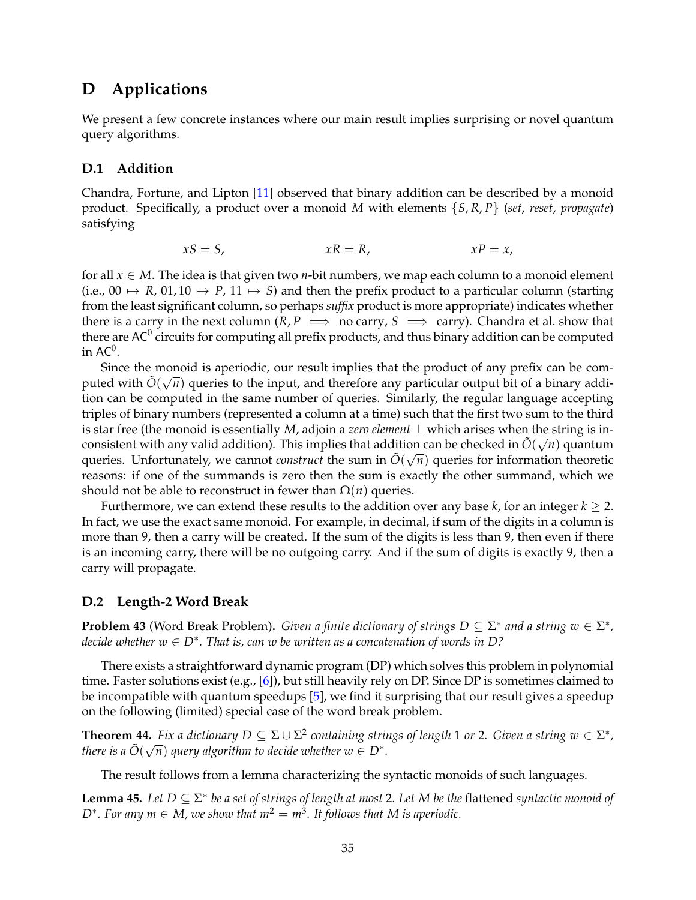# <span id="page-34-0"></span>**D Applications**

We present a few concrete instances where our main result implies surprising or novel quantum query algorithms.

#### **D.1 Addition**

Chandra, Fortune, and Lipton [\[11\]](#page-27-6) observed that binary addition can be described by a monoid product. Specifically, a product over a monoid *M* with elements {*S*, *R*, *P*} (*set*, *reset*, *propagate*) satisfying

$$
xS = S, \qquad \qquad xR = R, \qquad \qquad xP = x,
$$

for all *x* ∈ *M*. The idea is that given two *n*-bit numbers, we map each column to a monoid element (i.e., 00  $\mapsto$  *R*, 01, 10  $\mapsto$  *P*, 11  $\mapsto$  *S*) and then the prefix product to a particular column (starting from the least significant column, so perhaps *suffix* product is more appropriate) indicates whether there is a carry in the next column  $(R, P \implies$  no carry,  $S \implies$  carry). Chandra et al. show that there are AC $^0$  circuits for computing all prefix products, and thus binary addition can be computed in AC $^0$ .

Since the monoid is aperiodic, our result implies that the product of any prefix can be computed with  $\tilde{O}(\sqrt{n})$  queries to the input, and therefore any particular output bit of a binary addition can be computed in the same number of queries. Similarly, the regular language accepting triples of binary numbers (represented a column at a time) such that the first two sum to the third is star free (the monoid is essentially *M*, adjoin a *zero element* ⊥ which arises when the string is inconsistent with any valid addition). This implies that addition can be checked in  $\tilde{O}(\sqrt{n})$  quantum queries. Unfortunately, we cannot *construct* the sum in  $\tilde{O}(\sqrt{n})$  queries for information theoretic reasons: if one of the summands is zero then the sum is exactly the other summand, which we should not be able to reconstruct in fewer than  $\Omega(n)$  queries.

Furthermore, we can extend these results to the addition over any base  $k$ , for an integer  $k \geq 2$ . In fact, we use the exact same monoid. For example, in decimal, if sum of the digits in a column is more than 9, then a carry will be created. If the sum of the digits is less than 9, then even if there is an incoming carry, there will be no outgoing carry. And if the sum of digits is exactly 9, then a carry will propagate.

#### **D.2 Length-2 Word Break**

**Problem 43** (Word Break Problem). *Given a finite dictionary of strings*  $D \subseteq \Sigma^*$  *and a string*  $w \in \Sigma^*$ *, decide whether w* ∈ *D*<sup>∗</sup> *. That is, can w be written as a concatenation of words in D?*

There exists a straightforward dynamic program (DP) which solves this problem in polynomial time. Faster solutions exist (e.g., [\[6\]](#page-26-6)), but still heavily rely on DP. Since DP is sometimes claimed to be incompatible with quantum speedups [\[5\]](#page-26-7), we find it surprising that our result gives a speedup on the following (limited) special case of the word break problem.

**Theorem 44.** *Fix a dictionary*  $D \subseteq \Sigma \cup \Sigma^2$  containing strings of length 1 or 2. Given a string  $w \in \Sigma^*$ , *there is a*  $\tilde{O}(\sqrt{n})$  *query algorithm to decide whether w*  $\in$  *D*<sup>\*</sup>.

The result follows from a lemma characterizing the syntactic monoids of such languages.

**Lemma 45.** *Let D* ⊆ <sup>Σ</sup> ∗ *be a set of strings of length at most* 2*. Let M be the* flattened *syntactic monoid of*  $D^*$ *. For any*  $m \in M$ *, we show that*  $m^2 = m^3$ *. It follows that M is aperiodic.*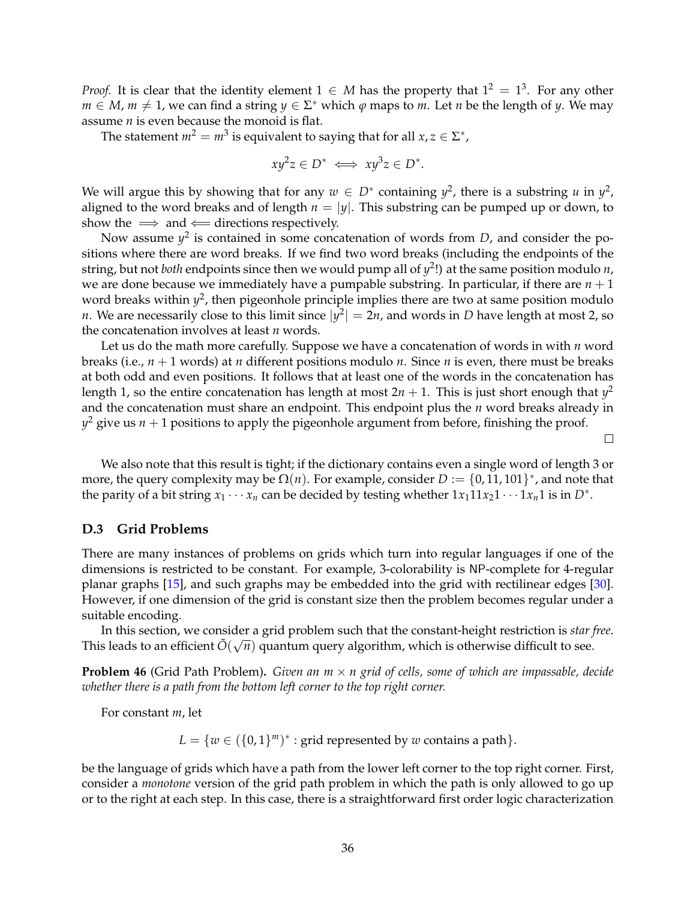*Proof.* It is clear that the identity element  $1 \in M$  has the property that  $1^2 = 1^3$ . For any other  $m \in M$ ,  $m \neq 1$ , we can find a string  $y \in \Sigma^*$  which  $\varphi$  maps to  $m$ . Let  $n$  be the length of  $y$ . We may assume *n* is even because the monoid is flat.

The statement  $m^2 = m^3$  is equivalent to saying that for all  $x, z \in \Sigma^*$ ,

$$
xy^2z \in D^* \iff xy^3z \in D^*.
$$

We will argue this by showing that for any  $w \in D^*$  containing  $y^2$ , there is a substring *u* in  $y^2$ , aligned to the word breaks and of length  $n = |y|$ . This substring can be pumped up or down, to show the  $\implies$  and  $\Leftarrow$  directions respectively.

Now assume  $y^2$  is contained in some concatenation of words from *D*, and consider the positions where there are word breaks. If we find two word breaks (including the endpoints of the string, but not *both* endpoints since then we would pump all of *y* 2 !) at the same position modulo *n*, we are done because we immediately have a pumpable substring. In particular, if there are  $n + 1$ word breaks within  $y^2$ , then pigeonhole principle implies there are two at same position modulo *n*. We are necessarily close to this limit since  $|y^2| = 2n$ , and words in *D* have length at most 2, so the concatenation involves at least *n* words.

Let us do the math more carefully. Suppose we have a concatenation of words in with *n* word breaks (i.e., *n* + 1 words) at *n* different positions modulo *n*. Since *n* is even, there must be breaks at both odd and even positions. It follows that at least one of the words in the concatenation has length 1, so the entire concatenation has length at most 2 $n + 1$ . This is just short enough that  $y^2$ and the concatenation must share an endpoint. This endpoint plus the *n* word breaks already in  $y^2$  give us  $n + 1$  positions to apply the pigeonhole argument from before, finishing the proof.

 $\Box$ 

We also note that this result is tight; if the dictionary contains even a single word of length 3 or more, the query complexity may be  $\Omega(n)$ . For example, consider  $D := \{0, 11, 101\}^*$ , and note that the parity of a bit string  $x_1 \cdots x_n$  can be decided by testing whether  $1x_1 11x_2 1 \cdots 1x_n 1$  is in  $D^*$ .

#### **D.3 Grid Problems**

There are many instances of problems on grids which turn into regular languages if one of the dimensions is restricted to be constant. For example, 3-colorability is NP-complete for 4-regular planar graphs [\[15\]](#page-27-13), and such graphs may be embedded into the grid with rectilinear edges [\[30\]](#page-28-5). However, if one dimension of the grid is constant size then the problem becomes regular under a suitable encoding.

In this section, we consider a grid problem such that the constant-height restriction is *star free*. This leads to an efficient  $\tilde{O}(\sqrt{n})$  quantum query algorithm, which is otherwise difficult to see.

**Problem 46** (Grid Path Problem). *Given an m × n grid of cells, some of which are impassable, decide whether there is a path from the bottom left corner to the top right corner.*

For constant *m*, let

 $L = \{w \in (\{0,1\}^m)^* : \text{grid represented by } w \text{ contains a path}\}.$ 

be the language of grids which have a path from the lower left corner to the top right corner. First, consider a *monotone* version of the grid path problem in which the path is only allowed to go up or to the right at each step. In this case, there is a straightforward first order logic characterization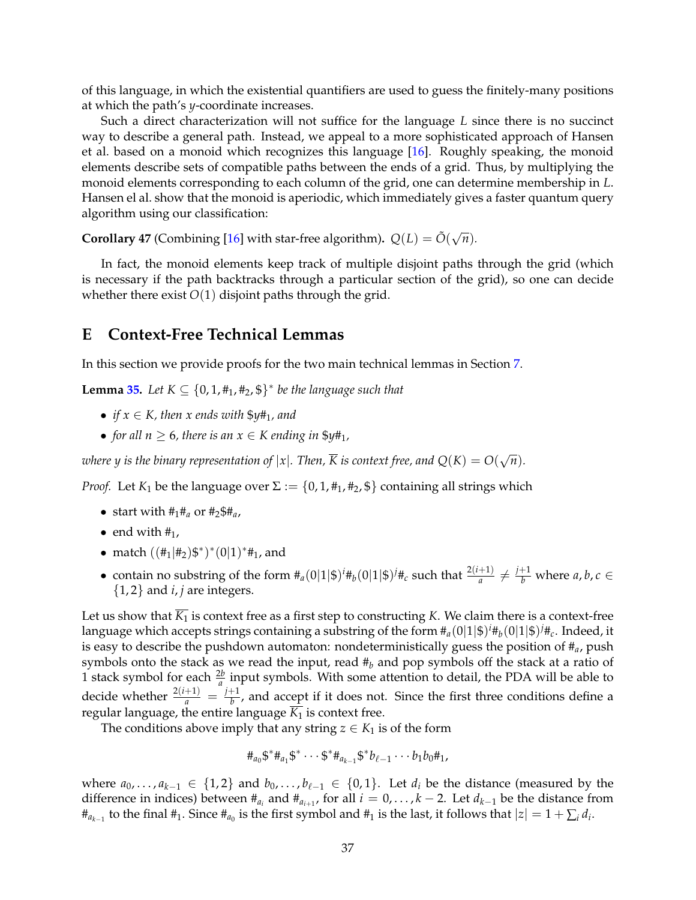of this language, in which the existential quantifiers are used to guess the finitely-many positions at which the path's *y*-coordinate increases.

Such a direct characterization will not suffice for the language *L* since there is no succinct way to describe a general path. Instead, we appeal to a more sophisticated approach of Hansen et al. based on a monoid which recognizes this language [\[16\]](#page-27-14). Roughly speaking, the monoid elements describe sets of compatible paths between the ends of a grid. Thus, by multiplying the monoid elements corresponding to each column of the grid, one can determine membership in *L*. Hansen el al. show that the monoid is aperiodic, which immediately gives a faster quantum query algorithm using our classification:

**Corollary 47** (Combining [\[16\]](#page-27-14) with star-free algorithm).  $Q(L) = \tilde{O}(\sqrt{n})$ .

In fact, the monoid elements keep track of multiple disjoint paths through the grid (which is necessary if the path backtracks through a particular section of the grid), so one can decide whether there exist  $O(1)$  disjoint paths through the grid.

### <span id="page-36-0"></span>**E Context-Free Technical Lemmas**

In this section we provide proofs for the two main technical lemmas in Section [7.](#page-21-0)

**Lemma** [35.](#page-23-0) Let  $K \subseteq \{0, 1, \text{\#}_1, \text{\#}_2, \text{\$}\}^*$  be the language such that

- *if*  $x \in K$ , then  $x$  ends with  $\frac{6}{7}y\frac{4}{1}$ , and
- *for all n*  $\geq$  6*, there is an*  $x \in K$  *ending in*  $\frac{6}{7}y\frac{4}{1}$ *,*

*where y is the binary representation of*  $|x|$ *. Then,*  $\overline{K}$  *is context free, and*  $Q(K) = O(\sqrt{n})$ *.* 

*Proof.* Let  $K_1$  be the language over  $\Sigma := \{0, 1, \#_1, \#_2, \$\}$  containing all strings which

- start with  $#_1#_a$  or  $#_2#_a$ ,
- end with  $#_1$ ,
- match  $((\frac{\#_1}{\#_2})\$ <sup>\*</sup> $)^*(0|1)^*\#_1$ , and
- contain no substring of the form  $#_a(0|1|\$)^i#_b(0|1|\$)^j#_c$  such that  $\frac{2(i+1)}{a} \neq \frac{j+1}{b}$  where  $a, b, c \in$  ${1, 2}$  and *i*, *j* are integers.

Let us show that  $\overline{K_1}$  is context free as a first step to constructing *K*. We claim there is a context-free language which accepts strings containing a substring of the form  $\#_a(0|1|\$)^i\#_b(0|1|\$)^j\#_c$ . Indeed, it is easy to describe the pushdown automaton: nondeterministically guess the position of #*a*, push symbols onto the stack as we read the input, read #*<sup>b</sup>* and pop symbols off the stack at a ratio of 1 stack symbol for each  $\frac{2b}{a}$  input symbols. With some attention to detail, the PDA will be able to decide whether  $\frac{2(i+1)}{a} = \frac{j+1}{b}$  $\frac{f^1}{b}$ , and accept if it does not. Since the first three conditions define a regular language, the entire language  $\overline{K_1}$  is context free.

The conditions above imply that any string  $z \in K_1$  is of the form

$$
\#_{a_0} \mathfrak{F}^* \#_{a_1} \mathfrak{F}^* \cdots \mathfrak{F}^* \#_{a_{k-1}} \mathfrak{F}^* b_{\ell-1} \cdots b_1 b_0 \#_1,
$$

where  $a_0, \ldots, a_{k-1} \in \{1,2\}$  and  $b_0, \ldots, b_{\ell-1} \in \{0,1\}$ . Let  $d_i$  be the distance (measured by the difference in indices) between  $#_{a_i}$  and  $#_{a_{i+1}}$ , for all  $i = 0, ..., k-2$ . Let  $d_{k-1}$  be the distance from  $#_{a_{k-1}}$  to the final  $#_1$ . Since  $#_{a_0}$  is the first symbol and  $#_1$  is the last, it follows that  $|z|=1+\sum_i d_i$ .